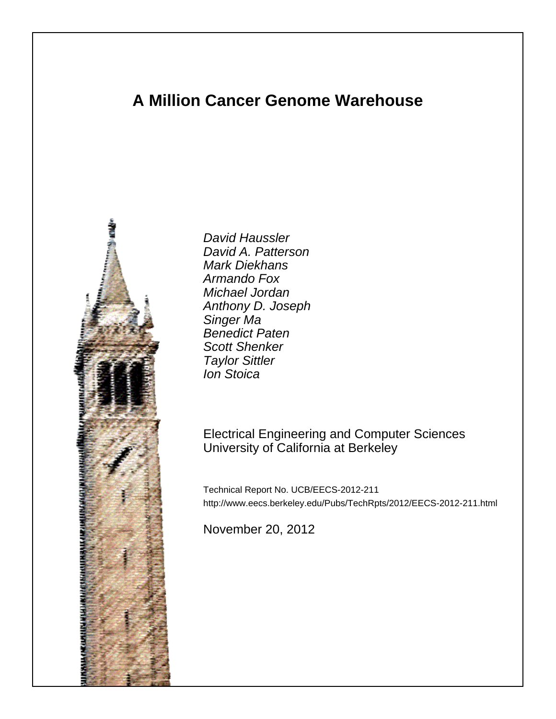# **A Million Cancer Genome Warehouse**



David Haussler David A. Patterson Mark Diekhans Armando Fox Michael Jordan Anthony D. Joseph Singer Ma Benedict Paten Scott Shenker Taylor Sittler Ion Stoica

## Electrical Engineering and Computer Sciences University of California at Berkeley

Technical Report No. UCB/EECS-2012-211 http://www.eecs.berkeley.edu/Pubs/TechRpts/2012/EECS-2012-211.html

November 20, 2012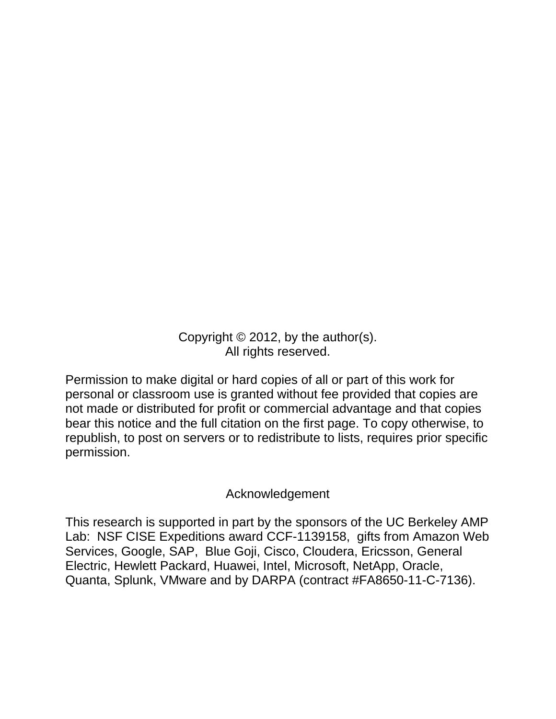Copyright © 2012, by the author(s). All rights reserved.

Permission to make digital or hard copies of all or part of this work for personal or classroom use is granted without fee provided that copies are not made or distributed for profit or commercial advantage and that copies bear this notice and the full citation on the first page. To copy otherwise, to republish, to post on servers or to redistribute to lists, requires prior specific permission.

## Acknowledgement

This research is supported in part by the sponsors of the UC Berkeley AMP Lab: NSF CISE Expeditions award CCF-1139158, gifts from Amazon Web Services, Google, SAP, Blue Goji, Cisco, Cloudera, Ericsson, General Electric, Hewlett Packard, Huawei, Intel, Microsoft, NetApp, Oracle, Quanta, Splunk, VMware and by DARPA (contract #FA8650-11-C-7136).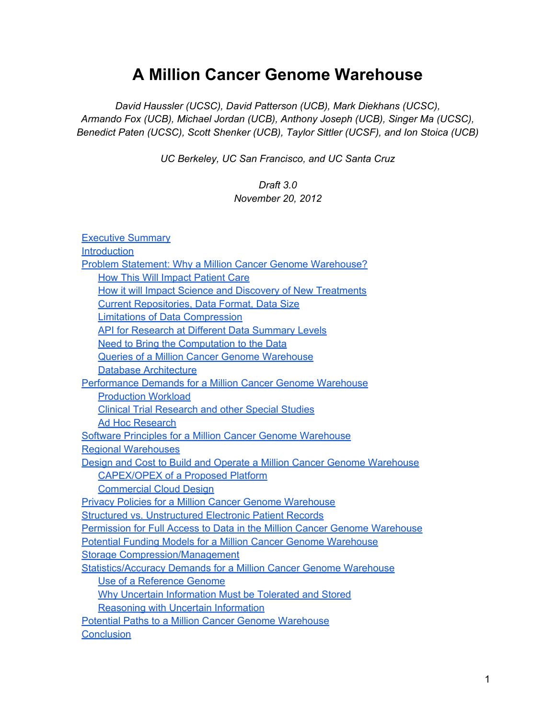# **A Million Cancer Genome Warehouse**

*David Haussler (UCSC), David Patterson (UCB), Mark Diekhans (UCSC), Armando Fox (UCB), Michael Jordan (UCB), Anthony Joseph (UCB), Singer Ma (UCSC), Benedict Paten (UCSC), Scott Shenker (UCB), Taylor Sittler (UCSF), and Ion Stoica (UCB)*

*UC Berkeley, UC San Francisco, and UC Santa Cruz*

#### *Draft 3.0 November 20, 2012*

| <b>Executive Summary</b>                                                  |
|---------------------------------------------------------------------------|
| <b>Introduction</b>                                                       |
| Problem Statement: Why a Million Cancer Genome Warehouse?                 |
| <b>How This Will Impact Patient Care</b>                                  |
| How it will Impact Science and Discovery of New Treatments                |
| <b>Current Repositories, Data Format, Data Size</b>                       |
| <b>Limitations of Data Compression</b>                                    |
| <b>API for Research at Different Data Summary Levels</b>                  |
| Need to Bring the Computation to the Data                                 |
| Queries of a Million Cancer Genome Warehouse                              |
| <b>Database Architecture</b>                                              |
| <b>Performance Demands for a Million Cancer Genome Warehouse</b>          |
| <b>Production Workload</b>                                                |
| <b>Clinical Trial Research and other Special Studies</b>                  |
| <b>Ad Hoc Research</b>                                                    |
| <b>Software Principles for a Million Cancer Genome Warehouse</b>          |
| <b>Regional Warehouses</b>                                                |
| Design and Cost to Build and Operate a Million Cancer Genome Warehouse    |
| <b>CAPEX/OPEX of a Proposed Platform</b>                                  |
| <b>Commercial Cloud Design</b>                                            |
| <b>Privacy Policies for a Million Cancer Genome Warehouse</b>             |
| <b>Structured vs. Unstructured Electronic Patient Records</b>             |
| Permission for Full Access to Data in the Million Cancer Genome Warehouse |
| <b>Potential Funding Models for a Million Cancer Genome Warehouse</b>     |
| <b>Storage Compression/Management</b>                                     |
| <b>Statistics/Accuracy Demands for a Million Cancer Genome Warehouse</b>  |
| Use of a Reference Genome                                                 |
| Why Uncertain Information Must be Tolerated and Stored                    |
| <b>Reasoning with Uncertain Information</b>                               |
| <b>Potential Paths to a Million Cancer Genome Warehouse</b>               |
| <b>Conclusion</b>                                                         |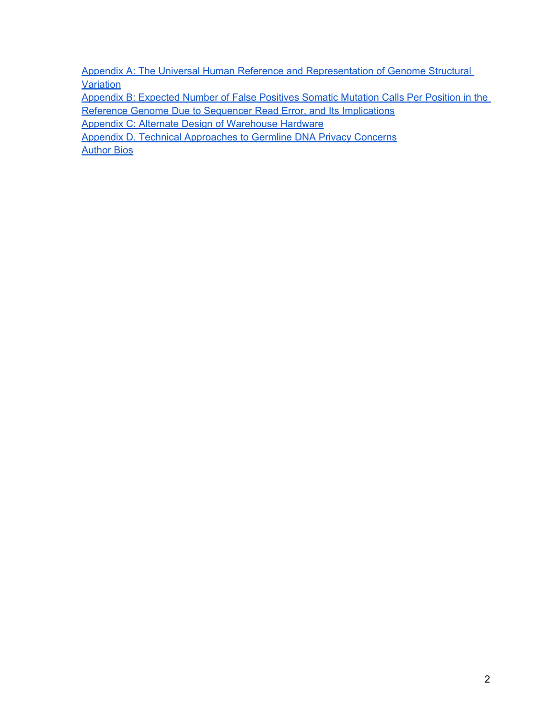[Appendix](#h.eq2h1fvb4gkt) [A: The](#h.eq2h1fvb4gkt) [Universal](#h.eq2h1fvb4gkt) [Human](#h.eq2h1fvb4gkt) [Reference](#h.eq2h1fvb4gkt) [and](#h.eq2h1fvb4gkt) [Representation](#h.eq2h1fvb4gkt) [of](#h.eq2h1fvb4gkt) [Genome](#h.eq2h1fvb4gkt) [Structural](#h.eq2h1fvb4gkt) **[Variation](#h.eq2h1fvb4gkt)** 

[Appendix](#page-48-0) [B: Expected](#page-48-0) [Number](#page-48-0) [of](#page-48-0) [False](#page-48-0) [Positives](#page-48-0) [Somatic](#page-48-0) [Mutation](#page-48-0) [Calls](#page-48-0) [Per](#page-48-0) [Position](#page-48-0) [in](#page-48-0) [the](#page-48-0) [Reference](#page-48-0) [Genome](#page-48-0) [Due](#page-48-0) [to](#page-48-0) [Sequencer](#page-48-0) [Read](#page-48-0) [Error, and](#page-48-0) [Its](#page-48-0) [Implications](#page-48-0)

[Appendix](#page-53-0) [C: Alternate](#page-53-0) [Design](#page-53-0) [of](#page-53-0) [Warehouse](#page-53-0) [Hardware](#page-53-0)

[Appendix](#page-54-0) [D. Technical](#page-54-0) [Approaches](#page-54-0) [to](#page-54-0) [Germline](#page-54-0) [DNA](#page-54-0) [Privacy](#page-54-0) [Concerns](#page-54-0) [Author](#page-56-0) [Bios](#page-56-0)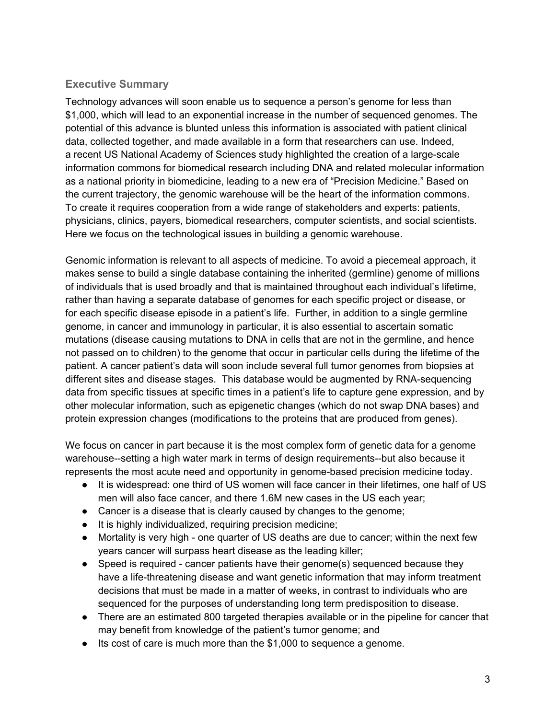## <span id="page-4-0"></span>**Executive Summary**

Technology advances will soon enable us to sequence a person's genome for less than \$1,000, which will lead to an exponential increase in the number of sequenced genomes. The potential of this advance is blunted unless this information is associated with patient clinical data, collected together, and made available in a form that researchers can use. Indeed, a recent US National Academy of Sciences study highlighted the creation of a large-scale information commons for biomedical research including DNA and related molecular information as a national priority in biomedicine, leading to a new era of "Precision Medicine." Based on the current trajectory, the genomic warehouse will be the heart of the information commons. To create it requires cooperation from a wide range of stakeholders and experts: patients, physicians, clinics, payers, biomedical researchers, computer scientists, and social scientists. Here we focus on the technological issues in building a genomic warehouse.

Genomic information is relevant to all aspects of medicine. To avoid a piecemeal approach, it makes sense to build a single database containing the inherited (germline) genome of millions of individuals that is used broadly and that is maintained throughout each individual's lifetime, rather than having a separate database of genomes for each specific project or disease, or for each specific disease episode in a patient's life. Further, in addition to a single germline genome, in cancer and immunology in particular, it is also essential to ascertain somatic mutations (disease causing mutations to DNA in cells that are not in the germline, and hence not passed on to children) to the genome that occur in particular cells during the lifetime of the patient. A cancer patient's data will soon include several full tumor genomes from biopsies at different sites and disease stages. This database would be augmented by RNA-sequencing data from specific tissues at specific times in a patient's life to capture gene expression, and by other molecular information, such as epigenetic changes (which do not swap DNA bases) and protein expression changes (modifications to the proteins that are produced from genes).

We focus on cancer in part because it is the most complex form of genetic data for a genome warehouse--setting a high water mark in terms of design requirements--but also because it represents the most acute need and opportunity in genome-based precision medicine today.

- It is widespread: one third of US women will face cancer in their lifetimes, one half of US men will also face cancer, and there 1.6M new cases in the US each year;
- Cancer is a disease that is clearly caused by changes to the genome;
- It is highly individualized, requiring precision medicine;
- Mortality is very high one quarter of US deaths are due to cancer; within the next few years cancer will surpass heart disease as the leading killer;
- Speed is required cancer patients have their genome(s) sequenced because they have a life-threatening disease and want genetic information that may inform treatment decisions that must be made in a matter of weeks, in contrast to individuals who are sequenced for the purposes of understanding long term predisposition to disease.
- There are an estimated 800 targeted therapies available or in the pipeline for cancer that may benefit from knowledge of the patient's tumor genome; and
- Its cost of care is much more than the \$1,000 to sequence a genome.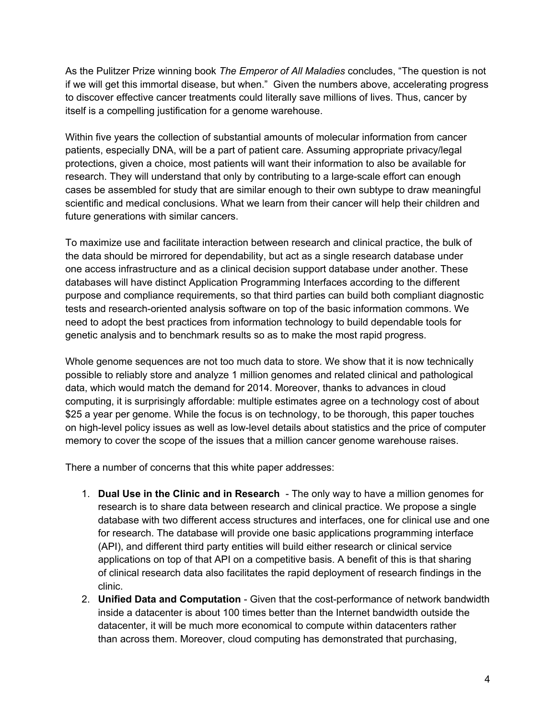As the Pulitzer Prize winning book *The Emperor of All Maladies* concludes, "The question is not if we will get this immortal disease, but when." Given the numbers above, accelerating progress to discover effective cancer treatments could literally save millions of lives. Thus, cancer by itself is a compelling justification for a genome warehouse.

Within five years the collection of substantial amounts of molecular information from cancer patients, especially DNA, will be a part of patient care. Assuming appropriate privacy/legal protections, given a choice, most patients will want their information to also be available for research. They will understand that only by contributing to a large-scale effort can enough cases be assembled for study that are similar enough to their own subtype to draw meaningful scientific and medical conclusions. What we learn from their cancer will help their children and future generations with similar cancers.

To maximize use and facilitate interaction between research and clinical practice, the bulk of the data should be mirrored for dependability, but act as a single research database under one access infrastructure and as a clinical decision support database under another. These databases will have distinct Application Programming Interfaces according to the different purpose and compliance requirements, so that third parties can build both compliant diagnostic tests and research-oriented analysis software on top of the basic information commons. We need to adopt the best practices from information technology to build dependable tools for genetic analysis and to benchmark results so as to make the most rapid progress.

Whole genome sequences are not too much data to store. We show that it is now technically possible to reliably store and analyze 1 million genomes and related clinical and pathological data, which would match the demand for 2014. Moreover, thanks to advances in cloud computing, it is surprisingly affordable: multiple estimates agree on a technology cost of about \$25 a year per genome. While the focus is on technology, to be thorough, this paper touches on high-level policy issues as well as low-level details about statistics and the price of computer memory to cover the scope of the issues that a million cancer genome warehouse raises.

There a number of concerns that this white paper addresses:

- 1. **Dual Use in the Clinic and in Research**  The only way to have a million genomes for research is to share data between research and clinical practice. We propose a single database with two different access structures and interfaces, one for clinical use and one for research. The database will provide one basic applications programming interface (API), and different third party entities will build either research or clinical service applications on top of that API on a competitive basis. A benefit of this is that sharing of clinical research data also facilitates the rapid deployment of research findings in the clinic.
- 2. **Unified Data and Computation**  Given that the cost-performance of network bandwidth inside a datacenter is about 100 times better than the Internet bandwidth outside the datacenter, it will be much more economical to compute within datacenters rather than across them. Moreover, cloud computing has demonstrated that purchasing,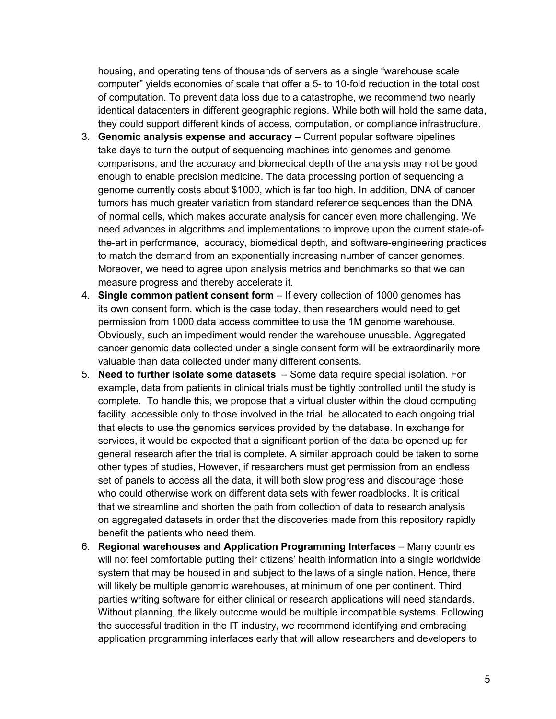housing, and operating tens of thousands of servers as a single "warehouse scale computer" yields economies of scale that offer a 5- to 10-fold reduction in the total cost of computation. To prevent data loss due to a catastrophe, we recommend two nearly identical datacenters in different geographic regions. While both will hold the same data, they could support different kinds of access, computation, or compliance infrastructure.

- 3. **Genomic analysis expense and accuracy** Current popular software pipelines take days to turn the output of sequencing machines into genomes and genome comparisons, and the accuracy and biomedical depth of the analysis may not be good enough to enable precision medicine. The data processing portion of sequencing a genome currently costs about \$1000, which is far too high. In addition, DNA of cancer tumors has much greater variation from standard reference sequences than the DNA of normal cells, which makes accurate analysis for cancer even more challenging. We need advances in algorithms and implementations to improve upon the current state-ofthe-art in performance, accuracy, biomedical depth, and software-engineering practices to match the demand from an exponentially increasing number of cancer genomes. Moreover, we need to agree upon analysis metrics and benchmarks so that we can measure progress and thereby accelerate it.
- 4. **Single common patient consent form** If every collection of 1000 genomes has its own consent form, which is the case today, then researchers would need to get permission from 1000 data access committee to use the 1M genome warehouse. Obviously, such an impediment would render the warehouse unusable. Aggregated cancer genomic data collected under a single consent form will be extraordinarily more valuable than data collected under many different consents.
- 5. **Need to further isolate some datasets**  Some data require special isolation. For example, data from patients in clinical trials must be tightly controlled until the study is complete. To handle this, we propose that a virtual cluster within the cloud computing facility, accessible only to those involved in the trial, be allocated to each ongoing trial that elects to use the genomics services provided by the database. In exchange for services, it would be expected that a significant portion of the data be opened up for general research after the trial is complete. A similar approach could be taken to some other types of studies, However, if researchers must get permission from an endless set of panels to access all the data, it will both slow progress and discourage those who could otherwise work on different data sets with fewer roadblocks. It is critical that we streamline and shorten the path from collection of data to research analysis on aggregated datasets in order that the discoveries made from this repository rapidly benefit the patients who need them.
- 6. **Regional warehouses and Application Programming Interfaces**  Many countries will not feel comfortable putting their citizens' health information into a single worldwide system that may be housed in and subject to the laws of a single nation. Hence, there will likely be multiple genomic warehouses, at minimum of one per continent. Third parties writing software for either clinical or research applications will need standards. Without planning, the likely outcome would be multiple incompatible systems. Following the successful tradition in the IT industry, we recommend identifying and embracing application programming interfaces early that will allow researchers and developers to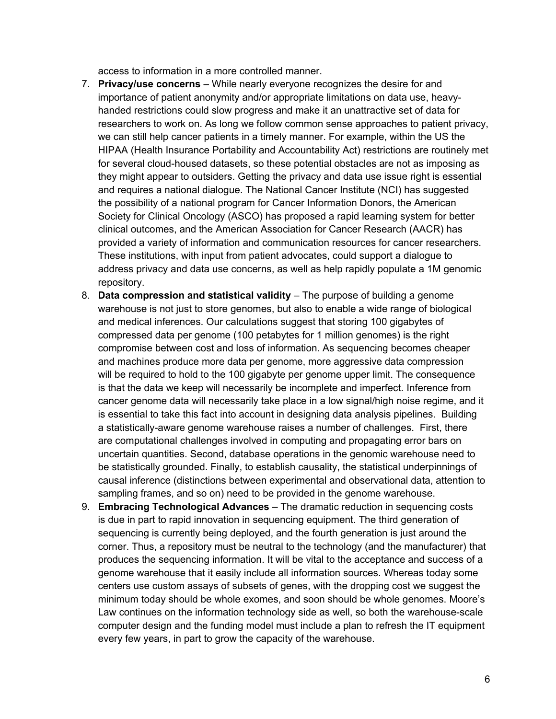access to information in a more controlled manner.

- 7. **Privacy/use concerns** While nearly everyone recognizes the desire for and importance of patient anonymity and/or appropriate limitations on data use, heavyhanded restrictions could slow progress and make it an unattractive set of data for researchers to work on. As long we follow common sense approaches to patient privacy, we can still help cancer patients in a timely manner. For example, within the US the HIPAA (Health Insurance Portability and Accountability Act) restrictions are routinely met for several cloud-housed datasets, so these potential obstacles are not as imposing as they might appear to outsiders. Getting the privacy and data use issue right is essential and requires a national dialogue. The National Cancer Institute (NCI) has suggested the possibility of a national program for Cancer Information Donors, the American Society for Clinical Oncology (ASCO) has proposed a rapid learning system for better clinical outcomes, and the American Association for Cancer Research (AACR) has provided a variety of information and communication resources for cancer researchers. These institutions, with input from patient advocates, could support a dialogue to address privacy and data use concerns, as well as help rapidly populate a 1M genomic repository.
- 8. **Data compression and statistical validity**  The purpose of building a genome warehouse is not just to store genomes, but also to enable a wide range of biological and medical inferences. Our calculations suggest that storing 100 gigabytes of compressed data per genome (100 petabytes for 1 million genomes) is the right compromise between cost and loss of information. As sequencing becomes cheaper and machines produce more data per genome, more aggressive data compression will be required to hold to the 100 gigabyte per genome upper limit. The consequence is that the data we keep will necessarily be incomplete and imperfect. Inference from cancer genome data will necessarily take place in a low signal/high noise regime, and it is essential to take this fact into account in designing data analysis pipelines. Building a statistically-aware genome warehouse raises a number of challenges. First, there are computational challenges involved in computing and propagating error bars on uncertain quantities. Second, database operations in the genomic warehouse need to be statistically grounded. Finally, to establish causality, the statistical underpinnings of causal inference (distinctions between experimental and observational data, attention to sampling frames, and so on) need to be provided in the genome warehouse.
- 9. **Embracing Technological Advances** The dramatic reduction in sequencing costs is due in part to rapid innovation in sequencing equipment. The third generation of sequencing is currently being deployed, and the fourth generation is just around the corner. Thus, a repository must be neutral to the technology (and the manufacturer) that produces the sequencing information. It will be vital to the acceptance and success of a genome warehouse that it easily include all information sources. Whereas today some centers use custom assays of subsets of genes, with the dropping cost we suggest the minimum today should be whole exomes, and soon should be whole genomes. Moore's Law continues on the information technology side as well, so both the warehouse-scale computer design and the funding model must include a plan to refresh the IT equipment every few years, in part to grow the capacity of the warehouse.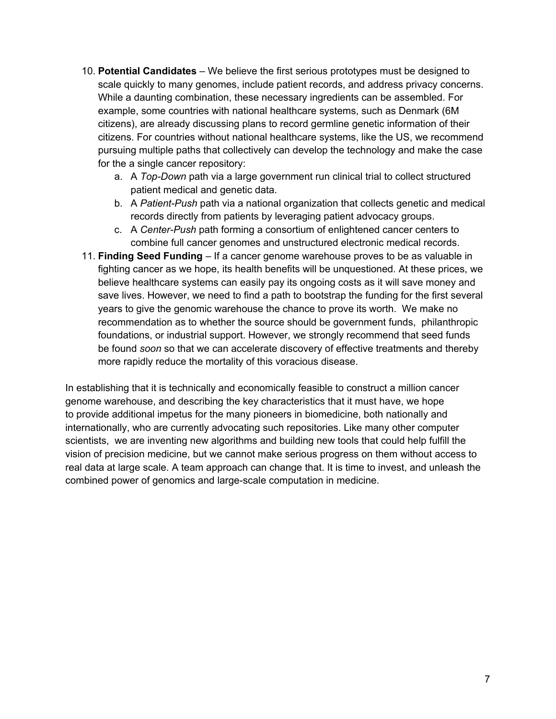- 10. **Potential Candidates** We believe the first serious prototypes must be designed to scale quickly to many genomes, include patient records, and address privacy concerns. While a daunting combination, these necessary ingredients can be assembled. For example, some countries with national healthcare systems, such as Denmark (6M citizens), are already discussing plans to record germline genetic information of their citizens. For countries without national healthcare systems, like the US, we recommend pursuing multiple paths that collectively can develop the technology and make the case for the a single cancer repository:
	- a. A *Top-Down* path via a large government run clinical trial to collect structured patient medical and genetic data.
	- b. A *Patient-Push* path via a national organization that collects genetic and medical records directly from patients by leveraging patient advocacy groups.
	- c. A *Center-Push* path forming a consortium of enlightened cancer centers to combine full cancer genomes and unstructured electronic medical records.
- 11. **Finding Seed Funding** If a cancer genome warehouse proves to be as valuable in fighting cancer as we hope, its health benefits will be unquestioned. At these prices, we believe healthcare systems can easily pay its ongoing costs as it will save money and save lives. However, we need to find a path to bootstrap the funding for the first several years to give the genomic warehouse the chance to prove its worth. We make no recommendation as to whether the source should be government funds, philanthropic foundations, or industrial support. However, we strongly recommend that seed funds be found *soon* so that we can accelerate discovery of effective treatments and thereby more rapidly reduce the mortality of this voracious disease.

In establishing that it is technically and economically feasible to construct a million cancer genome warehouse, and describing the key characteristics that it must have, we hope to provide additional impetus for the many pioneers in biomedicine, both nationally and internationally, who are currently advocating such repositories. Like many other computer scientists, we are inventing new algorithms and building new tools that could help fulfill the vision of precision medicine, but we cannot make serious progress on them without access to real data at large scale. A team approach can change that. It is time to invest, and unleash the combined power of genomics and large-scale computation in medicine.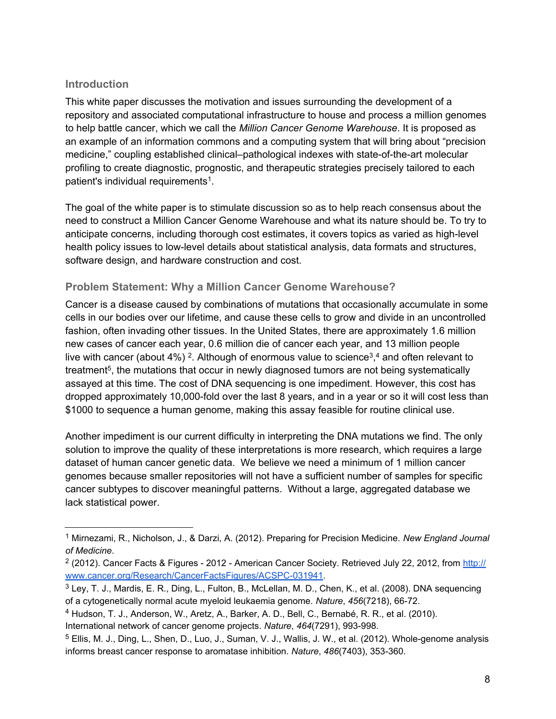## <span id="page-9-0"></span>**Introduction**

This white paper discusses the motivation and issues surrounding the development of a repository and associated computational infrastructure to house and process a million genomes to help battle cancer, which we call the *Million Cancer Genome Warehouse*. It is proposed as an example of an information commons and a computing system that will bring about "precision medicine," coupling established clinical–pathological indexes with state-of-the-art molecular profiling to create diagnostic, prognostic, and therapeutic strategies precisely tailored to each patient's individual requirements<sup>1</sup>.

The goal of the white paper is to stimulate discussion so as to help reach consensus about the need to construct a Million Cancer Genome Warehouse and what its nature should be. To try to anticipate concerns, including thorough cost estimates, it covers topics as varied as high-level health policy issues to low-level details about statistical analysis, data formats and structures, software design, and hardware construction and cost.

## **Problem Statement: Why a Million Cancer Genome Warehouse?**

Cancer is a disease caused by combinations of mutations that occasionally accumulate in some cells in our bodies over our lifetime, and cause these cells to grow and divide in an uncontrolled fashion, often invading other tissues. In the United States, there are approximately 1.6 million new cases of cancer each year, 0.6 million die of cancer each year, and 13 million people live with cancer (about 4%) <sup>2</sup>. Although of enormous value to science<sup>3</sup>,<sup>4</sup> and often relevant to treatment<sup>5</sup>, the mutations that occur in newly diagnosed tumors are not being systematically assayed at this time. The cost of DNA sequencing is one impediment. However, this cost has dropped approximately 10,000-fold over the last 8 years, and in a year or so it will cost less than \$1000 to sequence a human genome, making this assay feasible for routine clinical use.

Another impediment is our current difficulty in interpreting the DNA mutations we find. The only solution to improve the quality of these interpretations is more research, which requires a large dataset of human cancer genetic data. We believe we need a minimum of 1 million cancer genomes because smaller repositories will not have a sufficient number of samples for specific cancer subtypes to discover meaningful patterns. Without a large, aggregated database we lack statistical power.

International network of cancer genome projects. *Nature*, *464*(7291), 993-998.

<sup>1</sup> Mirnezami, R., Nicholson, J., & Darzi, A. (2012). Preparing for Precision Medicine. *New England Journal of Medicine*.

<sup>&</sup>lt;sup>2</sup> (2012). Cancer Facts & Figures - 2012 - A[m](http://www.cancer.org/Research/CancerFactsFigures/ACSPC-031941)erican Cancer Society. Retrieved July 22, 2012, from [http://](http://www.cancer.org/Research/CancerFactsFigures/ACSPC-031941) [www.cancer.org/Research/CancerFactsFigures/ACSPC-031941](http://www.cancer.org/Research/CancerFactsFigures/ACSPC-031941).

<sup>&</sup>lt;sup>3</sup> Ley, T. J., Mardis, E. R., Ding, L., Fulton, B., McLellan, M. D., Chen, K., et al. (2008). DNA sequencing of a cytogenetically normal acute myeloid leukaemia genome. *Nature*, *456*(7218), 66-72.

<sup>4</sup> Hudson, T. J., Anderson, W., Aretz, A., Barker, A. D., Bell, C., Bernabé, R. R., et al. (2010).

<sup>5</sup> Ellis, M. J., Ding, L., Shen, D., Luo, J., Suman, V. J., Wallis, J. W., et al. (2012). Whole-genome analysis informs breast cancer response to aromatase inhibition. *Nature*, *486*(7403), 353-360.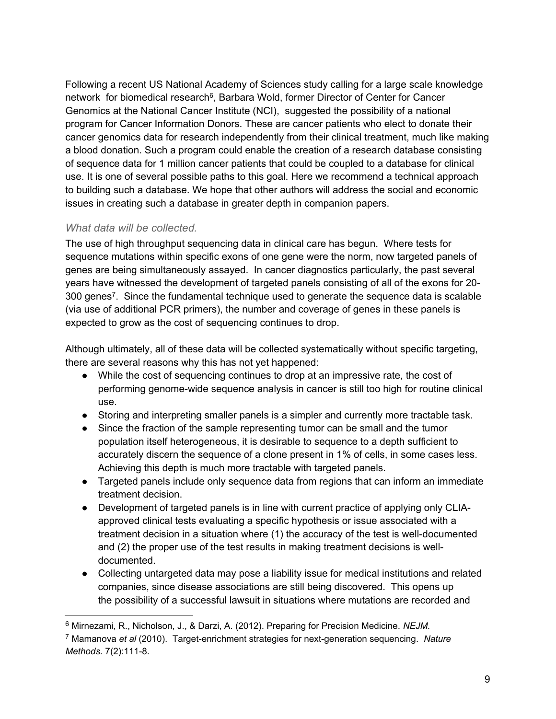Following a recent US National Academy of Sciences study calling for a large scale knowledge network for biomedical research<sup>6</sup>, Barbara Wold, former Director of Center for Cancer Genomics at the National Cancer Institute (NCI), suggested the possibility of a national program for Cancer Information Donors. These are cancer patients who elect to donate their cancer genomics data for research independently from their clinical treatment, much like making a blood donation. Such a program could enable the creation of a research database consisting of sequence data for 1 million cancer patients that could be coupled to a database for clinical use. It is one of several possible paths to this goal. Here we recommend a technical approach to building such a database. We hope that other authors will address the social and economic issues in creating such a database in greater depth in companion papers.

## *What data will be collected.*

The use of high throughput sequencing data in clinical care has begun. Where tests for sequence mutations within specific exons of one gene were the norm, now targeted panels of genes are being simultaneously assayed. In cancer diagnostics particularly, the past several years have witnessed the development of targeted panels consisting of all of the exons for 20- 300 genes<sup>7</sup>. Since the fundamental technique used to generate the sequence data is scalable (via use of additional PCR primers), the number and coverage of genes in these panels is expected to grow as the cost of sequencing continues to drop.

Although ultimately, all of these data will be collected systematically without specific targeting, there are several reasons why this has not yet happened:

- While the cost of sequencing continues to drop at an impressive rate, the cost of performing genome-wide sequence analysis in cancer is still too high for routine clinical use.
- Storing and interpreting smaller panels is a simpler and currently more tractable task.
- Since the fraction of the sample representing tumor can be small and the tumor population itself heterogeneous, it is desirable to sequence to a depth sufficient to accurately discern the sequence of a clone present in 1% of cells, in some cases less. Achieving this depth is much more tractable with targeted panels.
- Targeted panels include only sequence data from regions that can inform an immediate treatment decision.
- Development of targeted panels is in line with current practice of applying only CLIAapproved clinical tests evaluating a specific hypothesis or issue associated with a treatment decision in a situation where (1) the accuracy of the test is well-documented and (2) the proper use of the test results in making treatment decisions is welldocumented.
- Collecting untargeted data may pose a liability issue for medical institutions and related companies, since disease associations are still being discovered. This opens up the possibility of a successful lawsuit in situations where mutations are recorded and

<sup>6</sup> Mirnezami, R., Nicholson, J., & Darzi, A. (2012). Preparing for Precision Medicine. *NEJM.*

<sup>7</sup> Mamanova *et al* (2010). Target-enrichment strategies for next-generation sequencing. *Nature Methods*. 7(2):111-8.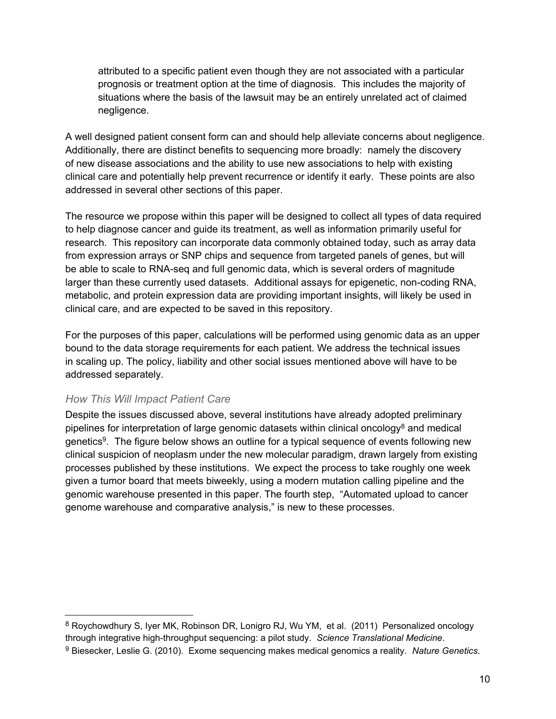<span id="page-11-0"></span>attributed to a specific patient even though they are not associated with a particular prognosis or treatment option at the time of diagnosis. This includes the majority of situations where the basis of the lawsuit may be an entirely unrelated act of claimed negligence.

A well designed patient consent form can and should help alleviate concerns about negligence. Additionally, there are distinct benefits to sequencing more broadly: namely the discovery of new disease associations and the ability to use new associations to help with existing clinical care and potentially help prevent recurrence or identify it early. These points are also addressed in several other sections of this paper.

The resource we propose within this paper will be designed to collect all types of data required to help diagnose cancer and guide its treatment, as well as information primarily useful for research. This repository can incorporate data commonly obtained today, such as array data from expression arrays or SNP chips and sequence from targeted panels of genes, but will be able to scale to RNA-seq and full genomic data, which is several orders of magnitude larger than these currently used datasets. Additional assays for epigenetic, non-coding RNA, metabolic, and protein expression data are providing important insights, will likely be used in clinical care, and are expected to be saved in this repository.

For the purposes of this paper, calculations will be performed using genomic data as an upper bound to the data storage requirements for each patient. We address the technical issues in scaling up. The policy, liability and other social issues mentioned above will have to be addressed separately.

#### *How This Will Impact Patient Care*

Despite the issues discussed above, several institutions have already adopted preliminary pipelines for interpretation of large genomic datasets within clinical oncology<sup>8</sup> and medical genetics<sup>9</sup>. The figure below shows an outline for a typical sequence of events following new clinical suspicion of neoplasm under the new molecular paradigm, drawn largely from existing processes published by these institutions. We expect the process to take roughly one week given a tumor board that meets biweekly, using a modern mutation calling pipeline and the genomic warehouse presented in this paper. The fourth step, "Automated upload to cancer genome warehouse and comparative analysis," is new to these processes.

<sup>&</sup>lt;sup>8</sup> Roychowdhury S, Iyer MK, Robinson DR, Lonigro RJ, Wu YM, et al. (2011) Personalized oncology through integrative high-throughput sequencing: a pilot study. *Science Translational Medicine*.

<sup>9</sup> Biesecker, Leslie G. (2010). Exome sequencing makes medical genomics a reality. *Nature Genetics*.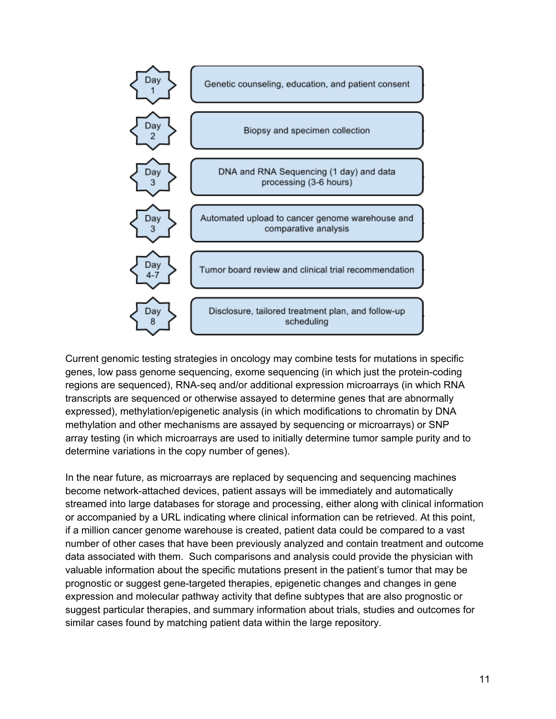

Current genomic testing strategies in oncology may combine tests for mutations in specific genes, low pass genome sequencing, exome sequencing (in which just the protein-coding regions are sequenced), RNA-seq and/or additional expression microarrays (in which RNA transcripts are sequenced or otherwise assayed to determine genes that are abnormally expressed), methylation/epigenetic analysis (in which modifications to chromatin by DNA methylation and other mechanisms are assayed by sequencing or microarrays) or SNP array testing (in which microarrays are used to initially determine tumor sample purity and to determine variations in the copy number of genes).

In the near future, as microarrays are replaced by sequencing and sequencing machines become network-attached devices, patient assays will be immediately and automatically streamed into large databases for storage and processing, either along with clinical information or accompanied by a URL indicating where clinical information can be retrieved. At this point, if a million cancer genome warehouse is created, patient data could be compared to a vast number of other cases that have been previously analyzed and contain treatment and outcome data associated with them. Such comparisons and analysis could provide the physician with valuable information about the specific mutations present in the patient's tumor that may be prognostic or suggest gene-targeted therapies, epigenetic changes and changes in gene expression and molecular pathway activity that define subtypes that are also prognostic or suggest particular therapies, and summary information about trials, studies and outcomes for similar cases found by matching patient data within the large repository.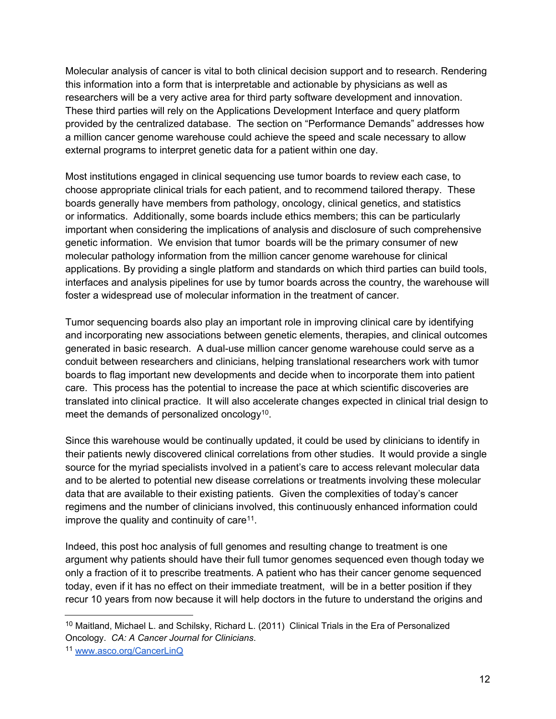Molecular analysis of cancer is vital to both clinical decision support and to research. Rendering this information into a form that is interpretable and actionable by physicians as well as researchers will be a very active area for third party software development and innovation. These third parties will rely on the Applications Development Interface and query platform provided by the centralized database. The section on "Performance Demands" addresses how a million cancer genome warehouse could achieve the speed and scale necessary to allow external programs to interpret genetic data for a patient within one day.

Most institutions engaged in clinical sequencing use tumor boards to review each case, to choose appropriate clinical trials for each patient, and to recommend tailored therapy. These boards generally have members from pathology, oncology, clinical genetics, and statistics or informatics. Additionally, some boards include ethics members; this can be particularly important when considering the implications of analysis and disclosure of such comprehensive genetic information. We envision that tumor boards will be the primary consumer of new molecular pathology information from the million cancer genome warehouse for clinical applications. By providing a single platform and standards on which third parties can build tools, interfaces and analysis pipelines for use by tumor boards across the country, the warehouse will foster a widespread use of molecular information in the treatment of cancer.

Tumor sequencing boards also play an important role in improving clinical care by identifying and incorporating new associations between genetic elements, therapies, and clinical outcomes generated in basic research. A dual-use million cancer genome warehouse could serve as a conduit between researchers and clinicians, helping translational researchers work with tumor boards to flag important new developments and decide when to incorporate them into patient care. This process has the potential to increase the pace at which scientific discoveries are translated into clinical practice. It will also accelerate changes expected in clinical trial design to meet the demands of personalized oncology<sup>10</sup>.

Since this warehouse would be continually updated, it could be used by clinicians to identify in their patients newly discovered clinical correlations from other studies. It would provide a single source for the myriad specialists involved in a patient's care to access relevant molecular data and to be alerted to potential new disease correlations or treatments involving these molecular data that are available to their existing patients. Given the complexities of today's cancer regimens and the number of clinicians involved, this continuously enhanced information could improve the quality and continuity of care<sup>11</sup>.

Indeed, this post hoc analysis of full genomes and resulting change to treatment is one argument why patients should have their full tumor genomes sequenced even though today we only a fraction of it to prescribe treatments. A patient who has their cancer genome sequenced today, even if it has no effect on their immediate treatment, will be in a better position if they recur 10 years from now because it will help doctors in the future to understand the origins and

<sup>10</sup> Maitland, Michael L. and Schilsky, Richard L. (2011) Clinical Trials in the Era of Personalized Oncology. *CA: A Cancer Journal for Clinicians*.

<sup>11</sup> [www.asco.org/CancerLinQ](http://www.asco.org/CancerLinQ)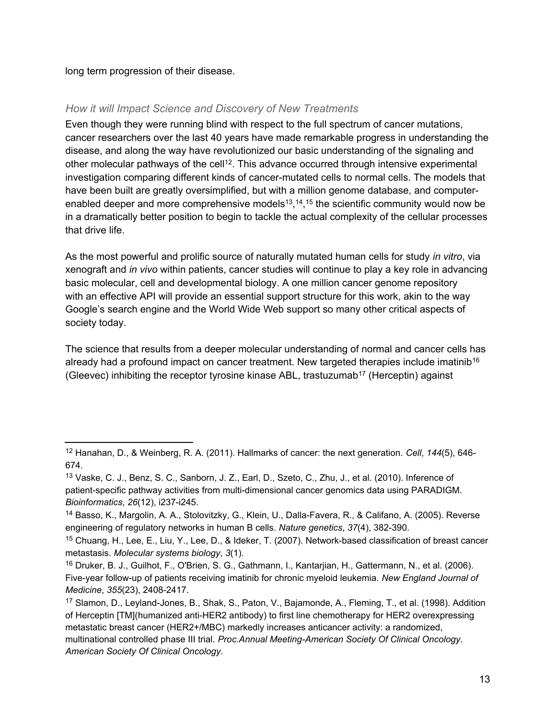long term progression of their disease.

## *How it will Impact Science and Discovery of New Treatments*

Even though they were running blind with respect to the full spectrum of cancer mutations, cancer researchers over the last 40 years have made remarkable progress in understanding the disease, and along the way have revolutionized our basic understanding of the signaling and other molecular pathways of the cell<sup>12</sup>. This advance occurred through intensive experimental investigation comparing different kinds of cancer-mutated cells to normal cells. The models that have been built are greatly oversimplified, but with a million genome database, and computerenabled deeper and more comprehensive models<sup>13</sup>,<sup>14</sup>,<sup>15</sup> the scientific community would now be in a dramatically better position to begin to tackle the actual complexity of the cellular processes that drive life.

As the most powerful and prolific source of naturally mutated human cells for study *in vitro*, via xenograft and *in vivo* within patients, cancer studies will continue to play a key role in advancing basic molecular, cell and developmental biology. A one million cancer genome repository with an effective API will provide an essential support structure for this work, akin to the way Google's search engine and the World Wide Web support so many other critical aspects of society today.

The science that results from a deeper molecular understanding of normal and cancer cells has already had a profound impact on cancer treatment. New targeted therapies include imatinib<sup>16</sup> (Gleevec) inhibiting the receptor tyrosine kinase ABL, trastuzumab<sup>17</sup> (Herceptin) against

<sup>12</sup> Hanahan, D., & Weinberg, R. A. (2011). Hallmarks of cancer: the next generation. *Cell*, *144*(5), 646- 674.

<sup>13</sup> Vaske, C. J., Benz, S. C., Sanborn, J. Z., Earl, D., Szeto, C., Zhu, J., et al. (2010). Inference of patient-specific pathway activities from multi-dimensional cancer genomics data using PARADIGM. *Bioinformatics*, *26*(12), i237-i245.

<sup>14</sup> Basso, K., Margolin, A. A., Stolovitzky, G., Klein, U., Dalla-Favera, R., & Califano, A. (2005). Reverse engineering of regulatory networks in human B cells. *Nature genetics*, *37*(4), 382-390.

<sup>15</sup> Chuang, H., Lee, E., Liu, Y., Lee, D., & Ideker, T. (2007). Network-based classification of breast cancer metastasis. *Molecular systems biology*, *3*(1).

<sup>16</sup> Druker, B. J., Guilhot, F., O'Brien, S. G., Gathmann, I., Kantarjian, H., Gattermann, N., et al. (2006). Five-year follow-up of patients receiving imatinib for chronic myeloid leukemia. *New England Journal of Medicine*, *355*(23), 2408-2417.

<sup>17</sup> Slamon, D., Leyland-Jones, B., Shak, S., Paton, V., Bajamonde, A., Fleming, T., et al. (1998). Addition of Herceptin [TM](humanized anti-HER2 antibody) to first line chemotherapy for HER2 overexpressing metastatic breast cancer (HER2+/MBC) markedly increases anticancer activity: a randomized, multinational controlled phase III trial. *Proc.Annual Meeting-American Society Of Clinical Oncology. American Society Of Clinical Oncology*.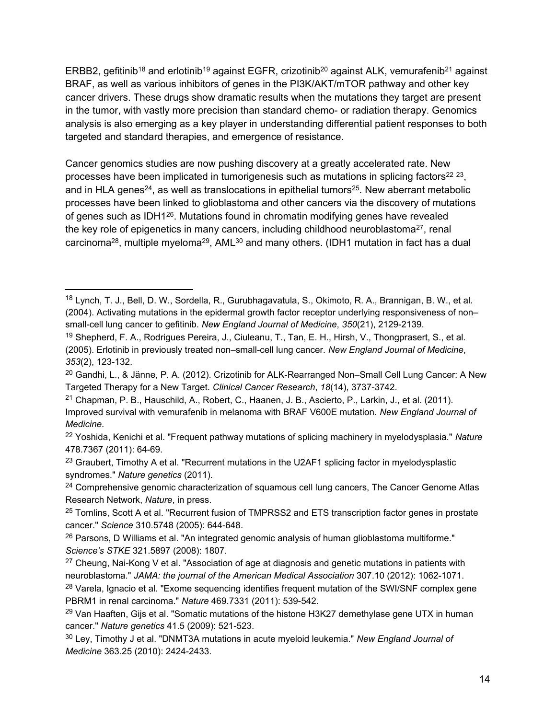ERBB2, gefitinib<sup>18</sup> and erlotinib<sup>19</sup> against EGFR, crizotinib<sup>20</sup> against ALK, vemurafenib<sup>21</sup> against BRAF, as well as various inhibitors of genes in the PI3K/AKT/mTOR pathway and other key cancer drivers. These drugs show dramatic results when the mutations they target are present in the tumor, with vastly more precision than standard chemo- or radiation therapy. Genomics analysis is also emerging as a key player in understanding differential patient responses to both targeted and standard therapies, and emergence of resistance.

Cancer genomics studies are now pushing discovery at a greatly accelerated rate. New processes have been implicated in tumorigenesis such as mutations in splicing factors<sup>22 23</sup>, and in HLA genes<sup>24</sup>, as well as translocations in epithelial tumors<sup>25</sup>. New aberrant metabolic processes have been linked to glioblastoma and other cancers via the discovery of mutations of genes such as IDH1<sup>26</sup>. Mutations found in chromatin modifying genes have revealed the key role of epigenetics in many cancers, including childhood neuroblastoma<sup>27</sup>, renal carcinoma<sup>28</sup>, multiple myeloma<sup>29</sup>, AML<sup>30</sup> and many others. (IDH1 mutation in fact has a dual

<sup>18</sup> Lynch, T. J., Bell, D. W., Sordella, R., Gurubhagavatula, S., Okimoto, R. A., Brannigan, B. W., et al. (2004). Activating mutations in the epidermal growth factor receptor underlying responsiveness of non– small-cell lung cancer to gefitinib. *New England Journal of Medicine*, *350*(21), 2129-2139.

<sup>19</sup> Shepherd, F. A., Rodrigues Pereira, J., Ciuleanu, T., Tan, E. H., Hirsh, V., Thongprasert, S., et al. (2005). Erlotinib in previously treated non–small-cell lung cancer. *New England Journal of Medicine*, *353*(2), 123-132.

<sup>&</sup>lt;sup>20</sup> Gandhi, L., & Jänne, P. A. (2012). Crizotinib for ALK-Rearranged Non–Small Cell Lung Cancer: A New Targeted Therapy for a New Target. *Clinical Cancer Research*, *18*(14), 3737-3742.

<sup>21</sup> Chapman, P. B., Hauschild, A., Robert, C., Haanen, J. B., Ascierto, P., Larkin, J., et al. (2011). Improved survival with vemurafenib in melanoma with BRAF V600E mutation. *New England Journal of Medicine*.

<sup>22</sup> Yoshida, Kenichi et al. "Frequent pathway mutations of splicing machinery in myelodysplasia." *Nature* 478.7367 (2011): 64-69.

 $23$  Graubert, Timothy A et al. "Recurrent mutations in the U2AF1 splicing factor in myelodysplastic syndromes." *Nature genetics* (2011).

<sup>&</sup>lt;sup>24</sup> Comprehensive genomic characterization of squamous cell lung cancers, The Cancer Genome Atlas Research Network, *Nature*, in press.

<sup>&</sup>lt;sup>25</sup> Tomlins, Scott A et al. "Recurrent fusion of TMPRSS2 and ETS transcription factor genes in prostate cancer." *Science* 310.5748 (2005): 644-648.

<sup>&</sup>lt;sup>26</sup> Parsons, D Williams et al. "An integrated genomic analysis of human glioblastoma multiforme." *Science's STKE* 321.5897 (2008): 1807.

 $27$  Cheung, Nai-Kong V et al. "Association of age at diagnosis and genetic mutations in patients with neuroblastoma." *JAMA: the journal of the American Medical Association* 307.10 (2012): 1062-1071.

<sup>&</sup>lt;sup>28</sup> Varela, Ignacio et al. "Exome sequencing identifies frequent mutation of the SWI/SNF complex gene PBRM1 in renal carcinoma." *Nature* 469.7331 (2011): 539-542.

<sup>&</sup>lt;sup>29</sup> Van Haaften, Gijs et al. "Somatic mutations of the histone H3K27 demethylase gene UTX in human cancer." *Nature genetics* 41.5 (2009): 521-523.

<sup>30</sup> Ley, Timothy J et al. "DNMT3A mutations in acute myeloid leukemia." *New England Journal of Medicine* 363.25 (2010): 2424-2433.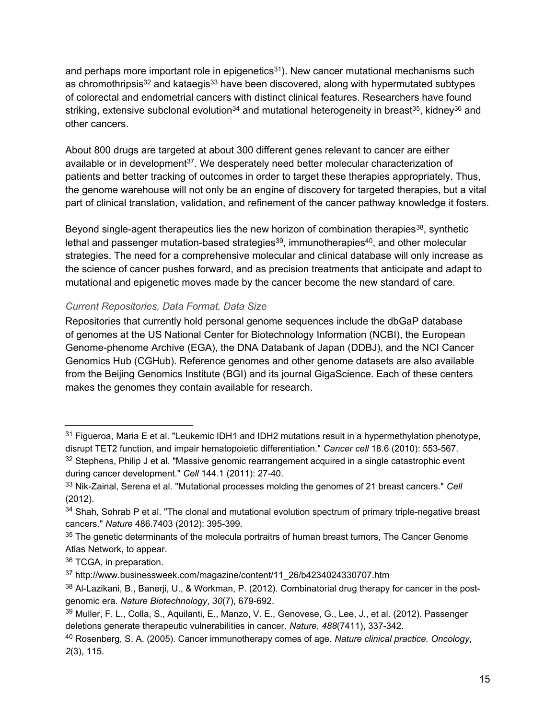<span id="page-16-0"></span>and perhaps more important role in epigenetics<sup>31</sup>). New cancer mutational mechanisms such as chromothripsis<sup>32</sup> and kataegis<sup>33</sup> have been discovered, along with hypermutated subtypes of colorectal and endometrial cancers with distinct clinical features. Researchers have found striking, extensive subclonal evolution<sup>34</sup> and mutational heterogeneity in breast<sup>35</sup>, kidney<sup>36</sup> and other cancers.

About 800 drugs are targeted at about 300 different genes relevant to cancer are either available or in development<sup>37</sup>. We desperately need better molecular characterization of patients and better tracking of outcomes in order to target these therapies appropriately. Thus, the genome warehouse will not only be an engine of discovery for targeted therapies, but a vital part of clinical translation, validation, and refinement of the cancer pathway knowledge it fosters.

Beyond single-agent therapeutics lies the new horizon of combination therapies<sup>38</sup>, synthetic lethal and passenger mutation-based strategies<sup>39</sup>, immunotherapies<sup>40</sup>, and other molecular strategies. The need for a comprehensive molecular and clinical database will only increase as the science of cancer pushes forward, and as precision treatments that anticipate and adapt to mutational and epigenetic moves made by the cancer become the new standard of care.

#### *Current Repositories, Data Format, Data Size*

Repositories that currently hold personal genome sequences include the dbGaP database of genomes at the US National Center for Biotechnology Information (NCBI), the European Genome-phenome Archive (EGA), the DNA Databank of Japan (DDBJ), and the NCI Cancer Genomics Hub (CGHub). Reference genomes and other genome datasets are also available from the Beijing Genomics Institute (BGI) and its journal GigaScience. Each of these centers makes the genomes they contain available for research.

 $31$  Figueroa, Maria E et al. "Leukemic IDH1 and IDH2 mutations result in a hypermethylation phenotype, disrupt TET2 function, and impair hematopoietic differentiation." *Cancer cell* 18.6 (2010): 553-567.

<sup>32</sup> Stephens, Philip J et al. "Massive genomic rearrangement acquired in a single catastrophic event during cancer development." *Cell* 144.1 (2011): 27-40.

<sup>33</sup> Nik-Zainal, Serena et al. "Mutational processes molding the genomes of 21 breast cancers." *Cell* (2012).

<sup>34</sup> Shah, Sohrab P et al. "The clonal and mutational evolution spectrum of primary triple-negative breast cancers." *Nature* 486.7403 (2012): 395-399.

<sup>&</sup>lt;sup>35</sup> The genetic determinants of the molecula portraitrs of human breast tumors, The Cancer Genome Atlas Network, to appear.

<sup>36</sup> TCGA, in preparation.

<sup>37</sup> http://www.businessweek.com/magazine/content/11\_26/b4234024330707.htm

<sup>38</sup> Al-Lazikani, B., Banerji, U., & Workman, P. (2012). Combinatorial drug therapy for cancer in the postgenomic era. *Nature Biotechnology*, *30*(7), 679-692.

<sup>39</sup> Muller, F. L., Colla, S., Aquilanti, E., Manzo, V. E., Genovese, G., Lee, J., et al. (2012). Passenger deletions generate therapeutic vulnerabilities in cancer. *Nature*, *488*(7411), 337-342.

<sup>40</sup> Rosenberg, S. A. (2005). Cancer immunotherapy comes of age. *Nature clinical practice. Oncology*, *2*(3), 115.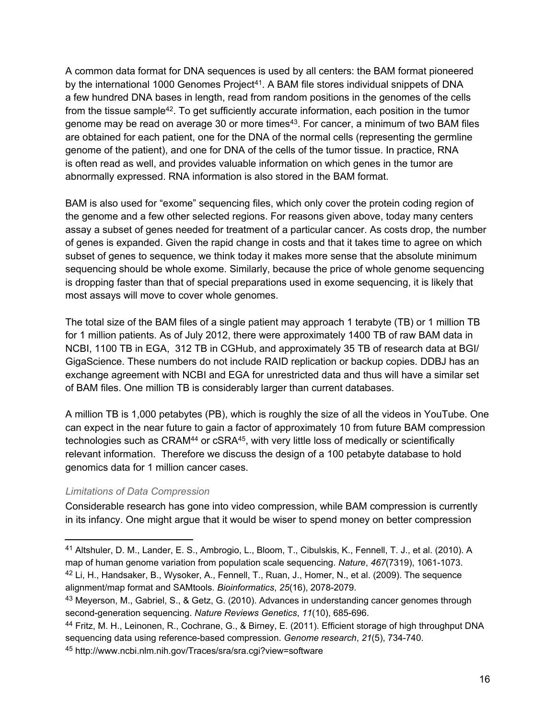<span id="page-17-0"></span>A common data format for DNA sequences is used by all centers: the BAM format pioneered by the international 1000 Genomes Project<sup>41</sup>. A BAM file stores individual snippets of DNA a few hundred DNA bases in length, read from random positions in the genomes of the cells from the tissue sample<sup>42</sup>. To get sufficiently accurate information, each position in the tumor genome may be read on average 30 or more times<sup>43</sup>. For cancer, a minimum of two BAM files are obtained for each patient, one for the DNA of the normal cells (representing the germline genome of the patient), and one for DNA of the cells of the tumor tissue. In practice, RNA is often read as well, and provides valuable information on which genes in the tumor are abnormally expressed. RNA information is also stored in the BAM format.

BAM is also used for "exome" sequencing files, which only cover the protein coding region of the genome and a few other selected regions. For reasons given above, today many centers assay a subset of genes needed for treatment of a particular cancer. As costs drop, the number of genes is expanded. Given the rapid change in costs and that it takes time to agree on which subset of genes to sequence, we think today it makes more sense that the absolute minimum sequencing should be whole exome. Similarly, because the price of whole genome sequencing is dropping faster than that of special preparations used in exome sequencing, it is likely that most assays will move to cover whole genomes.

The total size of the BAM files of a single patient may approach 1 terabyte (TB) or 1 million TB for 1 million patients. As of July 2012, there were approximately 1400 TB of raw BAM data in NCBI, 1100 TB in EGA, 312 TB in CGHub, and approximately 35 TB of research data at BGI/ GigaScience. These numbers do not include RAID replication or backup copies. DDBJ has an exchange agreement with NCBI and EGA for unrestricted data and thus will have a similar set of BAM files. One million TB is considerably larger than current databases.

A million TB is 1,000 petabytes (PB), which is roughly the size of all the videos in YouTube. One can expect in the near future to gain a factor of approximately 10 from future BAM compression technologies such as CRAM<sup>44</sup> or cSRA<sup>45</sup>, with very little loss of medically or scientifically relevant information. Therefore we discuss the design of a 100 petabyte database to hold genomics data for 1 million cancer cases.

#### *Limitations of Data Compression*

Considerable research has gone into video compression, while BAM compression is currently in its infancy. One might argue that it would be wiser to spend money on better compression

<sup>41</sup> Altshuler, D. M., Lander, E. S., Ambrogio, L., Bloom, T., Cibulskis, K., Fennell, T. J., et al. (2010). A map of human genome variation from population scale sequencing. *Nature*, *467*(7319), 1061-1073. <sup>42</sup> Li, H., Handsaker, B., Wysoker, A., Fennell, T., Ruan, J., Homer, N., et al. (2009). The sequence alignment/map format and SAMtools. *Bioinformatics*, *25*(16), 2078-2079.

<sup>43</sup> Meyerson, M., Gabriel, S., & Getz, G. (2010). Advances in understanding cancer genomes through second-generation sequencing. *Nature Reviews Genetics*, *11*(10), 685-696.

<sup>44</sup> Fritz, M. H., Leinonen, R., Cochrane, G., & Birney, E. (2011). Efficient storage of high throughput DNA sequencing data using reference-based compression. *Genome research*, *21*(5), 734-740.

<sup>45</sup> http://www.ncbi.nlm.nih.gov/Traces/sra/sra.cgi?view=software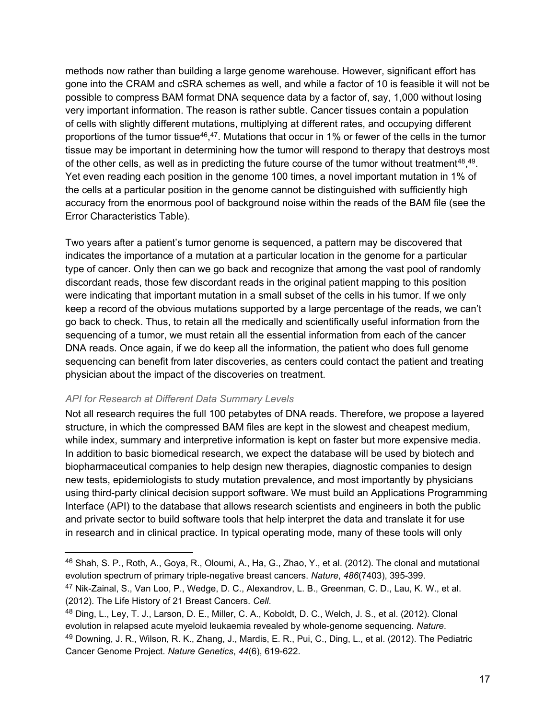<span id="page-18-0"></span>methods now rather than building a large genome warehouse. However, significant effort has gone into the CRAM and cSRA schemes as well, and while a factor of 10 is feasible it will not be possible to compress BAM format DNA sequence data by a factor of, say, 1,000 without losing very important information. The reason is rather subtle. Cancer tissues contain a population of cells with slightly different mutations, multiplying at different rates, and occupying different proportions of the tumor tissue<sup>46</sup>,<sup>47</sup>. Mutations that occur in 1% or fewer of the cells in the tumor tissue may be important in determining how the tumor will respond to therapy that destroys most of the other cells, as well as in predicting the future course of the tumor without treatment<sup>48</sup>,<sup>49</sup>. Yet even reading each position in the genome 100 times, a novel important mutation in 1% of the cells at a particular position in the genome cannot be distinguished with sufficiently high accuracy from the enormous pool of background noise within the reads of the BAM file (see the Error Characteristics Table).

Two years after a patient's tumor genome is sequenced, a pattern may be discovered that indicates the importance of a mutation at a particular location in the genome for a particular type of cancer. Only then can we go back and recognize that among the vast pool of randomly discordant reads, those few discordant reads in the original patient mapping to this position were indicating that important mutation in a small subset of the cells in his tumor. If we only keep a record of the obvious mutations supported by a large percentage of the reads, we can't go back to check. Thus, to retain all the medically and scientifically useful information from the sequencing of a tumor, we must retain all the essential information from each of the cancer DNA reads. Once again, if we do keep all the information, the patient who does full genome sequencing can benefit from later discoveries, as centers could contact the patient and treating physician about the impact of the discoveries on treatment.

#### *API for Research at Different Data Summary Levels*

Not all research requires the full 100 petabytes of DNA reads. Therefore, we propose a layered structure, in which the compressed BAM files are kept in the slowest and cheapest medium, while index, summary and interpretive information is kept on faster but more expensive media. In addition to basic biomedical research, we expect the database will be used by biotech and biopharmaceutical companies to help design new therapies, diagnostic companies to design new tests, epidemiologists to study mutation prevalence, and most importantly by physicians using third-party clinical decision support software. We must build an Applications Programming Interface (API) to the database that allows research scientists and engineers in both the public and private sector to build software tools that help interpret the data and translate it for use in research and in clinical practice. In typical operating mode, many of these tools will only

<sup>46</sup> Shah, S. P., Roth, A., Goya, R., Oloumi, A., Ha, G., Zhao, Y., et al. (2012). The clonal and mutational evolution spectrum of primary triple-negative breast cancers. *Nature*, *486*(7403), 395-399.

<sup>47</sup> Nik-Zainal, S., Van Loo, P., Wedge, D. C., Alexandrov, L. B., Greenman, C. D., Lau, K. W., et al. (2012). The Life History of 21 Breast Cancers. *Cell*.

<sup>48</sup> Ding, L., Ley, T. J., Larson, D. E., Miller, C. A., Koboldt, D. C., Welch, J. S., et al. (2012). Clonal evolution in relapsed acute myeloid leukaemia revealed by whole-genome sequencing. *Nature*. <sup>49</sup> Downing, J. R., Wilson, R. K., Zhang, J., Mardis, E. R., Pui, C., Ding, L., et al. (2012). The Pediatric Cancer Genome Project. *Nature Genetics*, *44*(6), 619-622.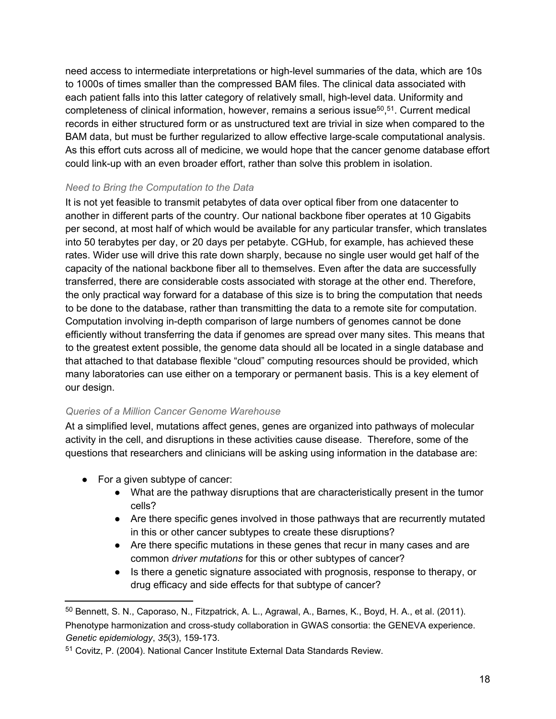<span id="page-19-0"></span>need access to intermediate interpretations or high-level summaries of the data, which are 10s to 1000s of times smaller than the compressed BAM files. The clinical data associated with each patient falls into this latter category of relatively small, high-level data. Uniformity and completeness of clinical information, however, remains a serious issue<sup>50</sup>,<sup>51</sup>. Current medical records in either structured form or as unstructured text are trivial in size when compared to the BAM data, but must be further regularized to allow effective large-scale computational analysis. As this effort cuts across all of medicine, we would hope that the cancer genome database effort could link-up with an even broader effort, rather than solve this problem in isolation.

## *Need to Bring the Computation to the Data*

It is not yet feasible to transmit petabytes of data over optical fiber from one datacenter to another in different parts of the country. Our national backbone fiber operates at 10 Gigabits per second, at most half of which would be available for any particular transfer, which translates into 50 terabytes per day, or 20 days per petabyte. CGHub, for example, has achieved these rates. Wider use will drive this rate down sharply, because no single user would get half of the capacity of the national backbone fiber all to themselves. Even after the data are successfully transferred, there are considerable costs associated with storage at the other end. Therefore, the only practical way forward for a database of this size is to bring the computation that needs to be done to the database, rather than transmitting the data to a remote site for computation. Computation involving in-depth comparison of large numbers of genomes cannot be done efficiently without transferring the data if genomes are spread over many sites. This means that to the greatest extent possible, the genome data should all be located in a single database and that attached to that database flexible "cloud" computing resources should be provided, which many laboratories can use either on a temporary or permanent basis. This is a key element of our design.

#### *Queries of a Million Cancer Genome Warehouse*

At a simplified level, mutations affect genes, genes are organized into pathways of molecular activity in the cell, and disruptions in these activities cause disease. Therefore, some of the questions that researchers and clinicians will be asking using information in the database are:

- For a given subtype of cancer:
	- What are the pathway disruptions that are characteristically present in the tumor cells?
	- Are there specific genes involved in those pathways that are recurrently mutated in this or other cancer subtypes to create these disruptions?
	- Are there specific mutations in these genes that recur in many cases and are common *driver mutations* for this or other subtypes of cancer?
	- Is there a genetic signature associated with prognosis, response to therapy, or drug efficacy and side effects for that subtype of cancer?

<sup>50</sup> Bennett, S. N., Caporaso, N., Fitzpatrick, A. L., Agrawal, A., Barnes, K., Boyd, H. A., et al. (2011). Phenotype harmonization and cross‐study collaboration in GWAS consortia: the GENEVA experience. *Genetic epidemiology*, *35*(3), 159-173.

<sup>51</sup> Covitz, P. (2004). National Cancer Institute External Data Standards Review.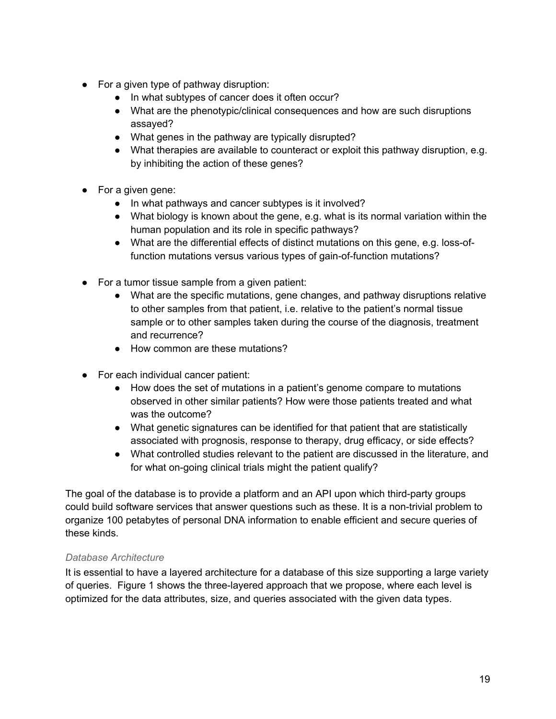- <span id="page-20-0"></span>● For a given type of pathway disruption:
	- In what subtypes of cancer does it often occur?
	- What are the phenotypic/clinical consequences and how are such disruptions assayed?
	- What genes in the pathway are typically disrupted?
	- What therapies are available to counteract or exploit this pathway disruption, e.g. by inhibiting the action of these genes?
- For a given gene:
	- In what pathways and cancer subtypes is it involved?
	- What biology is known about the gene, e.g. what is its normal variation within the human population and its role in specific pathways?
	- What are the differential effects of distinct mutations on this gene, e.g. loss-offunction mutations versus various types of gain-of-function mutations?
- For a tumor tissue sample from a given patient:
	- What are the specific mutations, gene changes, and pathway disruptions relative to other samples from that patient, i.e. relative to the patient's normal tissue sample or to other samples taken during the course of the diagnosis, treatment and recurrence?
	- How common are these mutations?
- For each individual cancer patient:
	- How does the set of mutations in a patient's genome compare to mutations observed in other similar patients? How were those patients treated and what was the outcome?
	- What genetic signatures can be identified for that patient that are statistically associated with prognosis, response to therapy, drug efficacy, or side effects?
	- What controlled studies relevant to the patient are discussed in the literature, and for what on-going clinical trials might the patient qualify?

The goal of the database is to provide a platform and an API upon which third-party groups could build software services that answer questions such as these. It is a non-trivial problem to organize 100 petabytes of personal DNA information to enable efficient and secure queries of these kinds.

#### *Database Architecture*

It is essential to have a layered architecture for a database of this size supporting a large variety of queries. Figure 1 shows the three-layered approach that we propose, where each level is optimized for the data attributes, size, and queries associated with the given data types.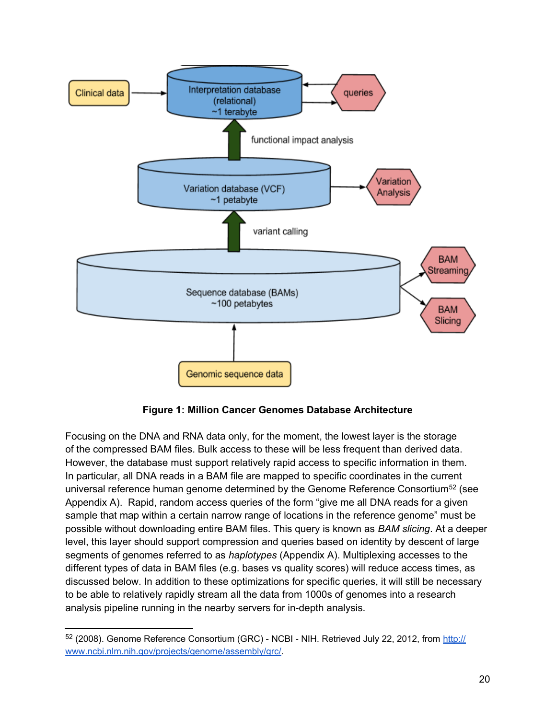

**Figure 1: Million Cancer Genomes Database Architecture**

Focusing on the DNA and RNA data only, for the moment, the lowest layer is the storage of the compressed BAM files. Bulk access to these will be less frequent than derived data. However, the database must support relatively rapid access to specific information in them. In particular, all DNA reads in a BAM file are mapped to specific coordinates in the current universal reference human genome determined by the Genome Reference Consortium<sup>52</sup> (see Appendix A). Rapid, random access queries of the form "give me all DNA reads for a given sample that map within a certain narrow range of locations in the reference genome" must be possible without downloading entire BAM files. This query is known as *BAM slicing*. At a deeper level, this layer should support compression and queries based on identity by descent of large segments of genomes referred to as *haplotypes* (Appendix A). Multiplexing accesses to the different types of data in BAM files (e.g. bases vs quality scores) will reduce access times, as discussed below. In addition to these optimizations for specific queries, it will still be necessary to be able to relatively rapidly stream all the data from 1000s of genomes into a research analysis pipeline running in the nearby servers for in-depth analysis.

<sup>52 (2008).</sup> Genome Reference Consortium (GRC) - NCBI - NIH. Retrieved July 22, 2012, from [http://](http://www.ncbi.nlm.nih.gov/projects/genome/assembly/grc/) [www.ncbi.nlm.nih.gov/projects/genome/assembly/grc/.](http://www.ncbi.nlm.nih.gov/projects/genome/assembly/grc/)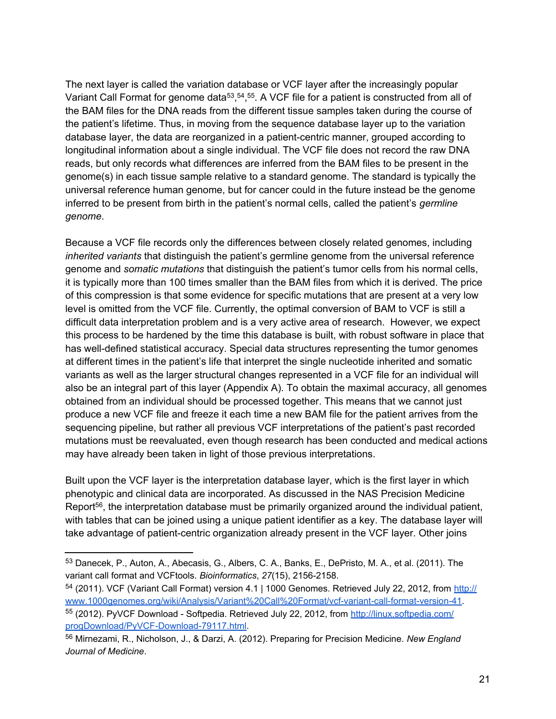The next layer is called the variation database or VCF layer after the increasingly popular Variant Call Format for genome data<sup>53</sup>,<sup>54</sup>,<sup>55</sup>. A VCF file for a patient is constructed from all of the BAM files for the DNA reads from the different tissue samples taken during the course of the patient's lifetime. Thus, in moving from the sequence database layer up to the variation database layer, the data are reorganized in a patient-centric manner, grouped according to longitudinal information about a single individual. The VCF file does not record the raw DNA reads, but only records what differences are inferred from the BAM files to be present in the genome(s) in each tissue sample relative to a standard genome. The standard is typically the universal reference human genome, but for cancer could in the future instead be the genome inferred to be present from birth in the patient's normal cells, called the patient's *germline genome*.

Because a VCF file records only the differences between closely related genomes, including *inherited variants* that distinguish the patient's germline genome from the universal reference genome and *somatic mutations* that distinguish the patient's tumor cells from his normal cells, it is typically more than 100 times smaller than the BAM files from which it is derived. The price of this compression is that some evidence for specific mutations that are present at a very low level is omitted from the VCF file. Currently, the optimal conversion of BAM to VCF is still a difficult data interpretation problem and is a very active area of research. However, we expect this process to be hardened by the time this database is built, with robust software in place that has well-defined statistical accuracy. Special data structures representing the tumor genomes at different times in the patient's life that interpret the single nucleotide inherited and somatic variants as well as the larger structural changes represented in a VCF file for an individual will also be an integral part of this layer (Appendix A). To obtain the maximal accuracy, all genomes obtained from an individual should be processed together. This means that we cannot just produce a new VCF file and freeze it each time a new BAM file for the patient arrives from the sequencing pipeline, but rather all previous VCF interpretations of the patient's past recorded mutations must be reevaluated, even though research has been conducted and medical actions may have already been taken in light of those previous interpretations.

Built upon the VCF layer is the interpretation database layer, which is the first layer in which phenotypic and clinical data are incorporated. As discussed in the NAS Precision Medicine Report<sup>56</sup>, the interpretation database must be primarily organized around the individual patient, with tables that can be joined using a unique patient identifier as a key. The database layer will take advantage of patient-centric organization already present in the VCF layer. Other joins

<sup>53</sup> Danecek, P., Auton, A., Abecasis, G., Albers, C. A., Banks, E., DePristo, M. A., et al. (2011). The variant call format and VCFtools. *Bioinformatics*, *27*(15), 2156-2158.

<sup>54 (2011).</sup> VCF (Variant Call For[m](http://www.1000genomes.org/wiki/Analysis/Variant%20Call%20Format/vcf-variant-call-format-version-41)at) version 4.1 | 1000 Genomes. Retrieved July 22, 2012, from [http://](http://www.1000genomes.org/wiki/Analysis/Variant%20Call%20Format/vcf-variant-call-format-version-41) [www.1000genomes.org/wiki/Analysis/Variant%20Call%20Format/vcf-variant-call-format-version-41.](http://www.1000genomes.org/wiki/Analysis/Variant%20Call%20Format/vcf-variant-call-format-version-41) 55 (2012). PyVCF Download - Softpedia. Retrieved July 22, 2012, from [http://linux.softpedia.com/](http://linux.softpedia.com/progDownload/PyVCF-Download-79117.html) [progDownload/PyVCF-Download-79117.html.](http://linux.softpedia.com/progDownload/PyVCF-Download-79117.html)

<sup>56</sup> Mirnezami, R., Nicholson, J., & Darzi, A. (2012). Preparing for Precision Medicine. *New England Journal of Medicine*.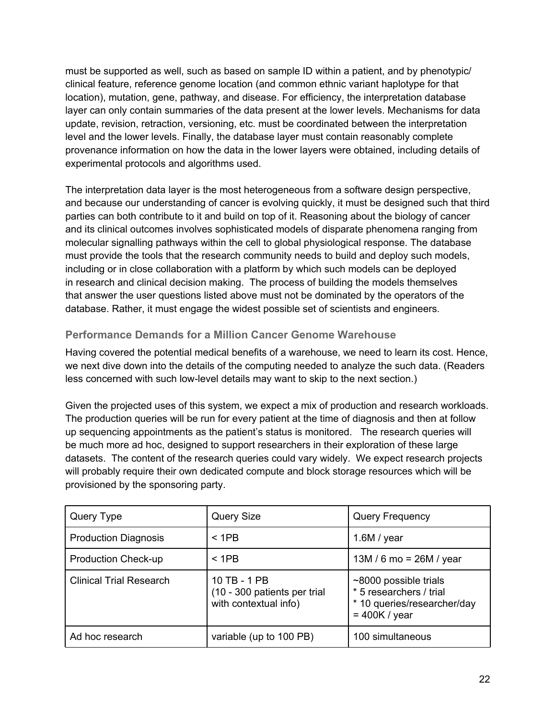<span id="page-23-0"></span>must be supported as well, such as based on sample ID within a patient, and by phenotypic/ clinical feature, reference genome location (and common ethnic variant haplotype for that location), mutation, gene, pathway, and disease. For efficiency, the interpretation database layer can only contain summaries of the data present at the lower levels. Mechanisms for data update, revision, retraction, versioning, etc. must be coordinated between the interpretation level and the lower levels. Finally, the database layer must contain reasonably complete provenance information on how the data in the lower layers were obtained, including details of experimental protocols and algorithms used.

The interpretation data layer is the most heterogeneous from a software design perspective, and because our understanding of cancer is evolving quickly, it must be designed such that third parties can both contribute to it and build on top of it. Reasoning about the biology of cancer and its clinical outcomes involves sophisticated models of disparate phenomena ranging from molecular signalling pathways within the cell to global physiological response. The database must provide the tools that the research community needs to build and deploy such models, including or in close collaboration with a platform by which such models can be deployed in research and clinical decision making. The process of building the models themselves that answer the user questions listed above must not be dominated by the operators of the database. Rather, it must engage the widest possible set of scientists and engineers.

## **Performance Demands for a Million Cancer Genome Warehouse**

Having covered the potential medical benefits of a warehouse, we need to learn its cost. Hence, we next dive down into the details of the computing needed to analyze the such data. (Readers less concerned with such low-level details may want to skip to the next section.)

Given the projected uses of this system, we expect a mix of production and research workloads. The production queries will be run for every patient at the time of diagnosis and then at follow up sequencing appointments as the patient's status is monitored. The research queries will be much more ad hoc, designed to support researchers in their exploration of these large datasets. The content of the research queries could vary widely. We expect research projects will probably require their own dedicated compute and block storage resources which will be provisioned by the sponsoring party.

| Query Type                     | <b>Query Size</b>                                                     | <b>Query Frequency</b>                                                                                   |
|--------------------------------|-----------------------------------------------------------------------|----------------------------------------------------------------------------------------------------------|
| <b>Production Diagnosis</b>    | < 1PB                                                                 | 1.6M / year                                                                                              |
| <b>Production Check-up</b>     | < 1PB                                                                 | 13M / 6 mo = $26M$ / year                                                                                |
| <b>Clinical Trial Research</b> | 10 TB - 1 PB<br>(10 - 300 patients per trial<br>with contextual info) | $\sim$ 8000 possible trials<br>* 5 researchers / trial<br>* 10 queries/researcher/day<br>$= 400K / year$ |
| Ad hoc research                | variable (up to 100 PB)                                               | 100 simultaneous                                                                                         |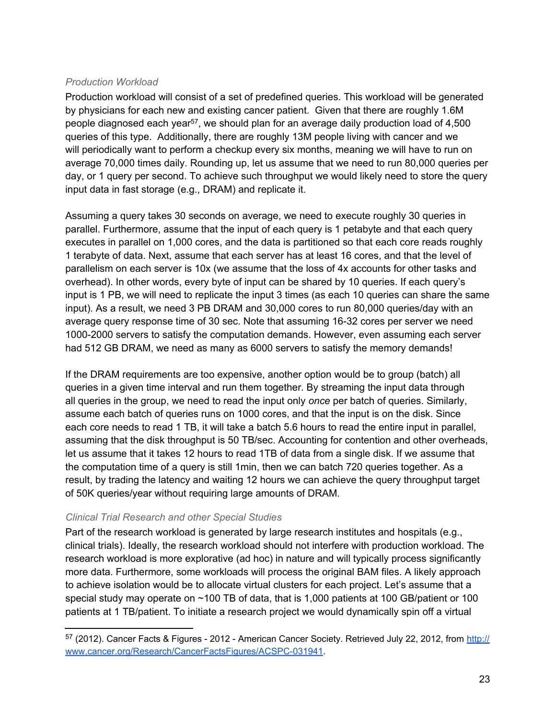#### <span id="page-24-0"></span>*Production Workload*

Production workload will consist of a set of predefined queries. This workload will be generated by physicians for each new and existing cancer patient. Given that there are roughly 1.6M people diagnosed each year<sup>57</sup>, we should plan for an average daily production load of 4,500 queries of this type. Additionally, there are roughly 13M people living with cancer and we will periodically want to perform a checkup every six months, meaning we will have to run on average 70,000 times daily. Rounding up, let us assume that we need to run 80,000 queries per day, or 1 query per second. To achieve such throughput we would likely need to store the query input data in fast storage (e.g., DRAM) and replicate it.

Assuming a query takes 30 seconds on average, we need to execute roughly 30 queries in parallel. Furthermore, assume that the input of each query is 1 petabyte and that each query executes in parallel on 1,000 cores, and the data is partitioned so that each core reads roughly 1 terabyte of data. Next, assume that each server has at least 16 cores, and that the level of parallelism on each server is 10x (we assume that the loss of 4x accounts for other tasks and overhead). In other words, every byte of input can be shared by 10 queries. If each query's input is 1 PB, we will need to replicate the input 3 times (as each 10 queries can share the same input). As a result, we need 3 PB DRAM and 30,000 cores to run 80,000 queries/day with an average query response time of 30 sec. Note that assuming 16-32 cores per server we need 1000-2000 servers to satisfy the computation demands. However, even assuming each server had 512 GB DRAM, we need as many as 6000 servers to satisfy the memory demands!

If the DRAM requirements are too expensive, another option would be to group (batch) all queries in a given time interval and run them together. By streaming the input data through all queries in the group, we need to read the input only *once* per batch of queries. Similarly, assume each batch of queries runs on 1000 cores, and that the input is on the disk. Since each core needs to read 1 TB, it will take a batch 5.6 hours to read the entire input in parallel, assuming that the disk throughput is 50 TB/sec. Accounting for contention and other overheads, let us assume that it takes 12 hours to read 1TB of data from a single disk. If we assume that the computation time of a query is still 1min, then we can batch 720 queries together. As a result, by trading the latency and waiting 12 hours we can achieve the query throughput target of 50K queries/year without requiring large amounts of DRAM.

#### *Clinical Trial Research and other Special Studies*

Part of the research workload is generated by large research institutes and hospitals (e.g., clinical trials). Ideally, the research workload should not interfere with production workload. The research workload is more explorative (ad hoc) in nature and will typically process significantly more data. Furthermore, some workloads will process the original BAM files. A likely approach to achieve isolation would be to allocate virtual clusters for each project. Let's assume that a special study may operate on ~100 TB of data, that is 1,000 patients at 100 GB/patient or 100 patients at 1 TB/patient. To initiate a research project we would dynamically spin off a virtual

<sup>57 (2012).</sup> Cancer Facts & Figures - 2012 - A[m](http://www.cancer.org/Research/CancerFactsFigures/ACSPC-031941)erican Cancer Society. Retrieved July 22, 2012, from [http://](http://www.cancer.org/Research/CancerFactsFigures/ACSPC-031941) [www.cancer.org/Research/CancerFactsFigures/ACSPC-031941](http://www.cancer.org/Research/CancerFactsFigures/ACSPC-031941).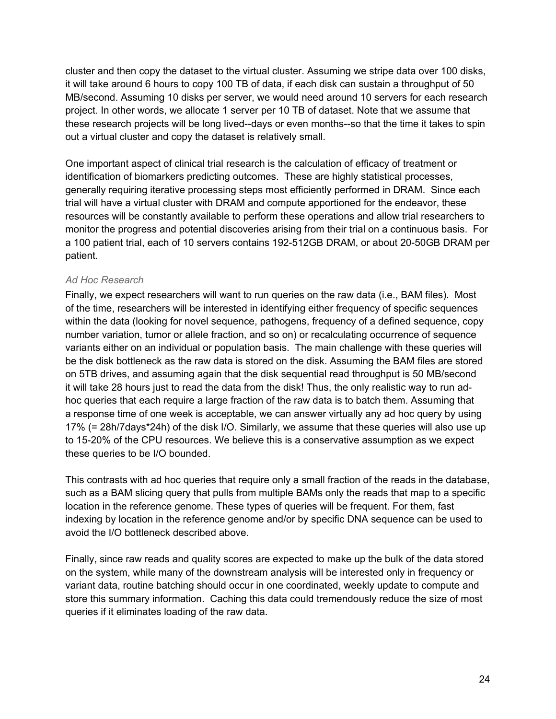<span id="page-25-0"></span>cluster and then copy the dataset to the virtual cluster. Assuming we stripe data over 100 disks, it will take around 6 hours to copy 100 TB of data, if each disk can sustain a throughput of 50 MB/second. Assuming 10 disks per server, we would need around 10 servers for each research project. In other words, we allocate 1 server per 10 TB of dataset. Note that we assume that these research projects will be long lived--days or even months--so that the time it takes to spin out a virtual cluster and copy the dataset is relatively small.

One important aspect of clinical trial research is the calculation of efficacy of treatment or identification of biomarkers predicting outcomes. These are highly statistical processes, generally requiring iterative processing steps most efficiently performed in DRAM. Since each trial will have a virtual cluster with DRAM and compute apportioned for the endeavor, these resources will be constantly available to perform these operations and allow trial researchers to monitor the progress and potential discoveries arising from their trial on a continuous basis. For a 100 patient trial, each of 10 servers contains 192-512GB DRAM, or about 20-50GB DRAM per patient.

#### *Ad Hoc Research*

Finally, we expect researchers will want to run queries on the raw data (i.e., BAM files). Most of the time, researchers will be interested in identifying either frequency of specific sequences within the data (looking for novel sequence, pathogens, frequency of a defined sequence, copy number variation, tumor or allele fraction, and so on) or recalculating occurrence of sequence variants either on an individual or population basis. The main challenge with these queries will be the disk bottleneck as the raw data is stored on the disk. Assuming the BAM files are stored on 5TB drives, and assuming again that the disk sequential read throughput is 50 MB/second it will take 28 hours just to read the data from the disk! Thus, the only realistic way to run adhoc queries that each require a large fraction of the raw data is to batch them. Assuming that a response time of one week is acceptable, we can answer virtually any ad hoc query by using 17% (= 28h/7days\*24h) of the disk I/O. Similarly, we assume that these queries will also use up to 15-20% of the CPU resources. We believe this is a conservative assumption as we expect these queries to be I/O bounded.

This contrasts with ad hoc queries that require only a small fraction of the reads in the database, such as a BAM slicing query that pulls from multiple BAMs only the reads that map to a specific location in the reference genome. These types of queries will be frequent. For them, fast indexing by location in the reference genome and/or by specific DNA sequence can be used to avoid the I/O bottleneck described above.

Finally, since raw reads and quality scores are expected to make up the bulk of the data stored on the system, while many of the downstream analysis will be interested only in frequency or variant data, routine batching should occur in one coordinated, weekly update to compute and store this summary information. Caching this data could tremendously reduce the size of most queries if it eliminates loading of the raw data.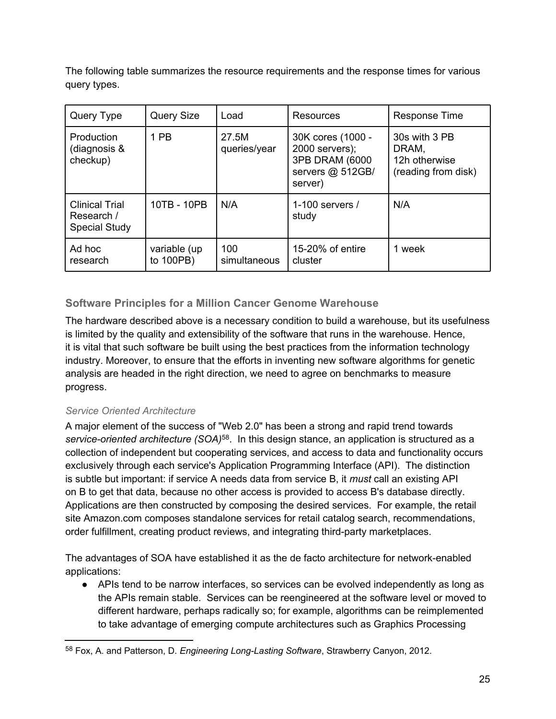<span id="page-26-0"></span>The following table summarizes the resource requirements and the response times for various query types.

| Query Type                                                  | <b>Query Size</b><br>Load |                       | <b>Resources</b>                                                                     | Response Time                                                  |  |
|-------------------------------------------------------------|---------------------------|-----------------------|--------------------------------------------------------------------------------------|----------------------------------------------------------------|--|
| Production<br>(diagnosis &<br>checkup)                      | 1 PB                      | 27.5M<br>queries/year | 30K cores (1000 -<br>2000 servers);<br>3PB DRAM (6000<br>servers @ 512GB/<br>server) | 30s with 3 PB<br>DRAM,<br>12h otherwise<br>(reading from disk) |  |
| <b>Clinical Trial</b><br>Research /<br><b>Special Study</b> | 10TB - 10PB               | N/A                   | 1-100 servers $/$<br>study                                                           | N/A                                                            |  |
| Ad hoc<br>research                                          | variable (up<br>to 100PB) | 100<br>simultaneous   | 15-20% of entire<br>cluster                                                          | 1 week                                                         |  |

## **Software Principles for a Million Cancer Genome Warehouse**

The hardware described above is a necessary condition to build a warehouse, but its usefulness is limited by the quality and extensibility of the software that runs in the warehouse. Hence, it is vital that such software be built using the best practices from the information technology industry. Moreover, to ensure that the efforts in inventing new software algorithms for genetic analysis are headed in the right direction, we need to agree on benchmarks to measure progress.

## *Service Oriented Architecture*

A major element of the success of "Web 2.0" has been a strong and rapid trend towards *service-oriented architecture (SOA)*<sup>58</sup>. In this design stance, an application is structured as a collection of independent but cooperating services, and access to data and functionality occurs exclusively through each service's Application Programming Interface (API). The distinction is subtle but important: if service A needs data from service B, it *must* call an existing API on B to get that data, because no other access is provided to access B's database directly. Applications are then constructed by composing the desired services. For example, the retail site Amazon.com composes standalone services for retail catalog search, recommendations, order fulfillment, creating product reviews, and integrating third-party marketplaces.

The advantages of SOA have established it as the de facto architecture for network-enabled applications:

● APIs tend to be narrow interfaces, so services can be evolved independently as long as the APIs remain stable. Services can be reengineered at the software level or moved to different hardware, perhaps radically so; for example, algorithms can be reimplemented to take advantage of emerging compute architectures such as Graphics Processing

<sup>58</sup> Fox, A. and Patterson, D. *Engineering Long-Lasting Software*, Strawberry Canyon, 2012.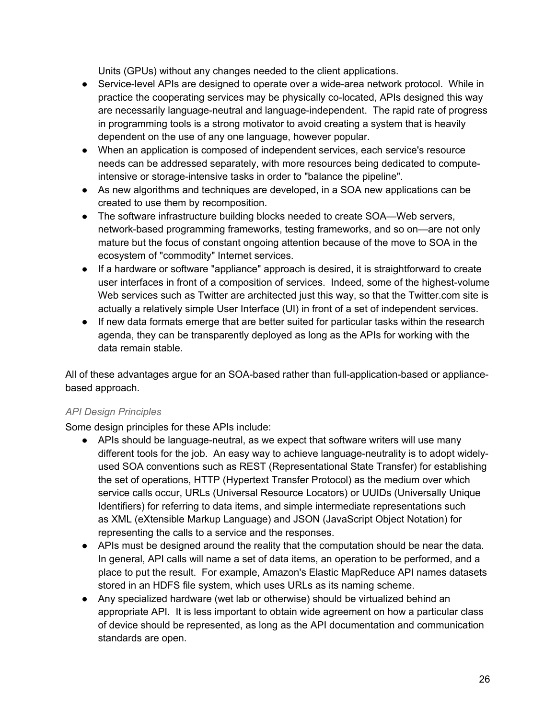Units (GPUs) without any changes needed to the client applications.

- Service-level APIs are designed to operate over a wide-area network protocol. While in practice the cooperating services may be physically co-located, APIs designed this way are necessarily language-neutral and language-independent. The rapid rate of progress in programming tools is a strong motivator to avoid creating a system that is heavily dependent on the use of any one language, however popular.
- When an application is composed of independent services, each service's resource needs can be addressed separately, with more resources being dedicated to computeintensive or storage-intensive tasks in order to "balance the pipeline".
- As new algorithms and techniques are developed, in a SOA new applications can be created to use them by recomposition.
- The software infrastructure building blocks needed to create SOA—Web servers, network-based programming frameworks, testing frameworks, and so on—are not only mature but the focus of constant ongoing attention because of the move to SOA in the ecosystem of "commodity" Internet services.
- If a hardware or software "appliance" approach is desired, it is straightforward to create user interfaces in front of a composition of services. Indeed, some of the highest-volume Web services such as Twitter are architected just this way, so that the Twitter.com site is actually a relatively simple User Interface (UI) in front of a set of independent services.
- If new data formats emerge that are better suited for particular tasks within the research agenda, they can be transparently deployed as long as the APIs for working with the data remain stable.

All of these advantages argue for an SOA-based rather than full-application-based or appliancebased approach.

#### *API Design Principles*

Some design principles for these APIs include:

- APIs should be language-neutral, as we expect that software writers will use many different tools for the job. An easy way to achieve language-neutrality is to adopt widelyused SOA conventions such as REST (Representational State Transfer) for establishing the set of operations, HTTP (Hypertext Transfer Protocol) as the medium over which service calls occur, URLs (Universal Resource Locators) or UUIDs (Universally Unique Identifiers) for referring to data items, and simple intermediate representations such as XML (eXtensible Markup Language) and JSON (JavaScript Object Notation) for representing the calls to a service and the responses.
- APIs must be designed around the reality that the computation should be near the data. In general, API calls will name a set of data items, an operation to be performed, and a place to put the result. For example, Amazon's Elastic MapReduce API names datasets stored in an HDFS file system, which uses URLs as its naming scheme.
- Any specialized hardware (wet lab or otherwise) should be virtualized behind an appropriate API. It is less important to obtain wide agreement on how a particular class of device should be represented, as long as the API documentation and communication standards are open.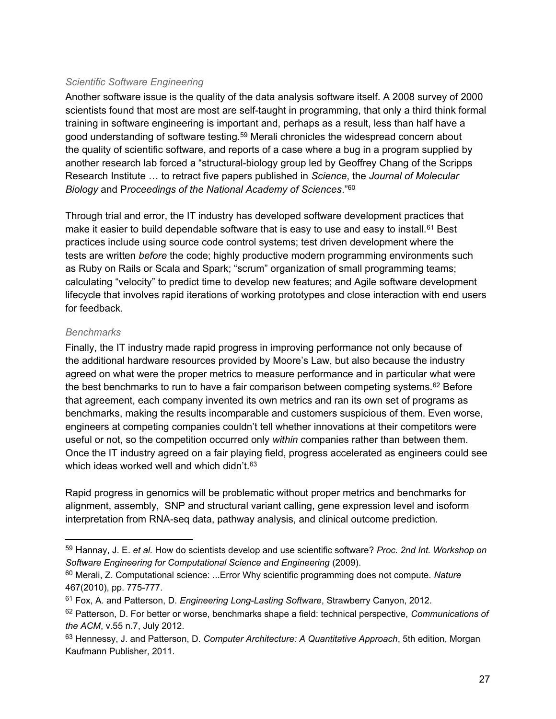#### *Scientific Software Engineering*

Another software issue is the quality of the data analysis software itself. A 2008 survey of 2000 scientists found that most are most are self-taught in programming, that only a third think formal training in software engineering is important and, perhaps as a result, less than half have a good understanding of software testing.<sup>59</sup> Merali chronicles the widespread concern about the quality of scientific software, and reports of a case where a bug in a program supplied by another research lab forced a "structural-biology group led by Geoffrey Chang of the Scripps Research Institute … to retract five papers published in *Science*, the *Journal of Molecular Biology* and P*roceedings of the National Academy of Sciences*."<sup>60</sup>

Through trial and error, the IT industry has developed software development practices that make it easier to build dependable software that is easy to use and easy to install.<sup>61</sup> Best practices include using source code control systems; test driven development where the tests are written *before* the code; highly productive modern programming environments such as Ruby on Rails or Scala and Spark; "scrum" organization of small programming teams; calculating "velocity" to predict time to develop new features; and Agile software development lifecycle that involves rapid iterations of working prototypes and close interaction with end users for feedback.

#### *Benchmarks*

Finally, the IT industry made rapid progress in improving performance not only because of the additional hardware resources provided by Moore's Law, but also because the industry agreed on what were the proper metrics to measure performance and in particular what were the best benchmarks to run to have a fair comparison between competing systems.<sup>62</sup> Before that agreement, each company invented its own metrics and ran its own set of programs as benchmarks, making the results incomparable and customers suspicious of them. Even worse, engineers at competing companies couldn't tell whether innovations at their competitors were useful or not, so the competition occurred only *within* companies rather than between them. Once the IT industry agreed on a fair playing field, progress accelerated as engineers could see which ideas worked well and which didn't.<sup>63</sup>

Rapid progress in genomics will be problematic without proper metrics and benchmarks for alignment, assembly, SNP and structural variant calling, gene expression level and isoform interpretation from RNA-seq data, pathway analysis, and clinical outcome prediction.

<sup>59</sup> Hannay, J. E. *et al.* How do scientists develop and use scientific software? *Proc. 2nd Int. Workshop on Software Engineering for Computational Science and Engineering* (2009).

<sup>60</sup> Merali, Z. Computational science: ...Error Why scientific programming does not compute. *Nature* 467(2010), pp. 775-777.

<sup>61</sup> Fox, A. and Patterson, D. *Engineering Long-Lasting Software*, Strawberry Canyon, 2012.

<sup>62</sup> Patterson, D. For better or worse, benchmarks shape a field: technical perspective, *Communications of the ACM*, v.55 n.7, July 2012.

<sup>63</sup> Hennessy, J. and Patterson, D. *Computer Architecture: A Quantitative Approach*, 5th edition, Morgan Kaufmann Publisher, 2011.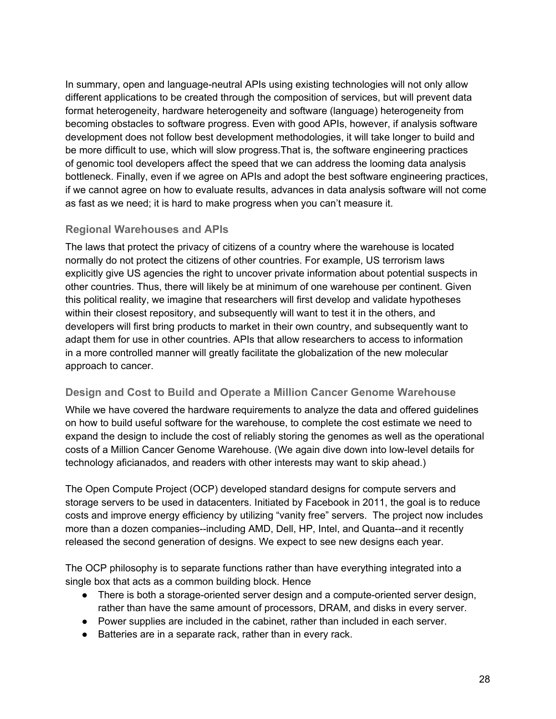<span id="page-29-0"></span>In summary, open and language-neutral APIs using existing technologies will not only allow different applications to be created through the composition of services, but will prevent data format heterogeneity, hardware heterogeneity and software (language) heterogeneity from becoming obstacles to software progress. Even with good APIs, however, if analysis software development does not follow best development methodologies, it will take longer to build and be more difficult to use, which will slow progress.That is, the software engineering practices of genomic tool developers affect the speed that we can address the looming data analysis bottleneck. Finally, even if we agree on APIs and adopt the best software engineering practices, if we cannot agree on how to evaluate results, advances in data analysis software will not come as fast as we need; it is hard to make progress when you can't measure it.

## **Regional Warehouses and APIs**

The laws that protect the privacy of citizens of a country where the warehouse is located normally do not protect the citizens of other countries. For example, US terrorism laws explicitly give US agencies the right to uncover private information about potential suspects in other countries. Thus, there will likely be at minimum of one warehouse per continent. Given this political reality, we imagine that researchers will first develop and validate hypotheses within their closest repository, and subsequently will want to test it in the others, and developers will first bring products to market in their own country, and subsequently want to adapt them for use in other countries. APIs that allow researchers to access to information in a more controlled manner will greatly facilitate the globalization of the new molecular approach to cancer.

#### **Design and Cost to Build and Operate a Million Cancer Genome Warehouse**

While we have covered the hardware requirements to analyze the data and offered guidelines on how to build useful software for the warehouse, to complete the cost estimate we need to expand the design to include the cost of reliably storing the genomes as well as the operational costs of a Million Cancer Genome Warehouse. (We again dive down into low-level details for technology aficianados, and readers with other interests may want to skip ahead.)

The Open Compute Project (OCP) developed standard designs for compute servers and storage servers to be used in datacenters. Initiated by Facebook in 2011, the goal is to reduce costs and improve energy efficiency by utilizing "vanity free" servers. The project now includes more than a dozen companies--including AMD, Dell, HP, Intel, and Quanta--and it recently released the second generation of designs. We expect to see new designs each year.

The OCP philosophy is to separate functions rather than have everything integrated into a single box that acts as a common building block. Hence

- There is both a storage-oriented server design and a compute-oriented server design, rather than have the same amount of processors, DRAM, and disks in every server.
- Power supplies are included in the cabinet, rather than included in each server.
- Batteries are in a separate rack, rather than in every rack.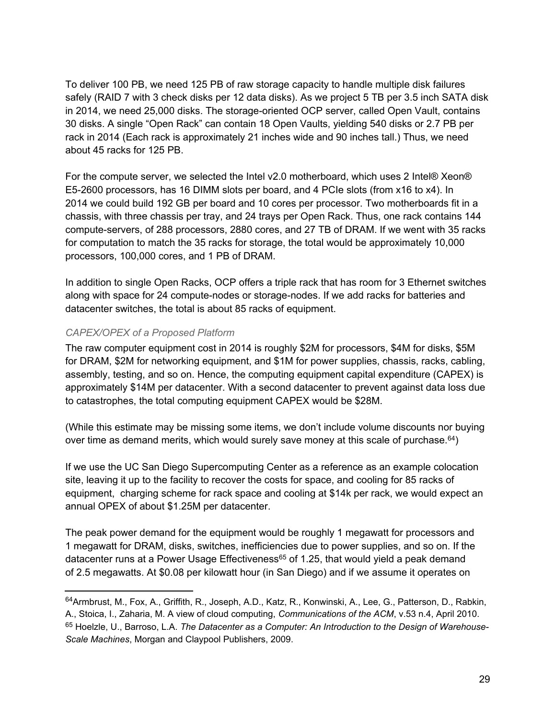<span id="page-30-0"></span>To deliver 100 PB, we need 125 PB of raw storage capacity to handle multiple disk failures safely (RAID 7 with 3 check disks per 12 data disks). As we project 5 TB per 3.5 inch SATA disk in 2014, we need 25,000 disks. The storage-oriented OCP server, called Open Vault, contains 30 disks. A single "Open Rack" can contain 18 Open Vaults, yielding 540 disks or 2.7 PB per rack in 2014 (Each rack is approximately 21 inches wide and 90 inches tall.) Thus, we need about 45 racks for 125 PB.

For the compute server, we selected the Intel v2.0 motherboard, which uses 2 Intel® Xeon® E5-2600 processors, has 16 DIMM slots per board, and 4 PCIe slots (from x16 to x4). In 2014 we could build 192 GB per board and 10 cores per processor. Two motherboards fit in a chassis, with three chassis per tray, and 24 trays per Open Rack. Thus, one rack contains 144 compute-servers, of 288 processors, 2880 cores, and 27 TB of DRAM. If we went with 35 racks for computation to match the 35 racks for storage, the total would be approximately 10,000 processors, 100,000 cores, and 1 PB of DRAM.

In addition to single Open Racks, OCP offers a triple rack that has room for 3 Ethernet switches along with space for 24 compute-nodes or storage-nodes. If we add racks for batteries and datacenter switches, the total is about 85 racks of equipment.

#### *CAPEX/OPEX of a Proposed Platform*

The raw computer equipment cost in 2014 is roughly \$2M for processors, \$4M for disks, \$5M for DRAM, \$2M for networking equipment, and \$1M for power supplies, chassis, racks, cabling, assembly, testing, and so on. Hence, the computing equipment capital expenditure (CAPEX) is approximately \$14M per datacenter. With a second datacenter to prevent against data loss due to catastrophes, the total computing equipment CAPEX would be \$28M.

(While this estimate may be missing some items, we don't include volume discounts nor buying over time as demand merits, which would surely save money at this scale of purchase.<sup>64</sup>)

If we use the UC San Diego Supercomputing Center as a reference as an example colocation site, leaving it up to the facility to recover the costs for space, and cooling for 85 racks of equipment, charging scheme for rack space and cooling at \$14k per rack, we would expect an annual OPEX of about \$1.25M per datacenter.

The peak power demand for the equipment would be roughly 1 megawatt for processors and 1 megawatt for DRAM, disks, switches, inefficiencies due to power supplies, and so on. If the datacenter runs at a Power Usage Effectiveness<sup>65</sup> of 1.25, that would yield a peak demand of 2.5 megawatts. At \$0.08 per kilowatt hour (in San Diego) and if we assume it operates on

<sup>64</sup>Armbrust, M., Fox, A., Griffith, R., Joseph, A.D., Katz, R., Konwinski, A., Lee, G., Patterson, D., Rabkin, A., Stoica, I., Zaharia, M. A view of cloud computing, *Communications of the ACM*, v.53 n.4, April 2010. <sup>65</sup> Hoelzle, U., Barroso, L.A. *The Datacenter as a Computer: An Introduction to the Design of Warehouse-Scale Machines*, Morgan and Claypool Publishers, 2009.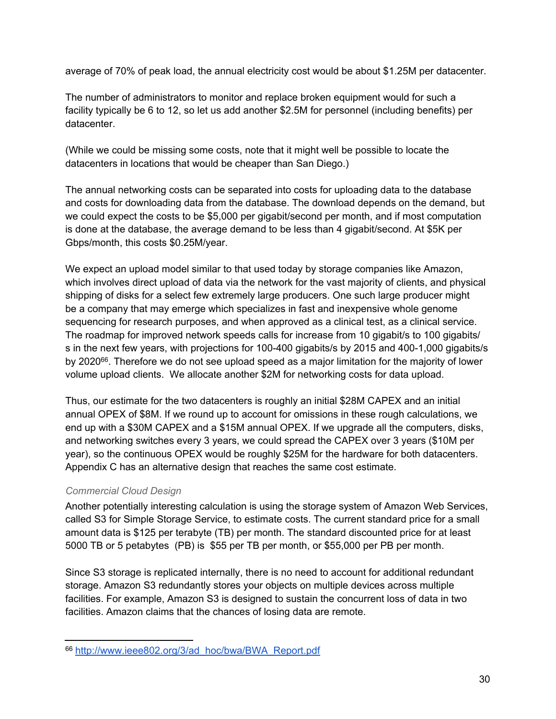<span id="page-31-0"></span>average of 70% of peak load, the annual electricity cost would be about \$1.25M per datacenter.

The number of administrators to monitor and replace broken equipment would for such a facility typically be 6 to 12, so let us add another \$2.5M for personnel (including benefits) per datacenter.

(While we could be missing some costs, note that it might well be possible to locate the datacenters in locations that would be cheaper than San Diego.)

The annual networking costs can be separated into costs for uploading data to the database and costs for downloading data from the database. The download depends on the demand, but we could expect the costs to be \$5,000 per gigabit/second per month, and if most computation is done at the database, the average demand to be less than 4 gigabit/second. At \$5K per Gbps/month, this costs \$0.25M/year.

We expect an upload model similar to that used today by storage companies like Amazon, which involves direct upload of data via the network for the vast majority of clients, and physical shipping of disks for a select few extremely large producers. One such large producer might be a company that may emerge which specializes in fast and inexpensive whole genome sequencing for research purposes, and when approved as a clinical test, as a clinical service. The roadmap for improved network speeds calls for increase from 10 gigabit/s to 100 gigabits/ s in the next few years, with projections for 100-400 gigabits/s by 2015 and 400-1,000 gigabits/s by 2020<sup>66</sup>. Therefore we do not see upload speed as a major limitation for the majority of lower volume upload clients. We allocate another \$2M for networking costs for data upload.

Thus, our estimate for the two datacenters is roughly an initial \$28M CAPEX and an initial annual OPEX of \$8M. If we round up to account for omissions in these rough calculations, we end up with a \$30M CAPEX and a \$15M annual OPEX. If we upgrade all the computers, disks, and networking switches every 3 years, we could spread the CAPEX over 3 years (\$10M per year), so the continuous OPEX would be roughly \$25M for the hardware for both datacenters. Appendix C has an alternative design that reaches the same cost estimate.

#### *Commercial Cloud Design*

Another potentially interesting calculation is using the storage system of Amazon Web Services, called S3 for Simple Storage Service, to estimate costs. The current standard price for a small amount data is \$125 per terabyte (TB) per month. The standard discounted price for at least 5000 TB or 5 petabytes (PB) is \$55 per TB per month, or \$55,000 per PB per month.

Since S3 storage is replicated internally, there is no need to account for additional redundant storage. Amazon S3 redundantly stores your objects on multiple devices across multiple facilities. For example, Amazon S3 is designed to sustain the concurrent loss of data in two facilities. Amazon claims that the chances of losing data are remote.

<sup>66</sup> [http://www.ieee802.org/3/ad\\_hoc/bwa/BWA\\_Report.pdf](http://www.ieee802.org/3/ad_hoc/bwa/BWA_Report.pdf)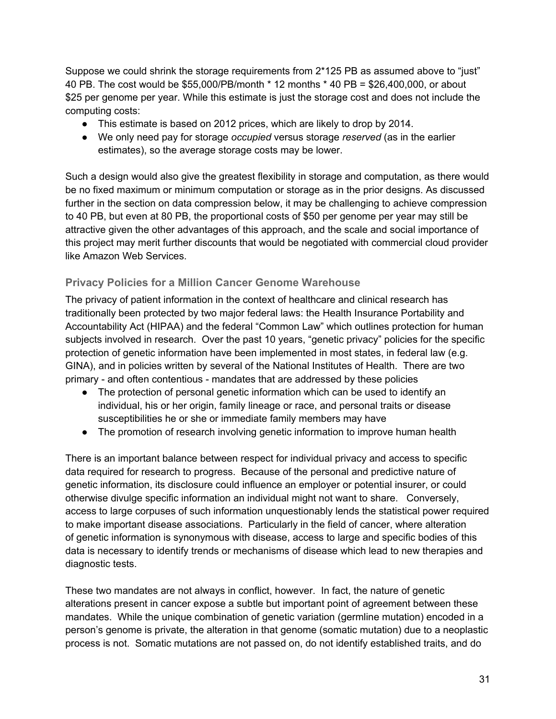<span id="page-32-0"></span>Suppose we could shrink the storage requirements from 2\*125 PB as assumed above to "just" 40 PB. The cost would be \$55,000/PB/month \* 12 months \* 40 PB = \$26,400,000, or about \$25 per genome per year. While this estimate is just the storage cost and does not include the computing costs:

- This estimate is based on 2012 prices, which are likely to drop by 2014.
- We only need pay for storage *occupied* versus storage *reserved* (as in the earlier estimates), so the average storage costs may be lower.

Such a design would also give the greatest flexibility in storage and computation, as there would be no fixed maximum or minimum computation or storage as in the prior designs. As discussed further in the section on data compression below, it may be challenging to achieve compression to 40 PB, but even at 80 PB, the proportional costs of \$50 per genome per year may still be attractive given the other advantages of this approach, and the scale and social importance of this project may merit further discounts that would be negotiated with commercial cloud provider like Amazon Web Services.

## **Privacy Policies for a Million Cancer Genome Warehouse**

The privacy of patient information in the context of healthcare and clinical research has traditionally been protected by two major federal laws: the Health Insurance Portability and Accountability Act (HIPAA) and the federal "Common Law" which outlines protection for human subjects involved in research. Over the past 10 years, "genetic privacy" policies for the specific protection of genetic information have been implemented in most states, in federal law (e.g. GINA), and in policies written by several of the National Institutes of Health. There are two primary - and often contentious - mandates that are addressed by these policies

- The protection of personal genetic information which can be used to identify an individual, his or her origin, family lineage or race, and personal traits or disease susceptibilities he or she or immediate family members may have
- The promotion of research involving genetic information to improve human health

There is an important balance between respect for individual privacy and access to specific data required for research to progress. Because of the personal and predictive nature of genetic information, its disclosure could influence an employer or potential insurer, or could otherwise divulge specific information an individual might not want to share. Conversely, access to large corpuses of such information unquestionably lends the statistical power required to make important disease associations. Particularly in the field of cancer, where alteration of genetic information is synonymous with disease, access to large and specific bodies of this data is necessary to identify trends or mechanisms of disease which lead to new therapies and diagnostic tests.

These two mandates are not always in conflict, however. In fact, the nature of genetic alterations present in cancer expose a subtle but important point of agreement between these mandates. While the unique combination of genetic variation (germline mutation) encoded in a person's genome is private, the alteration in that genome (somatic mutation) due to a neoplastic process is not. Somatic mutations are not passed on, do not identify established traits, and do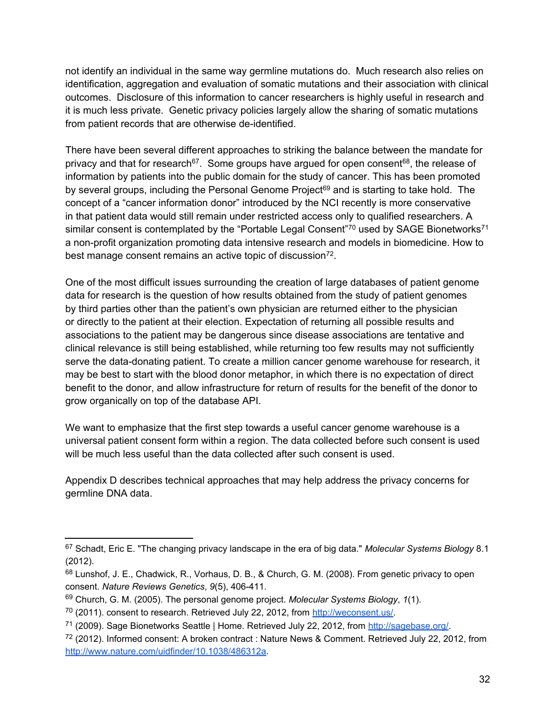not identify an individual in the same way germline mutations do. Much research also relies on identification, aggregation and evaluation of somatic mutations and their association with clinical outcomes. Disclosure of this information to cancer researchers is highly useful in research and it is much less private. Genetic privacy policies largely allow the sharing of somatic mutations from patient records that are otherwise de-identified.

There have been several different approaches to striking the balance between the mandate for privacy and that for research<sup>67</sup>. Some groups have argued for open consent<sup>68</sup>, the release of information by patients into the public domain for the study of cancer. This has been promoted by several groups, including the Personal Genome Project<sup>69</sup> and is starting to take hold. The concept of a "cancer information donor" introduced by the NCI recently is more conservative in that patient data would still remain under restricted access only to qualified researchers. A similar consent is contemplated by the "Portable Legal Consent"<sup>70</sup> used by SAGE Bionetworks<sup>71</sup> a non-profit organization promoting data intensive research and models in biomedicine. How to best manage consent remains an active topic of discussion<sup>72</sup>.

One of the most difficult issues surrounding the creation of large databases of patient genome data for research is the question of how results obtained from the study of patient genomes by third parties other than the patient's own physician are returned either to the physician or directly to the patient at their election. Expectation of returning all possible results and associations to the patient may be dangerous since disease associations are tentative and clinical relevance is still being established, while returning too few results may not sufficiently serve the data-donating patient. To create a million cancer genome warehouse for research, it may be best to start with the blood donor metaphor, in which there is no expectation of direct benefit to the donor, and allow infrastructure for return of results for the benefit of the donor to grow organically on top of the database API.

We want to emphasize that the first step towards a useful cancer genome warehouse is a universal patient consent form within a region. The data collected before such consent is used will be much less useful than the data collected after such consent is used.

Appendix D describes technical approaches that may help address the privacy concerns for germline DNA data.

<sup>67</sup> Schadt, Eric E. "The changing privacy landscape in the era of big data." *Molecular Systems Biology* 8.1 (2012).

<sup>68</sup> Lunshof, J[.](http://weconsent.us/) E., Chadwick, R., Vorhaus, D. B., & Church, G. [M. \(2008\). From](http://weconsent.us/) [gene](http://weconsent.us/)[tic](http://sagebase.org/) [privacy](http://sagebase.org/) to open [consent.](http://www.nature.com/uidfinder/10.1038/486312a) *[Nature](http://www.nature.com/uidfinder/10.1038/486312a) [Reviews](http://www.nature.com/uidfinder/10.1038/486312a) [Genetics](http://www.nature.com/uidfinder/10.1038/486312a)*[,](http://www.nature.com/uidfinder/10.1038/486312a) *[9](http://www.nature.com/uidfinder/10.1038/486312a)*[\(5\), 406-411](http://www.nature.com/uidfinder/10.1038/486312a).

<sup>69</sup> Church, G. M. (2005). The personal genome project. *Molecular Systems Biology*, *1*(1).

<sup>70</sup> (2011). consent to research. Retrieved July 22, 2012, fro[m](http://weconsent.us/) <http://weconsent.us/>.

<sup>71</sup> (2009). Sage Bionetworks Seattle | Home. Retrieved July 22, 2012, from <http://sagebase.org/>.

<sup>72</sup> (2012). Informed consent: A broken contract : Nature News & Comment. Retrieved July 22, 2012, fro[m](http://www.nature.com/uidfinder/10.1038/486312a) <http://www.nature.com/uidfinder/10.1038/486312a>.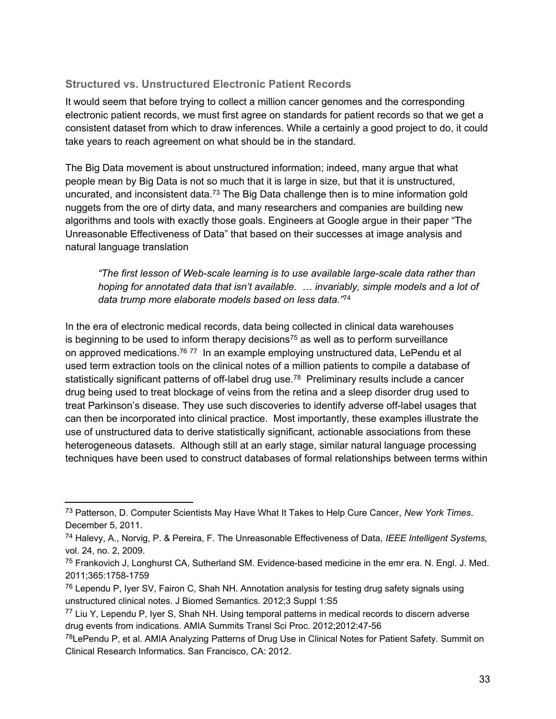## **Structured vs. Unstructured Electronic Patient Records**

It would seem that before trying to collect a million cancer genomes and the corresponding electronic patient records, we must first agree on standards for patient records so that we get a consistent dataset from which to draw inferences. While a certainly a good project to do, it could take years to reach agreement on what should be in the standard.

The Big Data movement is about unstructured information; indeed, many argue that what people mean by Big Data is not so much that it is large in size, but that it is unstructured, uncurated, and inconsistent data.<sup>73</sup> The Big Data challenge then is to mine information gold nuggets from the ore of dirty data, and many researchers and companies are building new algorithms and tools with exactly those goals. Engineers at Google argue in their paper "The Unreasonable Effectiveness of Data" that based on their successes at image analysis and natural language translation

*"The first lesson of Web-scale learning is to use available large-scale data rather than hoping for annotated data that isn't available. … invariably, simple models and a lot of data trump more elaborate models based on less data."*<sup>74</sup>

In the era of electronic medical records, data being collected in clinical data warehouses is beginning to be used to inform therapy decisions<sup>75</sup> as well as to perform surveillance on approved medications.<sup>76 77</sup> In an example employing unstructured data, LePendu et al used term extraction tools on the clinical notes of a million patients to compile a database of statistically significant patterns of off-label drug use.<sup>78</sup> Preliminary results include a cancer drug being used to treat blockage of veins from the retina and a sleep disorder drug used to treat Parkinson's disease. They use such discoveries to identify adverse off-label usages that can then be incorporated into clinical practice. Most importantly, these examples illustrate the use of unstructured data to derive statistically significant, actionable associations from these heterogeneous datasets. Although still at an early stage, similar natural language processing techniques have been used to construct databases of formal relationships between terms within

<sup>73</sup> Patterson, D. Computer Scientists May Have What It Takes to Help Cure Cancer, *New York Times*. December 5, 2011.

<sup>74</sup> Halevy, A., Norvig, P. & Pereira, F. The Unreasonable Effectiveness of Data, *IEEE Intelligent Systems,* vol. 24, no. 2, 2009.

<sup>75</sup> Frankovich J, Longhurst CA, Sutherland SM. Evidence-based medicine in the emr era. N. Engl. J. Med. 2011;365:1758-1759

<sup>&</sup>lt;sup>76</sup> Lependu P, Iyer SV, Fairon C, Shah NH. Annotation analysis for testing drug safety signals using unstructured clinical notes. J Biomed Semantics. 2012;3 Suppl 1:S5

<sup>77</sup> Liu Y, Lependu P, Iyer S, Shah NH. Using temporal patterns in medical records to discern adverse drug events from indications. AMIA Summits Transl Sci Proc. 2012;2012:47-56

<sup>78</sup>LePendu P, et al. AMIA Analyzing Patterns of Drug Use in Clinical Notes for Patient Safety. Summit on Clinical Research Informatics. San Francisco, CA: 2012.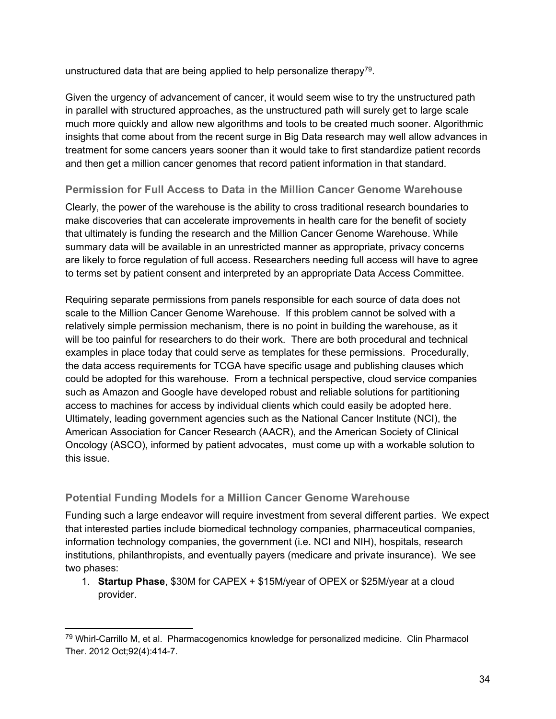<span id="page-35-0"></span>unstructured data that are being applied to help personalize therapy<sup>79</sup>.

Given the urgency of advancement of cancer, it would seem wise to try the unstructured path in parallel with structured approaches, as the unstructured path will surely get to large scale much more quickly and allow new algorithms and tools to be created much sooner. Algorithmic insights that come about from the recent surge in Big Data research may well allow advances in treatment for some cancers years sooner than it would take to first standardize patient records and then get a million cancer genomes that record patient information in that standard.

## **Permission for Full Access to Data in the Million Cancer Genome Warehouse**

Clearly, the power of the warehouse is the ability to cross traditional research boundaries to make discoveries that can accelerate improvements in health care for the benefit of society that ultimately is funding the research and the Million Cancer Genome Warehouse. While summary data will be available in an unrestricted manner as appropriate, privacy concerns are likely to force regulation of full access. Researchers needing full access will have to agree to terms set by patient consent and interpreted by an appropriate Data Access Committee.

Requiring separate permissions from panels responsible for each source of data does not scale to the Million Cancer Genome Warehouse. If this problem cannot be solved with a relatively simple permission mechanism, there is no point in building the warehouse, as it will be too painful for researchers to do their work. There are both procedural and technical examples in place today that could serve as templates for these permissions. Procedurally, the data access requirements for TCGA have specific usage and publishing clauses which could be adopted for this warehouse. From a technical perspective, cloud service companies such as Amazon and Google have developed robust and reliable solutions for partitioning access to machines for access by individual clients which could easily be adopted here. Ultimately, leading government agencies such as the National Cancer Institute (NCI), the American Association for Cancer Research (AACR), and the American Society of Clinical Oncology (ASCO), informed by patient advocates, must come up with a workable solution to this issue.

## **Potential Funding Models for a Million Cancer Genome Warehouse**

Funding such a large endeavor will require investment from several different parties. We expect that interested parties include biomedical technology companies, pharmaceutical companies, information technology companies, the government (i.e. NCI and NIH), hospitals, research institutions, philanthropists, and eventually payers (medicare and private insurance). We see two phases:

1. **Startup Phase**, \$30M for CAPEX + \$15M/year of OPEX or \$25M/year at a cloud provider.

<sup>79</sup> Whirl-Carrillo M, et al. Pharmacogenomics knowledge for personalized medicine. Clin Pharmacol Ther. 2012 Oct;92(4):414-7.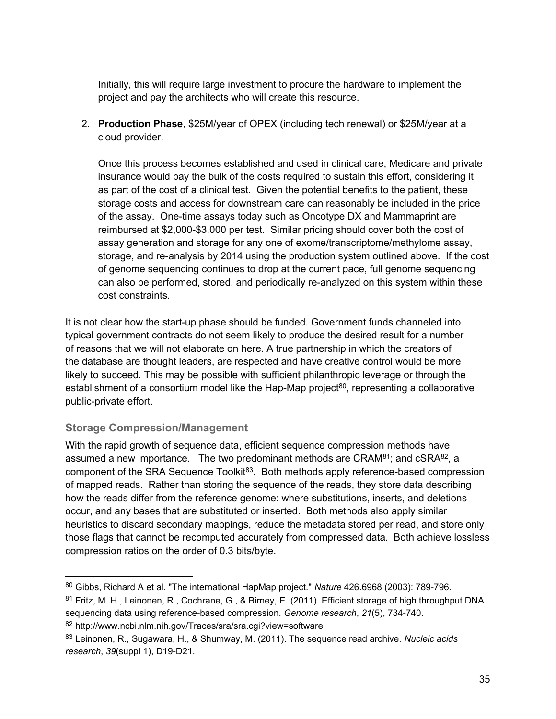<span id="page-36-0"></span>Initially, this will require large investment to procure the hardware to implement the project and pay the architects who will create this resource.

2. **Production Phase**, \$25M/year of OPEX (including tech renewal) or \$25M/year at a cloud provider.

Once this process becomes established and used in clinical care, Medicare and private insurance would pay the bulk of the costs required to sustain this effort, considering it as part of the cost of a clinical test. Given the potential benefits to the patient, these storage costs and access for downstream care can reasonably be included in the price of the assay. One-time assays today such as Oncotype DX and Mammaprint are reimbursed at \$2,000-\$3,000 per test. Similar pricing should cover both the cost of assay generation and storage for any one of exome/transcriptome/methylome assay, storage, and re-analysis by 2014 using the production system outlined above. If the cost of genome sequencing continues to drop at the current pace, full genome sequencing can also be performed, stored, and periodically re-analyzed on this system within these cost constraints.

It is not clear how the start-up phase should be funded. Government funds channeled into typical government contracts do not seem likely to produce the desired result for a number of reasons that we will not elaborate on here. A true partnership in which the creators of the database are thought leaders, are respected and have creative control would be more likely to succeed. This may be possible with sufficient philanthropic leverage or through the establishment of a consortium model like the Hap-Map project<sup>80</sup>, representing a collaborative public-private effort.

#### **Storage Compression/Management**

With the rapid growth of sequence data, efficient sequence compression methods have assumed a new importance. The two predominant methods are  $CRAM^{81}$ ; and  $CSRA^{82}$ , a component of the SRA Sequence Toolkit<sup>83</sup>. Both methods apply reference-based compression of mapped reads. Rather than storing the sequence of the reads, they store data describing how the reads differ from the reference genome: where substitutions, inserts, and deletions occur, and any bases that are substituted or inserted. Both methods also apply similar heuristics to discard secondary mappings, reduce the metadata stored per read, and store only those flags that cannot be recomputed accurately from compressed data. Both achieve lossless compression ratios on the order of 0.3 bits/byte.

<sup>82</sup> http://www.ncbi.nlm.nih.gov/Traces/sra/sra.cgi?view=software

<sup>80</sup> Gibbs, Richard A et al. "The international HapMap project." *Nature* 426.6968 (2003): 789-796.

<sup>81</sup> Fritz, M. H., Leinonen, R., Cochrane, G., & Birney, E. (2011). Efficient storage of high throughput DNA sequencing data using reference-based compression. *Genome research*, *21*(5), 734-740.

<sup>83</sup> Leinonen, R., Sugawara, H., & Shumway, M. (2011). The sequence read archive. *Nucleic acids research*, *39*(suppl 1), D19-D21.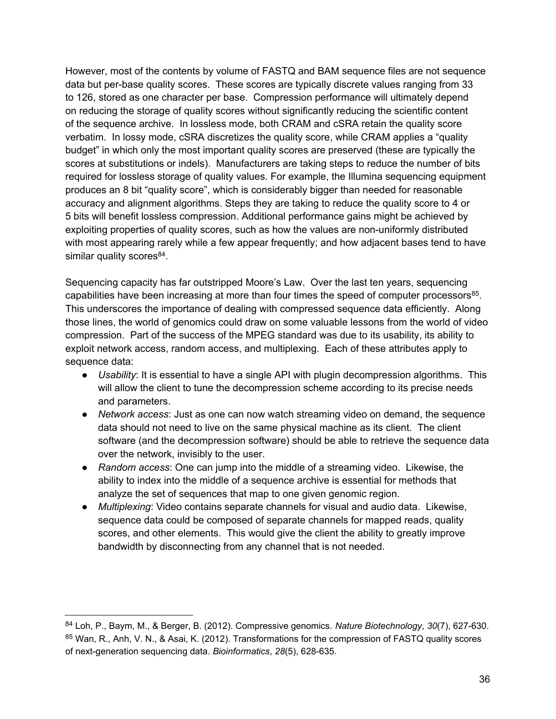However, most of the contents by volume of FASTQ and BAM sequence files are not sequence data but per-base quality scores. These scores are typically discrete values ranging from 33 to 126, stored as one character per base. Compression performance will ultimately depend on reducing the storage of quality scores without significantly reducing the scientific content of the sequence archive. In lossless mode, both CRAM and cSRA retain the quality score verbatim. In lossy mode, cSRA discretizes the quality score, while CRAM applies a "quality budget" in which only the most important quality scores are preserved (these are typically the scores at substitutions or indels). Manufacturers are taking steps to reduce the number of bits required for lossless storage of quality values. For example, the Illumina sequencing equipment produces an 8 bit "quality score", which is considerably bigger than needed for reasonable accuracy and alignment algorithms. Steps they are taking to reduce the quality score to 4 or 5 bits will benefit lossless compression. Additional performance gains might be achieved by exploiting properties of quality scores, such as how the values are non-uniformly distributed with most appearing rarely while a few appear frequently; and how adjacent bases tend to have similar quality scores<sup>84</sup>.

Sequencing capacity has far outstripped Moore's Law. Over the last ten years, sequencing capabilities have been increasing at more than four times the speed of computer processors<sup>85</sup>. This underscores the importance of dealing with compressed sequence data efficiently. Along those lines, the world of genomics could draw on some valuable lessons from the world of video compression. Part of the success of the MPEG standard was due to its usability, its ability to exploit network access, random access, and multiplexing. Each of these attributes apply to sequence data:

- *Usability*: It is essential to have a single API with plugin decompression algorithms. This will allow the client to tune the decompression scheme according to its precise needs and parameters.
- *Network access*: Just as one can now watch streaming video on demand, the sequence data should not need to live on the same physical machine as its client. The client software (and the decompression software) should be able to retrieve the sequence data over the network, invisibly to the user.
- *Random access*: One can jump into the middle of a streaming video. Likewise, the ability to index into the middle of a sequence archive is essential for methods that analyze the set of sequences that map to one given genomic region.
- *Multiplexing*: Video contains separate channels for visual and audio data. Likewise, sequence data could be composed of separate channels for mapped reads, quality scores, and other elements. This would give the client the ability to greatly improve bandwidth by disconnecting from any channel that is not needed.

<sup>84</sup> Loh, P., Baym, M., & Berger, B. (2012). Compressive genomics. *Nature Biotechnology*, *30*(7), 627-630. <sup>85</sup> Wan, R., Anh, V. N., & Asai, K. (2012). Transformations for the compression of FASTQ quality scores of next-generation sequencing data. *Bioinformatics*, *28*(5), 628-635.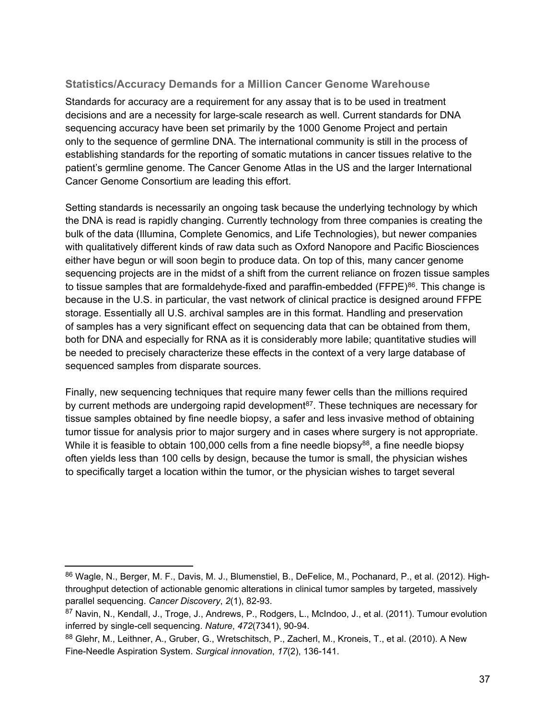## <span id="page-38-0"></span>**Statistics/Accuracy Demands for a Million Cancer Genome Warehouse**

Standards for accuracy are a requirement for any assay that is to be used in treatment decisions and are a necessity for large-scale research as well. Current standards for DNA sequencing accuracy have been set primarily by the 1000 Genome Project and pertain only to the sequence of germline DNA. The international community is still in the process of establishing standards for the reporting of somatic mutations in cancer tissues relative to the patient's germline genome. The Cancer Genome Atlas in the US and the larger International Cancer Genome Consortium are leading this effort.

Setting standards is necessarily an ongoing task because the underlying technology by which the DNA is read is rapidly changing. Currently technology from three companies is creating the bulk of the data (Illumina, Complete Genomics, and Life Technologies), but newer companies with qualitatively different kinds of raw data such as Oxford Nanopore and Pacific Biosciences either have begun or will soon begin to produce data. On top of this, many cancer genome sequencing projects are in the midst of a shift from the current reliance on frozen tissue samples to tissue samples that are formaldehyde-fixed and paraffin-embedded (FFPE)<sup>86</sup>. This change is because in the U.S. in particular, the vast network of clinical practice is designed around FFPE storage. Essentially all U.S. archival samples are in this format. Handling and preservation of samples has a very significant effect on sequencing data that can be obtained from them, both for DNA and especially for RNA as it is considerably more labile; quantitative studies will be needed to precisely characterize these effects in the context of a very large database of sequenced samples from disparate sources.

Finally, new sequencing techniques that require many fewer cells than the millions required by current methods are undergoing rapid development<sup>87</sup>. These techniques are necessary for tissue samples obtained by fine needle biopsy, a safer and less invasive method of obtaining tumor tissue for analysis prior to major surgery and in cases where surgery is not appropriate. While it is feasible to obtain 100,000 cells from a fine needle biopsy<sup>88</sup>, a fine needle biopsy often yields less than 100 cells by design, because the tumor is small, the physician wishes to specifically target a location within the tumor, or the physician wishes to target several

<sup>86</sup> Wagle, N., Berger, M. F., Davis, M. J., Blumenstiel, B., DeFelice, M., Pochanard, P., et al. (2012). Highthroughput detection of actionable genomic alterations in clinical tumor samples by targeted, massively parallel sequencing. *Cancer Discovery*, *2*(1), 82-93.

<sup>87</sup> Navin, N., Kendall, J., Troge, J., Andrews, P., Rodgers, L., McIndoo, J., et al. (2011). Tumour evolution inferred by single-cell sequencing. *Nature*, *472*(7341), 90-94.

<sup>88</sup> Glehr, M., Leithner, A., Gruber, G., Wretschitsch, P., Zacherl, M., Kroneis, T., et al. (2010). A New Fine-Needle Aspiration System. *Surgical innovation*, *17*(2), 136-141.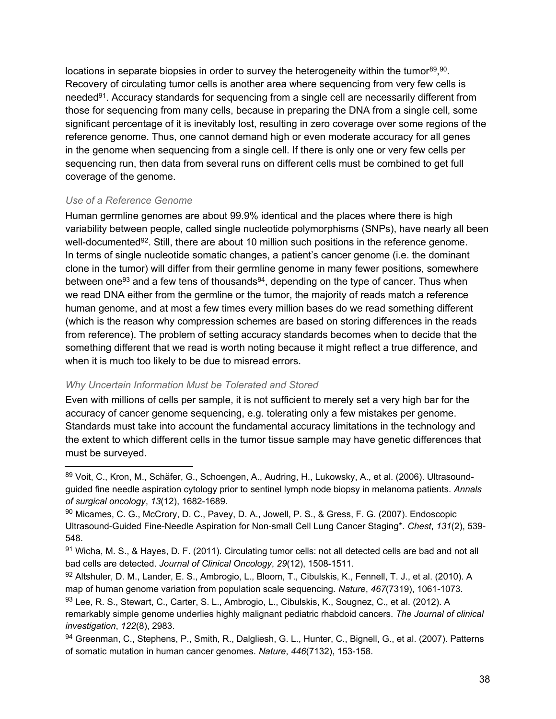<span id="page-39-0"></span>locations in separate biopsies in order to survey the heterogeneity within the tumor $89,90$ . Recovery of circulating tumor cells is another area where sequencing from very few cells is needed<sup>91</sup>. Accuracy standards for sequencing from a single cell are necessarily different from those for sequencing from many cells, because in preparing the DNA from a single cell, some significant percentage of it is inevitably lost, resulting in zero coverage over some regions of the reference genome. Thus, one cannot demand high or even moderate accuracy for all genes in the genome when sequencing from a single cell. If there is only one or very few cells per sequencing run, then data from several runs on different cells must be combined to get full coverage of the genome.

#### *Use of a Reference Genome*

Human germline genomes are about 99.9% identical and the places where there is high variability between people, called single nucleotide polymorphisms (SNPs), have nearly all been well-documented<sup>92</sup>. Still, there are about 10 million such positions in the reference genome. In terms of single nucleotide somatic changes, a patient's cancer genome (i.e. the dominant clone in the tumor) will differ from their germline genome in many fewer positions, somewhere between one<sup>93</sup> and a few tens of thousands<sup>94</sup>, depending on the type of cancer. Thus when we read DNA either from the germline or the tumor, the majority of reads match a reference human genome, and at most a few times every million bases do we read something different (which is the reason why compression schemes are based on storing differences in the reads from reference). The problem of setting accuracy standards becomes when to decide that the something different that we read is worth noting because it might reflect a true difference, and when it is much too likely to be due to misread errors.

#### *Why Uncertain Information Must be Tolerated and Stored*

Even with millions of cells per sample, it is not sufficient to merely set a very high bar for the accuracy of cancer genome sequencing, e.g. tolerating only a few mistakes per genome. Standards must take into account the fundamental accuracy limitations in the technology and the extent to which different cells in the tumor tissue sample may have genetic differences that must be surveyed.

<sup>89</sup> Voit, C., Kron, M., Schäfer, G., Schoengen, A., Audring, H., Lukowsky, A., et al. (2006). Ultrasoundguided fine needle aspiration cytology prior to sentinel lymph node biopsy in melanoma patients. *Annals of surgical oncology*, *13*(12), 1682-1689.

<sup>90</sup> Micames, C. G., McCrory, D. C., Pavey, D. A., Jowell, P. S., & Gress, F. G. (2007). Endoscopic Ultrasound-Guided Fine-Needle Aspiration for Non-small Cell Lung Cancer Staging\*. *Chest*, *131*(2), 539- 548.

<sup>91</sup> Wicha, M. S., & Hayes, D. F. (2011). Circulating tumor cells: not all detected cells are bad and not all bad cells are detected. *Journal of Clinical Oncology*, *29*(12), 1508-1511.

<sup>92</sup> Altshuler, D. M., Lander, E. S., Ambrogio, L., Bloom, T., Cibulskis, K., Fennell, T. J., et al. (2010). A map of human genome variation from population scale sequencing. *Nature*, *467*(7319), 1061-1073. 93 Lee, R. S., Stewart, C., Carter, S. L., Ambrogio, L., Cibulskis, K., Sougnez, C., et al. (2012). A remarkably simple genome underlies highly malignant pediatric rhabdoid cancers. *The Journal of clinical investigation*, *122*(8), 2983.

<sup>94</sup> Greenman, C., Stephens, P., Smith, R., Dalgliesh, G. L., Hunter, C., Bignell, G., et al. (2007). Patterns of somatic mutation in human cancer genomes. *Nature*, *446*(7132), 153-158.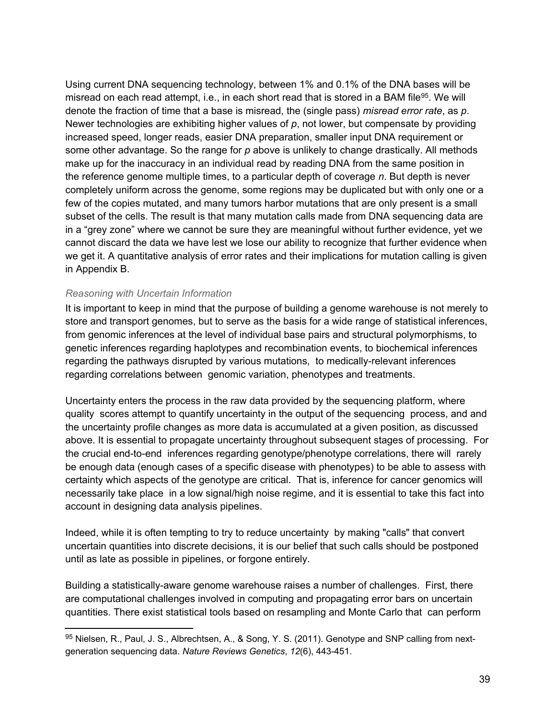<span id="page-40-0"></span>Using current DNA sequencing technology, between 1% and 0.1% of the DNA bases will be misread on each read attempt, i.e., in each short read that is stored in a BAM file<sup>95</sup>. We will denote the fraction of time that a base is misread, the (single pass) *misread error rate*, as *p*. Newer technologies are exhibiting higher values of *p*, not lower, but compensate by providing increased speed, longer reads, easier DNA preparation, smaller input DNA requirement or some other advantage. So the range for *p* above is unlikely to change drastically. All methods make up for the inaccuracy in an individual read by reading DNA from the same position in the reference genome multiple times, to a particular depth of coverage *n*. But depth is never completely uniform across the genome, some regions may be duplicated but with only one or a few of the copies mutated, and many tumors harbor mutations that are only present is a small subset of the cells. The result is that many mutation calls made from DNA sequencing data are in a "grey zone" where we cannot be sure they are meaningful without further evidence, yet we cannot discard the data we have lest we lose our ability to recognize that further evidence when we get it. A quantitative analysis of error rates and their implications for mutation calling is given in Appendix B.

#### *Reasoning with Uncertain Information*

It is important to keep in mind that the purpose of building a genome warehouse is not merely to store and transport genomes, but to serve as the basis for a wide range of statistical inferences, from genomic inferences at the level of individual base pairs and structural polymorphisms, to genetic inferences regarding haplotypes and recombination events, to biochemical inferences regarding the pathways disrupted by various mutations, to medically-relevant inferences regarding correlations between genomic variation, phenotypes and treatments.

Uncertainty enters the process in the raw data provided by the sequencing platform, where quality scores attempt to quantify uncertainty in the output of the sequencing process, and and the uncertainty profile changes as more data is accumulated at a given position, as discussed above. It is essential to propagate uncertainty throughout subsequent stages of processing. For the crucial end-to-end inferences regarding genotype/phenotype correlations, there will rarely be enough data (enough cases of a specific disease with phenotypes) to be able to assess with certainty which aspects of the genotype are critical. That is, inference for cancer genomics will necessarily take place in a low signal/high noise regime, and it is essential to take this fact into account in designing data analysis pipelines.

Indeed, while it is often tempting to try to reduce uncertainty by making "calls" that convert uncertain quantities into discrete decisions, it is our belief that such calls should be postponed until as late as possible in pipelines, or forgone entirely.

Building a statistically-aware genome warehouse raises a number of challenges. First, there are computational challenges involved in computing and propagating error bars on uncertain quantities. There exist statistical tools based on resampling and Monte Carlo that can perform

<sup>95</sup> Nielsen, R., Paul, J. S., Albrechtsen, A., & Song, Y. S. (2011). Genotype and SNP calling from nextgeneration sequencing data. *Nature Reviews Genetics*, *12*(6), 443-451.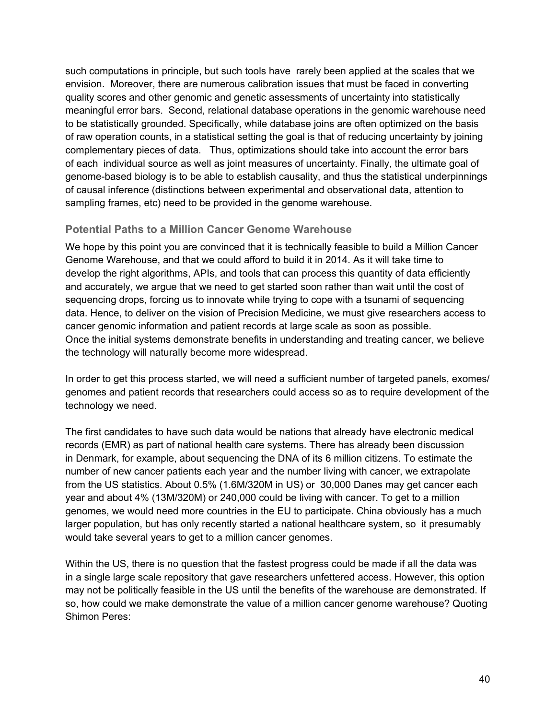<span id="page-41-0"></span>such computations in principle, but such tools have rarely been applied at the scales that we envision. Moreover, there are numerous calibration issues that must be faced in converting quality scores and other genomic and genetic assessments of uncertainty into statistically meaningful error bars. Second, relational database operations in the genomic warehouse need to be statistically grounded. Specifically, while database joins are often optimized on the basis of raw operation counts, in a statistical setting the goal is that of reducing uncertainty by joining complementary pieces of data. Thus, optimizations should take into account the error bars of each individual source as well as joint measures of uncertainty. Finally, the ultimate goal of genome-based biology is to be able to establish causality, and thus the statistical underpinnings of causal inference (distinctions between experimental and observational data, attention to sampling frames, etc) need to be provided in the genome warehouse.

#### **Potential Paths to a Million Cancer Genome Warehouse**

We hope by this point you are convinced that it is technically feasible to build a Million Cancer Genome Warehouse, and that we could afford to build it in 2014. As it will take time to develop the right algorithms, APIs, and tools that can process this quantity of data efficiently and accurately, we argue that we need to get started soon rather than wait until the cost of sequencing drops, forcing us to innovate while trying to cope with a tsunami of sequencing data. Hence, to deliver on the vision of Precision Medicine, we must give researchers access to cancer genomic information and patient records at large scale as soon as possible. Once the initial systems demonstrate benefits in understanding and treating cancer, we believe the technology will naturally become more widespread.

In order to get this process started, we will need a sufficient number of targeted panels, exomes/ genomes and patient records that researchers could access so as to require development of the technology we need.

The first candidates to have such data would be nations that already have electronic medical records (EMR) as part of national health care systems. There has already been discussion in Denmark, for example, about sequencing the DNA of its 6 million citizens. To estimate the number of new cancer patients each year and the number living with cancer, we extrapolate from the US statistics. About 0.5% (1.6M/320M in US) or 30,000 Danes may get cancer each year and about 4% (13M/320M) or 240,000 could be living with cancer. To get to a million genomes, we would need more countries in the EU to participate. China obviously has a much larger population, but has only recently started a national healthcare system, so it presumably would take several years to get to a million cancer genomes.

Within the US, there is no question that the fastest progress could be made if all the data was in a single large scale repository that gave researchers unfettered access. However, this option may not be politically feasible in the US until the benefits of the warehouse are demonstrated. If so, how could we make demonstrate the value of a million cancer genome warehouse? Quoting Shimon Peres: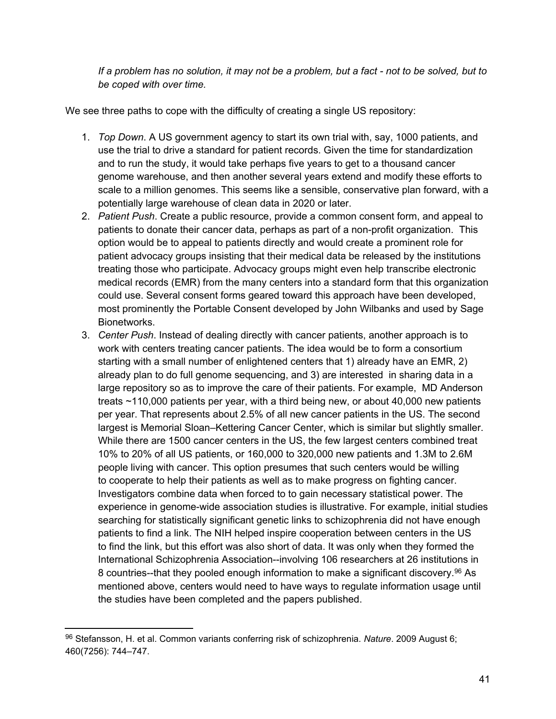*If a problem has no solution, it may not be a problem, but a fact - not to be solved, but to be coped with over time.*

We see three paths to cope with the difficulty of creating a single US repository:

- 1. *Top Down*. A US government agency to start its own trial with, say, 1000 patients, and use the trial to drive a standard for patient records. Given the time for standardization and to run the study, it would take perhaps five years to get to a thousand cancer genome warehouse, and then another several years extend and modify these efforts to scale to a million genomes. This seems like a sensible, conservative plan forward, with a potentially large warehouse of clean data in 2020 or later.
- 2. *Patient Push*. Create a public resource, provide a common consent form, and appeal to patients to donate their cancer data, perhaps as part of a non-profit organization. This option would be to appeal to patients directly and would create a prominent role for patient advocacy groups insisting that their medical data be released by the institutions treating those who participate. Advocacy groups might even help transcribe electronic medical records (EMR) from the many centers into a standard form that this organization could use. Several consent forms geared toward this approach have been developed, most prominently the Portable Consent developed by John Wilbanks and used by Sage Bionetworks.
- 3. *Center Push*. Instead of dealing directly with cancer patients, another approach is to work with centers treating cancer patients. The idea would be to form a consortium starting with a small number of enlightened centers that 1) already have an EMR, 2) already plan to do full genome sequencing, and 3) are interested in sharing data in a large repository so as to improve the care of their patients. For example, MD Anderson treats ~110,000 patients per year, with a third being new, or about 40,000 new patients per year. That represents about 2.5% of all new cancer patients in the US. The second largest is Memorial Sloan–Kettering Cancer Center, which is similar but slightly smaller. While there are 1500 cancer centers in the US, the few largest centers combined treat 10% to 20% of all US patients, or 160,000 to 320,000 new patients and 1.3M to 2.6M people living with cancer. This option presumes that such centers would be willing to cooperate to help their patients as well as to make progress on fighting cancer. Investigators combine data when forced to to gain necessary statistical power. The experience in genome-wide association studies is illustrative. For example, initial studies searching for statistically significant genetic links to schizophrenia did not have enough patients to find a link. The NIH helped inspire cooperation between centers in the US to find the link, but this effort was also short of data. It was only when they formed the International Schizophrenia Association--involving 106 researchers at 26 institutions in 8 countries--that they pooled enough information to make a significant discovery.<sup>96</sup> As mentioned above, centers would need to have ways to regulate information usage until the studies have been completed and the papers published.

<sup>96</sup> Stefansson, H. et al. Common variants conferring risk of schizophrenia. *Nature*. 2009 August 6; 460(7256): 744–747.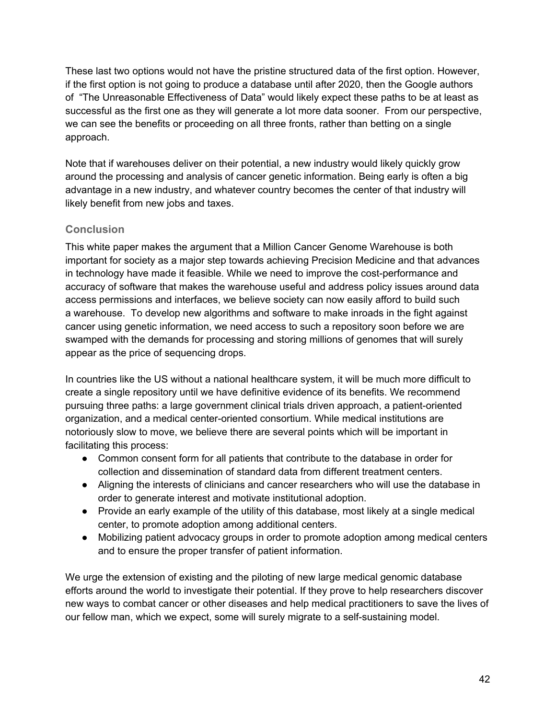<span id="page-43-0"></span>These last two options would not have the pristine structured data of the first option. However, if the first option is not going to produce a database until after 2020, then the Google authors of "The Unreasonable Effectiveness of Data" would likely expect these paths to be at least as successful as the first one as they will generate a lot more data sooner. From our perspective, we can see the benefits or proceeding on all three fronts, rather than betting on a single approach.

Note that if warehouses deliver on their potential, a new industry would likely quickly grow around the processing and analysis of cancer genetic information. Being early is often a big advantage in a new industry, and whatever country becomes the center of that industry will likely benefit from new jobs and taxes.

## **Conclusion**

This white paper makes the argument that a Million Cancer Genome Warehouse is both important for society as a major step towards achieving Precision Medicine and that advances in technology have made it feasible. While we need to improve the cost-performance and accuracy of software that makes the warehouse useful and address policy issues around data access permissions and interfaces, we believe society can now easily afford to build such a warehouse. To develop new algorithms and software to make inroads in the fight against cancer using genetic information, we need access to such a repository soon before we are swamped with the demands for processing and storing millions of genomes that will surely appear as the price of sequencing drops.

In countries like the US without a national healthcare system, it will be much more difficult to create a single repository until we have definitive evidence of its benefits. We recommend pursuing three paths: a large government clinical trials driven approach, a patient-oriented organization, and a medical center-oriented consortium. While medical institutions are notoriously slow to move, we believe there are several points which will be important in facilitating this process:

- Common consent form for all patients that contribute to the database in order for collection and dissemination of standard data from different treatment centers.
- Aligning the interests of clinicians and cancer researchers who will use the database in order to generate interest and motivate institutional adoption.
- Provide an early example of the utility of this database, most likely at a single medical center, to promote adoption among additional centers.
- Mobilizing patient advocacy groups in order to promote adoption among medical centers and to ensure the proper transfer of patient information.

We urge the extension of existing and the piloting of new large medical genomic database efforts around the world to investigate their potential. If they prove to help researchers discover new ways to combat cancer or other diseases and help medical practitioners to save the lives of our fellow man, which we expect, some will surely migrate to a self-sustaining model.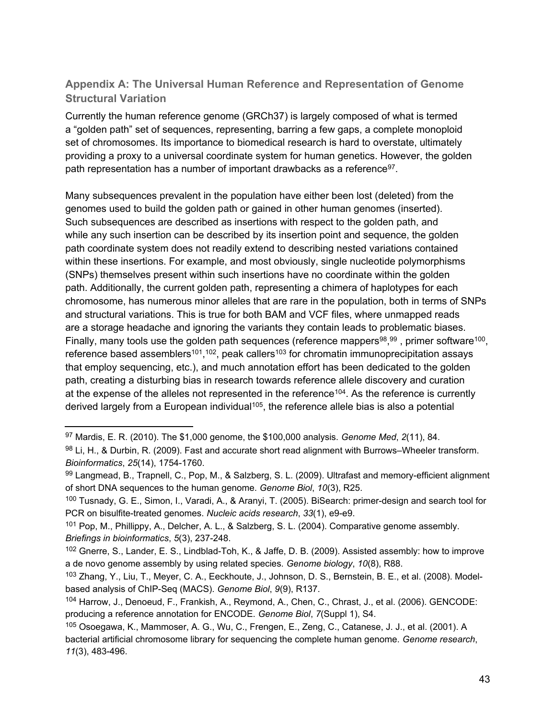## **Appendix A: The Universal Human Reference and Representation of Genome Structural Variation**

Currently the human reference genome (GRCh37) is largely composed of what is termed a "golden path" set of sequences, representing, barring a few gaps, a complete monoploid set of chromosomes. Its importance to biomedical research is hard to overstate, ultimately providing a proxy to a universal coordinate system for human genetics. However, the golden path representation has a number of important drawbacks as a reference<sup>97</sup>.

Many subsequences prevalent in the population have either been lost (deleted) from the genomes used to build the golden path or gained in other human genomes (inserted). Such subsequences are described as insertions with respect to the golden path, and while any such insertion can be described by its insertion point and sequence, the golden path coordinate system does not readily extend to describing nested variations contained within these insertions. For example, and most obviously, single nucleotide polymorphisms (SNPs) themselves present within such insertions have no coordinate within the golden path. Additionally, the current golden path, representing a chimera of haplotypes for each chromosome, has numerous minor alleles that are rare in the population, both in terms of SNPs and structural variations. This is true for both BAM and VCF files, where unmapped reads are a storage headache and ignoring the variants they contain leads to problematic biases. Finally, many tools use the golden path sequences (reference mappers<sup>98</sup>,<sup>99</sup>, primer software<sup>100</sup>, reference based assemblers<sup>101</sup>,<sup>102</sup>, peak callers<sup>103</sup> for chromatin immunoprecipitation assays that employ sequencing, etc.), and much annotation effort has been dedicated to the golden path, creating a disturbing bias in research towards reference allele discovery and curation at the expense of the alleles not represented in the reference<sup>104</sup>. As the reference is currently derived largely from a European individual<sup>105</sup>, the reference allele bias is also a potential

<sup>97</sup> Mardis, E. R. (2010). The \$1,000 genome, the \$100,000 analysis. *Genome Med*, *2*(11), 84.

<sup>98</sup> Li, H., & Durbin, R. (2009). Fast and accurate short read alignment with Burrows–Wheeler transform. *Bioinformatics*, *25*(14), 1754-1760.

<sup>99</sup> Langmead, B., Trapnell, C., Pop, M., & Salzberg, S. L. (2009). Ultrafast and memory-efficient alignment of short DNA sequences to the human genome. *Genome Biol*, *10*(3), R25.

<sup>100</sup> Tusnady, G. E., Simon, I., Varadi, A., & Aranyi, T. (2005). BiSearch: primer-design and search tool for PCR on bisulfite-treated genomes. *Nucleic acids research*, *33*(1), e9-e9.

<sup>101</sup> Pop, M., Phillippy, A., Delcher, A. L., & Salzberg, S. L. (2004). Comparative genome assembly. *Briefings in bioinformatics*, *5*(3), 237-248.

<sup>102</sup> Gnerre, S., Lander, E. S., Lindblad-Toh, K., & Jaffe, D. B. (2009). Assisted assembly: how to improve a de novo genome assembly by using related species. *Genome biology*, *10*(8), R88.

<sup>103</sup> Zhang, Y., Liu, T., Meyer, C. A., Eeckhoute, J., Johnson, D. S., Bernstein, B. E., et al. (2008). Modelbased analysis of ChIP-Seq (MACS). *Genome Biol*, *9*(9), R137.

<sup>104</sup> Harrow, J., Denoeud, F., Frankish, A., Reymond, A., Chen, C., Chrast, J., et al. (2006). GENCODE: producing a reference annotation for ENCODE. *Genome Biol*, *7*(Suppl 1), S4.

<sup>105</sup> Osoegawa, K., Mammoser, A. G., Wu, C., Frengen, E., Zeng, C., Catanese, J. J., et al. (2001). A bacterial artificial chromosome library for sequencing the complete human genome. *Genome research*, *11*(3), 483-496.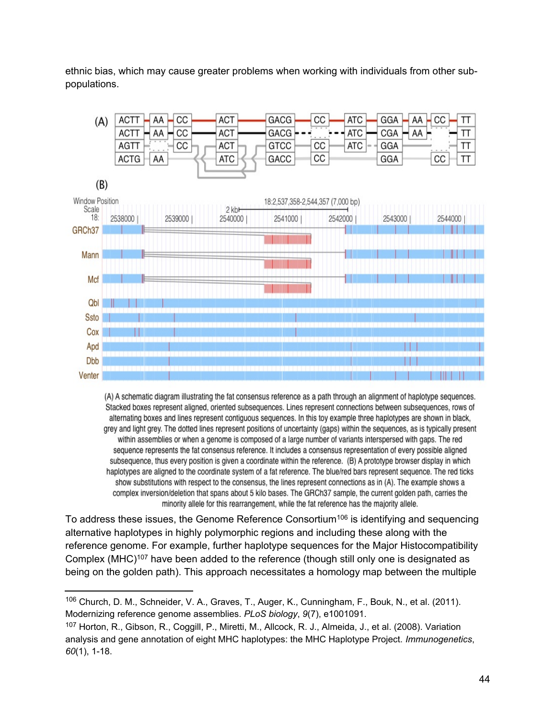ethnic bias, which may cause greater problems when working with individuals from other subpopulations.



(A) A schematic diagram illustrating the fat consensus reference as a path through an alignment of haplotype sequences. Stacked boxes represent aligned, oriented subsequences. Lines represent connections between subsequences, rows of alternating boxes and lines represent contiguous sequences. In this toy example three haplotypes are shown in black. grey and light grey. The dotted lines represent positions of uncertainty (gaps) within the sequences, as is typically present within assemblies or when a genome is composed of a large number of variants interspersed with gaps. The red sequence represents the fat consensus reference. It includes a consensus representation of every possible aligned subsequence, thus every position is given a coordinate within the reference. (B) A prototype browser display in which haplotypes are aligned to the coordinate system of a fat reference. The blue/red bars represent sequence. The red ticks show substitutions with respect to the consensus, the lines represent connections as in (A). The example shows a complex inversion/deletion that spans about 5 kilo bases. The GRCh37 sample, the current golden path, carries the minority allele for this rearrangement, while the fat reference has the majority allele.

To address these issues, the Genome Reference Consortium<sup>106</sup> is identifying and sequencing alternative haplotypes in highly polymorphic regions and including these along with the reference genome. For example, further haplotype sequences for the Major Histocompatibility Complex (MHC)<sup>107</sup> have been added to the reference (though still only one is designated as being on the golden path). This approach necessitates a homology map between the multiple

<sup>106</sup> Church, D. M., Schneider, V. A., Graves, T., Auger, K., Cunningham, F., Bouk, N., et al. (2011). Modernizing reference genome assemblies. *PLoS biology*, *9*(7), e1001091.

<sup>107</sup> Horton, R., Gibson, R., Coggill, P., Miretti, M., Allcock, R. J., Almeida, J., et al. (2008). Variation analysis and gene annotation of eight MHC haplotypes: the MHC Haplotype Project. *Immunogenetics*, *60*(1), 1-18.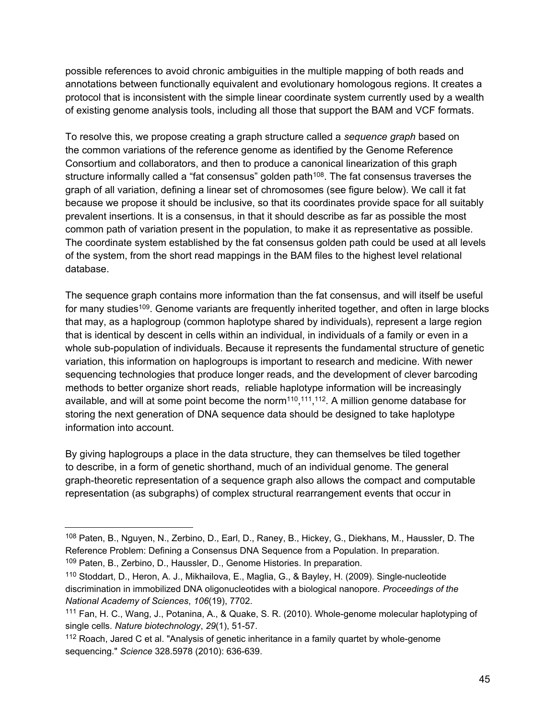possible references to avoid chronic ambiguities in the multiple mapping of both reads and annotations between functionally equivalent and evolutionary homologous regions. It creates a protocol that is inconsistent with the simple linear coordinate system currently used by a wealth of existing genome analysis tools, including all those that support the BAM and VCF formats.

To resolve this, we propose creating a graph structure called a *sequence graph* based on the common variations of the reference genome as identified by the Genome Reference Consortium and collaborators, and then to produce a canonical linearization of this graph structure informally called a "fat consensus" golden path<sup>108</sup>. The fat consensus traverses the graph of all variation, defining a linear set of chromosomes (see figure below). We call it fat because we propose it should be inclusive, so that its coordinates provide space for all suitably prevalent insertions. It is a consensus, in that it should describe as far as possible the most common path of variation present in the population, to make it as representative as possible. The coordinate system established by the fat consensus golden path could be used at all levels of the system, from the short read mappings in the BAM files to the highest level relational database.

The sequence graph contains more information than the fat consensus, and will itself be useful for many studies<sup>109</sup>. Genome variants are frequently inherited together, and often in large blocks that may, as a haplogroup (common haplotype shared by individuals), represent a large region that is identical by descent in cells within an individual, in individuals of a family or even in a whole sub-population of individuals. Because it represents the fundamental structure of genetic variation, this information on haplogroups is important to research and medicine. With newer sequencing technologies that produce longer reads, and the development of clever barcoding methods to better organize short reads, reliable haplotype information will be increasingly available, and will at some point become the norm<sup>110</sup>,<sup>111</sup>,<sup>112</sup>. A million genome database for storing the next generation of DNA sequence data should be designed to take haplotype information into account.

By giving haplogroups a place in the data structure, they can themselves be tiled together to describe, in a form of genetic shorthand, much of an individual genome. The general graph-theoretic representation of a sequence graph also allows the compact and computable representation (as subgraphs) of complex structural rearrangement events that occur in

<sup>108</sup> Paten, B., Nguyen, N., Zerbino, D., Earl, D., Raney, B., Hickey, G., Diekhans, M., Haussler, D. The Reference Problem: Defining a Consensus DNA Sequence from a Population. In preparation. <sup>109</sup> Paten, B., Zerbino, D., Haussler, D., Genome Histories. In preparation.

<sup>110</sup> Stoddart, D., Heron, A. J., Mikhailova, E., Maglia, G., & Bayley, H. (2009). Single-nucleotide discrimination in immobilized DNA oligonucleotides with a biological nanopore. *Proceedings of the National Academy of Sciences*, *106*(19), 7702.

<sup>111</sup> Fan, H. C., Wang, J., Potanina, A., & Quake, S. R. (2010). Whole-genome molecular haplotyping of single cells. *Nature biotechnology*, *29*(1), 51-57.

<sup>&</sup>lt;sup>112</sup> Roach, Jared C et al. "Analysis of genetic inheritance in a family quartet by whole-genome sequencing." *Science* 328.5978 (2010): 636-639.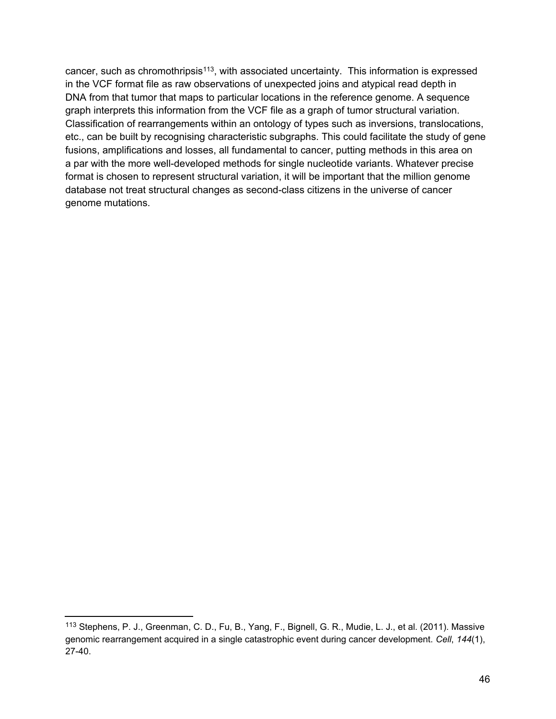cancer, such as chromothripsis<sup>113</sup>, with associated uncertainty. This information is expressed in the VCF format file as raw observations of unexpected joins and atypical read depth in DNA from that tumor that maps to particular locations in the reference genome. A sequence graph interprets this information from the VCF file as a graph of tumor structural variation. Classification of rearrangements within an ontology of types such as inversions, translocations, etc., can be built by recognising characteristic subgraphs. This could facilitate the study of gene fusions, amplifications and losses, all fundamental to cancer, putting methods in this area on a par with the more well-developed methods for single nucleotide variants. Whatever precise format is chosen to represent structural variation, it will be important that the million genome database not treat structural changes as second-class citizens in the universe of cancer genome mutations.

<sup>113</sup> Stephens, P. J., Greenman, C. D., Fu, B., Yang, F., Bignell, G. R., Mudie, L. J., et al. (2011). Massive genomic rearrangement acquired in a single catastrophic event during cancer development. *Cell*, *144*(1), 27-40.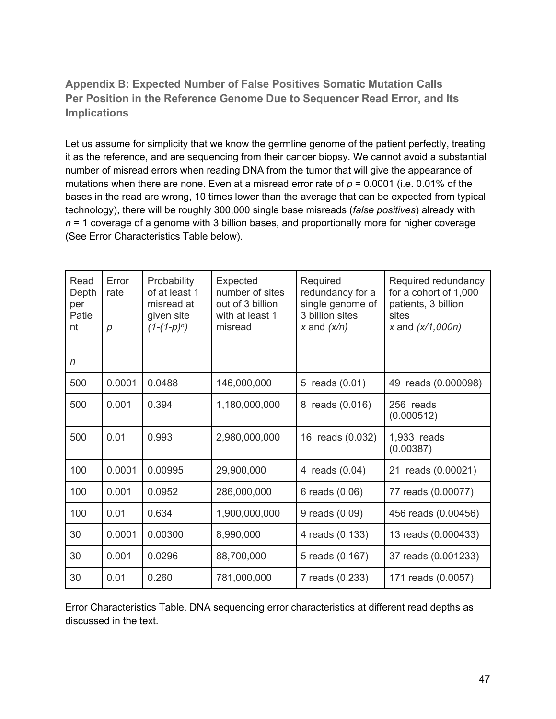## <span id="page-48-0"></span>**Appendix B: Expected Number of False Positives Somatic Mutation Calls Per Position in the Reference Genome Due to Sequencer Read Error, and Its Implications**

Let us assume for simplicity that we know the germline genome of the patient perfectly, treating it as the reference, and are sequencing from their cancer biopsy. We cannot avoid a substantial number of misread errors when reading DNA from the tumor that will give the appearance of mutations when there are none. Even at a misread error rate of *p* = 0.0001 (i.e. 0.01% of the bases in the read are wrong, 10 times lower than the average that can be expected from typical technology), there will be roughly 300,000 single base misreads (*false positives*) already with *n* = 1 coverage of a genome with 3 billion bases, and proportionally more for higher coverage (See Error Characteristics Table below).

| Read<br>Depth<br>per<br>Patie<br>nt<br>n | Error<br>rate<br>р | Probability<br>of at least 1<br>misread at<br>given site<br>$(1-(1-p)^n)$ | Expected<br>number of sites<br>out of 3 billion<br>with at least 1<br>misread | Required<br>redundancy for a<br>single genome of<br>3 billion sites<br>x and $(x/n)$ | Required redundancy<br>for a cohort of 1,000<br>patients, 3 billion<br>sites<br>x and $(x/1,000n)$ |
|------------------------------------------|--------------------|---------------------------------------------------------------------------|-------------------------------------------------------------------------------|--------------------------------------------------------------------------------------|----------------------------------------------------------------------------------------------------|
| 500                                      | 0.0001             | 0.0488                                                                    | 146,000,000                                                                   | 5 reads (0.01)                                                                       | 49 reads (0.000098)                                                                                |
| 500                                      | 0.001              | 0.394                                                                     | 1,180,000,000                                                                 | 8 reads (0.016)                                                                      | 256 reads<br>(0.000512)                                                                            |
| 500                                      | 0.01               | 0.993                                                                     | 2,980,000,000                                                                 | 16 reads (0.032)                                                                     | 1,933 reads<br>(0.00387)                                                                           |
| 100                                      | 0.0001             | 0.00995                                                                   | 29,900,000                                                                    | 4 reads (0.04)                                                                       | 21 reads (0.00021)                                                                                 |
| 100                                      | 0.001              | 0.0952                                                                    | 286,000,000                                                                   | 6 reads (0.06)                                                                       | 77 reads (0.00077)                                                                                 |
| 100                                      | 0.01               | 0.634                                                                     | 1,900,000,000                                                                 | 9 reads (0.09)                                                                       | 456 reads (0.00456)                                                                                |
| 30                                       | 0.0001             | 0.00300                                                                   | 8,990,000                                                                     | 4 reads (0.133)                                                                      | 13 reads (0.000433)                                                                                |
| 30                                       | 0.001              | 0.0296                                                                    | 88,700,000                                                                    | 5 reads (0.167)                                                                      | 37 reads (0.001233)                                                                                |
| 30                                       | 0.01               | 0.260                                                                     | 781,000,000                                                                   | 7 reads (0.233)                                                                      | 171 reads (0.0057)                                                                                 |

Error Characteristics Table. DNA sequencing error characteristics at different read depths as discussed in the text.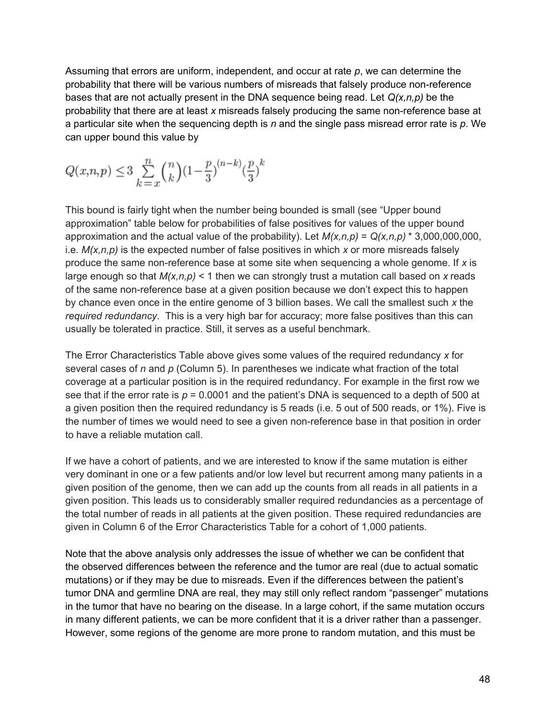Assuming that errors are uniform, independent, and occur at rate *p*, we can determine the probability that there will be various numbers of misreads that falsely produce non-reference bases that are not actually present in the DNA sequence being read. Let *Q(x,n,p)* be the probability that there are at least *x* misreads falsely producing the same non-reference base at a particular site when the sequencing depth is *n* and the single pass misread error rate is *p*. We can upper bound this value by

$$
Q(x, n, p) \le 3 \sum_{k=1}^{n} {n \choose k} (1 - \frac{p}{3})^{(n-k)} (\frac{p}{3})^k
$$

This bound is fairly tight when the number being bounded is small (see "Upper bound approximation" table below for probabilities of false positives for values of the upper bound approximation and the actual value of the probability). Let  $M(x, n, p) = Q(x, n, p) * 3,000,000,000$ , i.e. *M(x,n,p)* is the expected number of false positives in which *x* or more misreads falsely produce the same non-reference base at some site when sequencing a whole genome. If *x* is large enough so that  $M(x, n, p)$  < 1 then we can strongly trust a mutation call based on x reads of the same non-reference base at a given position because we don't expect this to happen by chance even once in the entire genome of 3 billion bases. We call the smallest such *x* the *required redundancy*. This is a very high bar for accuracy; more false positives than this can usually be tolerated in practice. Still, it serves as a useful benchmark.

The Error Characteristics Table above gives some values of the required redundancy *x* for several cases of *n* and *p* (Column 5). In parentheses we indicate what fraction of the total coverage at a particular position is in the required redundancy. For example in the first row we see that if the error rate is  $p = 0.0001$  and the patient's DNA is sequenced to a depth of 500 at a given position then the required redundancy is 5 reads (i.e. 5 out of 500 reads, or 1%). Five is the number of times we would need to see a given non-reference base in that position in order to have a reliable mutation call.

If we have a cohort of patients, and we are interested to know if the same mutation is either very dominant in one or a few patients and/or low level but recurrent among many patients in a given position of the genome, then we can add up the counts from all reads in all patients in a given position. This leads us to considerably smaller required redundancies as a percentage of the total number of reads in all patients at the given position. These required redundancies are given in Column 6 of the Error Characteristics Table for a cohort of 1,000 patients.

Note that the above analysis only addresses the issue of whether we can be confident that the observed differences between the reference and the tumor are real (due to actual somatic mutations) or if they may be due to misreads. Even if the differences between the patient's tumor DNA and germline DNA are real, they may still only reflect random "passenger" mutations in the tumor that have no bearing on the disease. In a large cohort, if the same mutation occurs in many different patients, we can be more confident that it is a driver rather than a passenger. However, some regions of the genome are more prone to random mutation, and this must be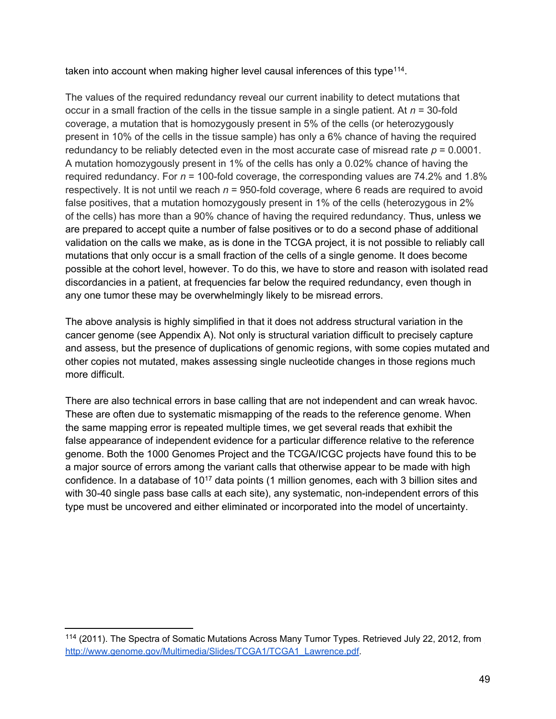taken into account when making higher level causal inferences of this type<sup>114</sup>.

The values of the required redundancy reveal our current inability to detect mutations that occur in a small fraction of the cells in the tissue sample in a single patient. At *n* = 30-fold coverage, a mutation that is homozygously present in 5% of the cells (or heterozygously present in 10% of the cells in the tissue sample) has only a 6% chance of having the required redundancy to be reliably detected even in the most accurate case of misread rate  $p = 0.0001$ . A mutation homozygously present in 1% of the cells has only a 0.02% chance of having the required redundancy. For *n* = 100-fold coverage, the corresponding values are 74.2% and 1.8% respectively. It is not until we reach  $n = 950$ -fold coverage, where 6 reads are required to avoid false positives, that a mutation homozygously present in 1% of the cells (heterozygous in 2% of the cells) has more than a 90% chance of having the required redundancy. Thus, unless we are prepared to accept quite a number of false positives or to do a second phase of additional validation on the calls we make, as is done in the TCGA project, it is not possible to reliably call mutations that only occur is a small fraction of the cells of a single genome. It does become possible at the cohort level, however. To do this, we have to store and reason with isolated read discordancies in a patient, at frequencies far below the required redundancy, even though in any one tumor these may be overwhelmingly likely to be misread errors.

The above analysis is highly simplified in that it does not address structural variation in the cancer genome (see Appendix A). Not only is structural variation difficult to precisely capture and assess, but the presence of duplications of genomic regions, with some copies mutated and other copies not mutated, makes assessing single nucleotide changes in those regions much more difficult.

There are also technical errors in base calling that are not independent and can wreak havoc. These are often due to systematic mismapping of the reads to the reference genome. When the same mapping error is repeated multiple times, we get several reads that exhibit the false appearance of independent evidence for a particular difference relative to the reference genome. Both the 1000 Genomes Project and the TCGA/ICGC projects have found this to be a major source of errors among the variant calls that otherwise appear to be made with high confidence. In a database of 10<sup>17</sup> data points (1 million genomes, each with 3 billion sites and with 30-40 single pass base calls at each site), any systematic, non-independent errors of this type must be uncovered and either eliminated or incorporated into the model of uncertainty.

<sup>114</sup> (2011). The Spectra of Somatic Mutations Across Many Tumor Types. Retrieved July 22, 2012, from [http://www.genome.gov/Multimedia/Slides/TCGA1/TCGA1\\_Lawrence.pdf](http://www.genome.gov/Multimedia/Slides/TCGA1/TCGA1_Lawrence.pdf).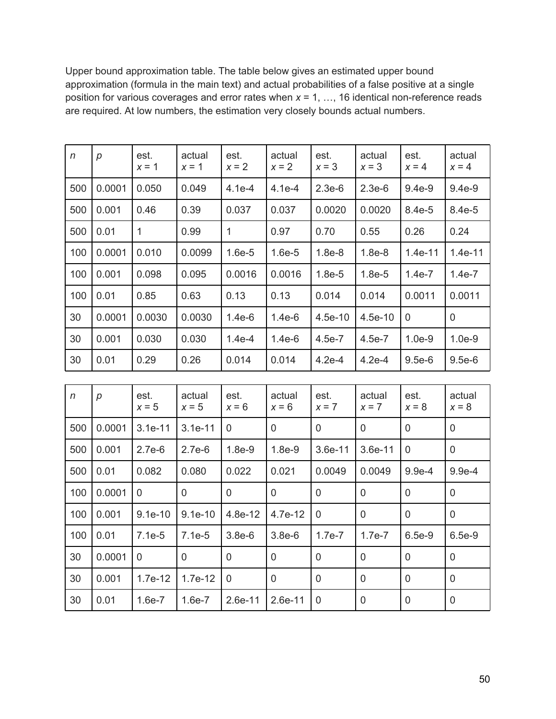Upper bound approximation table. The table below gives an estimated upper bound approximation (formula in the main text) and actual probabilities of a false positive at a single position for various coverages and error rates when *x* = 1, …, 16 identical non-reference reads are required. At low numbers, the estimation very closely bounds actual numbers.

| $\eta$ | p                | est.<br>$x = 1$ | actual<br>$x = 1$ | est.<br>$x = 2$ | actual<br>$x = 2$ | est.<br>$x = 3$ | actual<br>$x = 3$ | est.<br>$x = 4$ | actual<br>$x = 4$ |
|--------|------------------|-----------------|-------------------|-----------------|-------------------|-----------------|-------------------|-----------------|-------------------|
| 500    | 0.0001           | 0.050           | 0.049             | $4.1e-4$        | $4.1e-4$          | $2.3e-6$        | $2.3e-6$          | $9.4e-9$        | $9.4e-9$          |
| 500    | 0.001            | 0.46            | 0.39              | 0.037           | 0.037             | 0.0020          | 0.0020            | 8.4e-5          | 8.4e-5            |
| 500    | 0.01             | $\mathbf{1}$    | 0.99              | $\mathbf{1}$    | 0.97              | 0.70            | 0.55              | 0.26            | 0.24              |
| 100    | 0.0001           | 0.010           | 0.0099            | $1.6e-5$        | $1.6e-5$          | $1.8e-8$        | $1.8e-8$          | 1.4e-11         | 1.4e-11           |
| 100    | 0.001            | 0.098           | 0.095             | 0.0016          | 0.0016            | $1.8e-5$        | $1.8e-5$          | $1.4e-7$        | $1.4e-7$          |
| 100    | 0.01             | 0.85            | 0.63              | 0.13            | 0.13              | 0.014           | 0.014             | 0.0011          | 0.0011            |
| 30     | 0.0001           | 0.0030          | 0.0030            | $1.4e-6$        | $1.4e-6$          | $4.5e-10$       | $4.5e-10$         | $\mathbf 0$     | $\mathbf 0$       |
| 30     | 0.001            | 0.030           | 0.030             | $1.4e-4$        | $1.4e-6$          | $4.5e-7$        | 4.5e-7            | $1.0e-9$        | $1.0e-9$          |
| 30     | 0.01             | 0.29            | 0.26              | 0.014           | 0.014             | $4.2e-4$        | $4.2e-4$          | $9.5e-6$        | $9.5e-6$          |
|        |                  |                 |                   |                 |                   |                 |                   |                 |                   |
| n      | $\boldsymbol{p}$ | est.<br>$x = 5$ | actual<br>$x = 5$ | est.<br>$x = 6$ | actual<br>$x = 6$ | est.<br>$x = 7$ | actual<br>$x = 7$ | est.<br>$x = 8$ | actual<br>$x = 8$ |
| 500    | 0.0001           | $3.1e-11$       | 3.1e-11           | 0               | $\mathbf 0$       | $\overline{0}$  | 0                 | $\mathbf 0$     | $\mathbf 0$       |
| 500    | 0.001            | $2.7e-6$        | $2.7e-6$          | $1.8e-9$        | $1.8e-9$          | 3.6e-11         | 3.6e-11           | $\mathbf 0$     | $\pmb{0}$         |
| 500    | 0.01             | 0.082           | 0.080             | 0.022           | 0.021             | 0.0049          | 0.0049            | $9.9e-4$        | $9.9e-4$          |
| 100    | 0.0001           | 0               | $\overline{0}$    | $\overline{0}$  | 0                 | $\overline{0}$  | $\overline{0}$    | $\overline{0}$  | $\mathbf 0$       |
| 100    | 0.001            | $9.1e-10$       | $9.1e-10$         | 4.8e-12         | 4.7e-12           | 0               | 0                 | $\mathbf 0$     | $\pmb{0}$         |
| 100    | 0.01             | $7.1e-5$        | $7.1e-5$          | $3.8e-6$        | $3.8e-6$          | $1.7e-7$        | $1.7e-7$          | 6.5e-9          | 6.5e-9            |
| 30     | 0.0001           | 0               | 0                 | $\Omega$        | $\overline{0}$    | $\mathbf 0$     | 0                 | $\Omega$        | 0                 |
| 30     | 0.001            | 1.7e-12         | 1.7e-12           | 0               | $\mathbf 0$       | 0               | 0                 | $\mathbf 0$     | $\boldsymbol{0}$  |
| 30     | 0.01             | $1.6e-7$        | $1.6e-7$          | 2.6e-11         | 2.6e-11           | $\overline{0}$  | $\overline{0}$    | $\overline{0}$  | $\pmb{0}$         |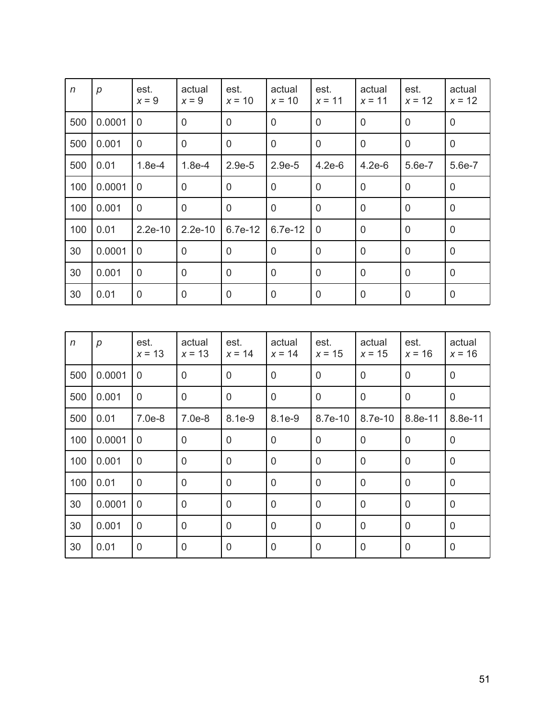| $\eta$ | p      | est.<br>$x = 9$ | actual<br>$x = 9$ | est.<br>$x = 10$ | actual<br>$x = 10$ | est.<br>$x = 11$ | actual<br>$x = 11$ | est.<br>$x = 12$ | actual<br>$x = 12$ |
|--------|--------|-----------------|-------------------|------------------|--------------------|------------------|--------------------|------------------|--------------------|
| 500    | 0.0001 | $\mathbf 0$     | $\mathbf 0$       | $\overline{0}$   | $\overline{0}$     | $\overline{0}$   | $\mathbf 0$        | $\mathbf 0$      | $\overline{0}$     |
| 500    | 0.001  | $\overline{0}$  | $\mathbf 0$       | $\overline{0}$   | $\overline{0}$     | $\overline{0}$   | $\overline{0}$     | $\overline{0}$   | $\mathbf 0$        |
| 500    | 0.01   | $1.8e-4$        | $1.8e-4$          | $2.9e-5$         | $2.9e-5$           | $4.2e-6$         | $4.2e-6$           | 5.6e-7           | 5.6e-7             |
| 100    | 0.0001 | 0               | $\mathbf 0$       | $\mathbf 0$      | $\overline{0}$     | $\Omega$         | $\overline{0}$     | $\overline{0}$   | $\mathbf 0$        |
| 100    | 0.001  | $\overline{0}$  | $\mathbf 0$       | $\overline{0}$   | $\overline{0}$     | $\overline{0}$   | $\mathbf 0$        | $\mathbf 0$      | $\mathbf 0$        |
| 100    | 0.01   | $2.2e-10$       | $2.2e-10$         | 6.7e-12          | 6.7e-12            | $\overline{0}$   | $\overline{0}$     | $\overline{0}$   | $\overline{0}$     |
| 30     | 0.0001 | $\overline{0}$  | $\mathbf 0$       | $\overline{0}$   | $\overline{0}$     | $\overline{0}$   | $\overline{0}$     | $\overline{0}$   | $\mathbf 0$        |
| 30     | 0.001  | $\overline{0}$  | $\mathbf 0$       | $\mathbf 0$      | $\overline{0}$     | $\overline{0}$   | $\overline{0}$     | $\overline{0}$   | $\mathbf 0$        |
| 30     | 0.01   | $\mathbf 0$     | $\mathbf 0$       | 0                | $\mathbf 0$        | $\mathbf 0$      | $\mathbf 0$        | $\mathbf 0$      | $\mathbf 0$        |
|        |        |                 |                   |                  |                    |                  |                    |                  |                    |

| $\eta$ | p      | est.<br>$x = 13$ | actual<br>$x = 13$ | est.<br>$x = 14$ | actual<br>$x = 14$ | est.<br>$x = 15$ | actual<br>$x = 15$ | est.<br>$x = 16$ | actual<br>$x = 16$ |
|--------|--------|------------------|--------------------|------------------|--------------------|------------------|--------------------|------------------|--------------------|
| 500    | 0.0001 | $\mathbf 0$      | $\overline{0}$     | $\overline{0}$   | $\mathbf 0$        | $\overline{0}$   | $\mathbf 0$        | $\mathbf 0$      | $\mathbf 0$        |
| 500    | 0.001  | $\overline{0}$   | $\overline{0}$     | $\mathbf{0}$     | $\overline{0}$     | $\overline{0}$   | $\overline{0}$     | $\overline{0}$   | $\mathbf 0$        |
| 500    | 0.01   | $7.0e-8$         | 7.0e-8             | 8.1e-9           | 8.1e-9             | 8.7e-10          | 8.7e-10            | 8.8e-11          | 8.8e-11            |
| 100    | 0.0001 | 0                | $\overline{0}$     | $\overline{0}$   | $\overline{0}$     | $\overline{0}$   | $\mathbf 0$        | 0                | $\mathbf 0$        |
| 100    | 0.001  | $\mathbf 0$      | 0                  | $\overline{0}$   | $\overline{0}$     | $\overline{0}$   | $\mathbf 0$        | $\mathbf 0$      | $\mathbf 0$        |
| 100    | 0.01   | $\mathbf 0$      | $\overline{0}$     | $\overline{0}$   | $\overline{0}$     | $\overline{0}$   | $\mathbf 0$        | $\overline{0}$   | $\mathbf 0$        |
| 30     | 0.0001 | $\overline{0}$   | $\mathbf 0$        | $\overline{0}$   | $\overline{0}$     | $\overline{0}$   | $\mathbf 0$        | $\overline{0}$   | $\mathbf 0$        |
| 30     | 0.001  | $\overline{0}$   | $\overline{0}$     | $\overline{0}$   | $\overline{0}$     | $\overline{0}$   | $\mathbf 0$        | $\overline{0}$   | $\mathbf 0$        |
| 30     | 0.01   | $\mathbf 0$      | $\mathbf 0$        | $\overline{0}$   | $\mathbf 0$        | $\mathbf 0$      | $\mathbf 0$        | $\mathbf 0$      | $\mathbf 0$        |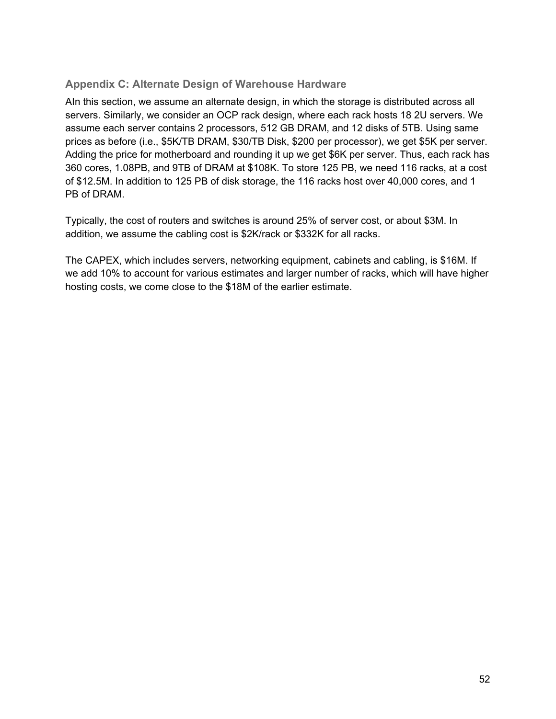## <span id="page-53-0"></span>**Appendix C: Alternate Design of Warehouse Hardware**

AIn this section, we assume an alternate design, in which the storage is distributed across all servers. Similarly, we consider an OCP rack design, where each rack hosts 18 2U servers. We assume each server contains 2 processors, 512 GB DRAM, and 12 disks of 5TB. Using same prices as before (i.e., \$5K/TB DRAM, \$30/TB Disk, \$200 per processor), we get \$5K per server. Adding the price for motherboard and rounding it up we get \$6K per server. Thus, each rack has 360 cores, 1.08PB, and 9TB of DRAM at \$108K. To store 125 PB, we need 116 racks, at a cost of \$12.5M. In addition to 125 PB of disk storage, the 116 racks host over 40,000 cores, and 1 PB of DRAM.

Typically, the cost of routers and switches is around 25% of server cost, or about \$3M. In addition, we assume the cabling cost is \$2K/rack or \$332K for all racks.

The CAPEX, which includes servers, networking equipment, cabinets and cabling, is \$16M. If we add 10% to account for various estimates and larger number of racks, which will have higher hosting costs, we come close to the \$18M of the earlier estimate.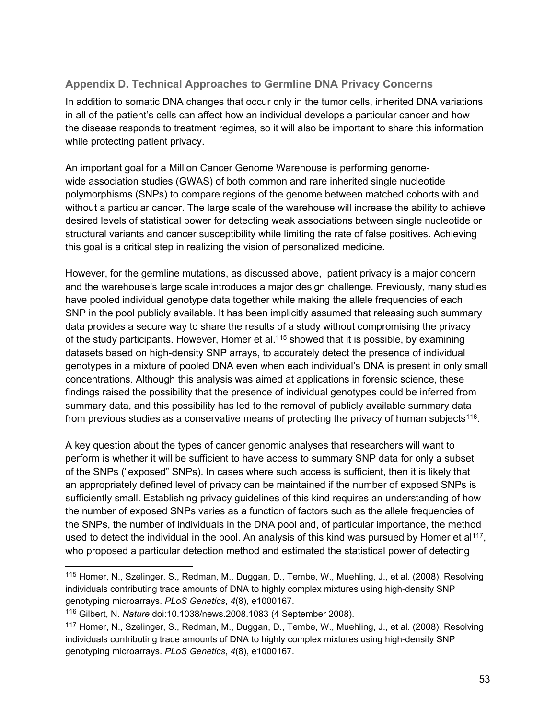## <span id="page-54-0"></span>**Appendix D. Technical Approaches to Germline DNA Privacy Concerns**

In addition to somatic DNA changes that occur only in the tumor cells, inherited DNA variations in all of the patient's cells can affect how an individual develops a particular cancer and how the disease responds to treatment regimes, so it will also be important to share this information while protecting patient privacy.

An important goal for a Million Cancer Genome Warehouse is performing genomewide association studies (GWAS) of both common and rare inherited single nucleotide polymorphisms (SNPs) to compare regions of the genome between matched cohorts with and without a particular cancer. The large scale of the warehouse will increase the ability to achieve desired levels of statistical power for detecting weak associations between single nucleotide or structural variants and cancer susceptibility while limiting the rate of false positives. Achieving this goal is a critical step in realizing the vision of personalized medicine.

However, for the germline mutations, as discussed above, patient privacy is a major concern and the warehouse's large scale introduces a major design challenge. Previously, many studies have pooled individual genotype data together while making the allele frequencies of each SNP in the pool publicly available. It has been implicitly assumed that releasing such summary data provides a secure way to share the results of a study without compromising the privacy of the study participants. However, Homer et al.<sup>115</sup> showed that it is possible, by examining datasets based on high-density SNP arrays, to accurately detect the presence of individual genotypes in a mixture of pooled DNA even when each individual's DNA is present in only small concentrations. Although this analysis was aimed at applications in forensic science, these findings raised the possibility that the presence of individual genotypes could be inferred from summary data, and this possibility has led to the removal of publicly available summary data from previous studies as a conservative means of protecting the privacy of human subjects<sup>116</sup>.

A key question about the types of cancer genomic analyses that researchers will want to perform is whether it will be sufficient to have access to summary SNP data for only a subset of the SNPs ("exposed" SNPs). In cases where such access is sufficient, then it is likely that an appropriately defined level of privacy can be maintained if the number of exposed SNPs is sufficiently small. Establishing privacy guidelines of this kind requires an understanding of how the number of exposed SNPs varies as a function of factors such as the allele frequencies of the SNPs, the number of individuals in the DNA pool and, of particular importance, the method used to detect the individual in the pool. An analysis of this kind was pursued by Homer et al<sup>117</sup>, who proposed a particular detection method and estimated the statistical power of detecting

<sup>115</sup> Homer, N., Szelinger, S., Redman, M., Duggan, D., Tembe, W., Muehling, J., et al. (2008). Resolving individuals contributing trace amounts of DNA to highly complex mixtures using high-density SNP genotyping microarrays. *PLoS Genetics*, *4*(8), e1000167.

<sup>116</sup> Gilbert, N. *Nature* doi:10.1038/news.2008.1083 (4 September 2008).

<sup>117</sup> Homer, N., Szelinger, S., Redman, M., Duggan, D., Tembe, W., Muehling, J., et al. (2008). Resolving individuals contributing trace amounts of DNA to highly complex mixtures using high-density SNP genotyping microarrays. *PLoS Genetics*, *4*(8), e1000167.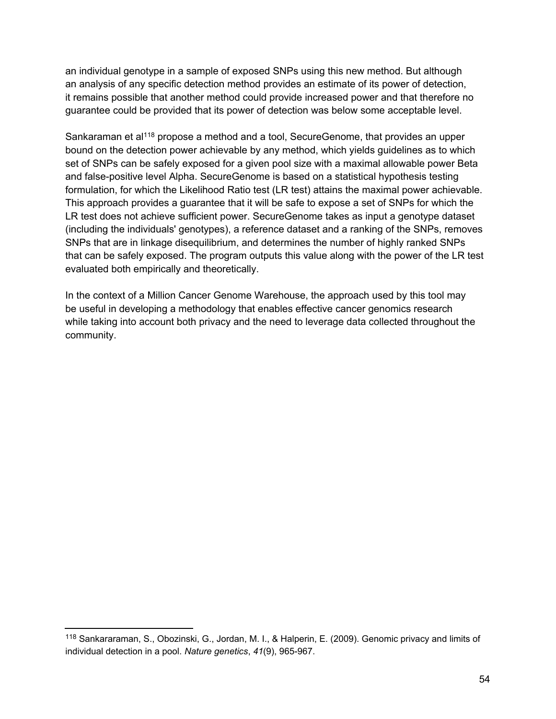an individual genotype in a sample of exposed SNPs using this new method. But although an analysis of any specific detection method provides an estimate of its power of detection, it remains possible that another method could provide increased power and that therefore no guarantee could be provided that its power of detection was below some acceptable level.

Sankaraman et al<sup>118</sup> propose a method and a tool, SecureGenome, that provides an upper bound on the detection power achievable by any method, which yields guidelines as to which set of SNPs can be safely exposed for a given pool size with a maximal allowable power Beta and false-positive level Alpha. SecureGenome is based on a statistical hypothesis testing formulation, for which the Likelihood Ratio test (LR test) attains the maximal power achievable. This approach provides a guarantee that it will be safe to expose a set of SNPs for which the LR test does not achieve sufficient power. SecureGenome takes as input a genotype dataset (including the individuals' genotypes), a reference dataset and a ranking of the SNPs, removes SNPs that are in linkage disequilibrium, and determines the number of highly ranked SNPs that can be safely exposed. The program outputs this value along with the power of the LR test evaluated both empirically and theoretically.

In the context of a Million Cancer Genome Warehouse, the approach used by this tool may be useful in developing a methodology that enables effective cancer genomics research while taking into account both privacy and the need to leverage data collected throughout the community.

<sup>118</sup> Sankararaman, S., Obozinski, G., Jordan, M. I., & Halperin, E. (2009). Genomic privacy and limits of individual detection in a pool. *Nature genetics*, *41*(9), 965-967.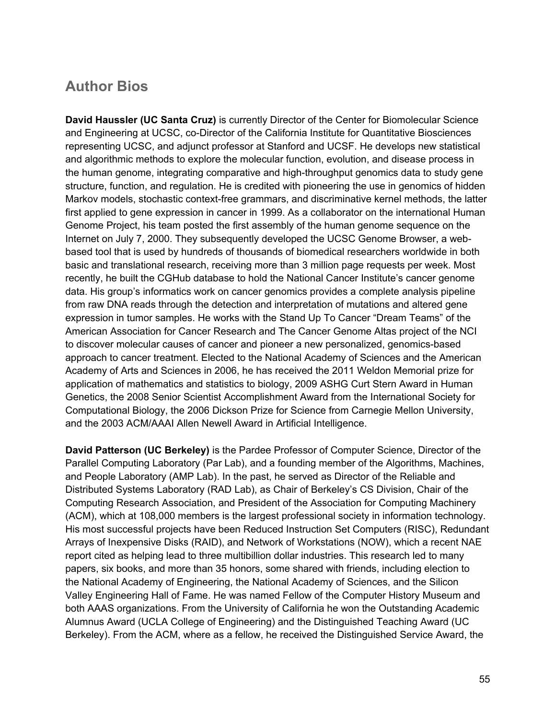## <span id="page-56-0"></span>**Author Bios**

**David Haussler (UC Santa Cruz)** is currently Director of the Center for Biomolecular Science and Engineering at UCSC, co-Director of the California Institute for Quantitative Biosciences representing UCSC, and adjunct professor at Stanford and UCSF. He develops new statistical and algorithmic methods to explore the molecular function, evolution, and disease process in the human genome, integrating comparative and high-throughput genomics data to study gene structure, function, and regulation. He is credited with pioneering the use in genomics of hidden Markov models, stochastic context-free grammars, and discriminative kernel methods, the latter first applied to gene expression in cancer in 1999. As a collaborator on the international Human Genome Project, his team posted the first assembly of the human genome sequence on the Internet on July 7, 2000. They subsequently developed the UCSC Genome Browser, a webbased tool that is used by hundreds of thousands of biomedical researchers worldwide in both basic and translational research, receiving more than 3 million page requests per week. Most recently, he built the CGHub database to hold the National Cancer Institute's cancer genome data. His group's informatics work on cancer genomics provides a complete analysis pipeline from raw DNA reads through the detection and interpretation of mutations and altered gene expression in tumor samples. He works with the Stand Up To Cancer "Dream Teams" of the American Association for Cancer Research and The Cancer Genome Altas project of the NCI to discover molecular causes of cancer and pioneer a new personalized, genomics-based approach to cancer treatment. Elected to the National Academy of Sciences and the American Academy of Arts and Sciences in 2006, he has received the 2011 Weldon Memorial prize for application of mathematics and statistics to biology, 2009 ASHG Curt Stern Award in Human Genetics, the 2008 Senior Scientist Accomplishment Award from the International Society for Computational Biology, the 2006 Dickson Prize for Science from Carnegie Mellon University, and the 2003 ACM/AAAI Allen Newell Award in Artificial Intelligence.

**David Patterson (UC Berkeley)** is the Pardee Professor of Computer Science, Director of the Parallel Computing Laboratory (Par Lab), and a founding member of the Algorithms, Machines, and People Laboratory (AMP Lab). In the past, he served as Director of the Reliable and Distributed Systems Laboratory (RAD Lab), as Chair of Berkeley's CS Division, Chair of the Computing Research Association, and President of the Association for Computing Machinery (ACM), which at 108,000 members is the largest professional society in information technology. His most successful projects have been Reduced Instruction Set Computers (RISC), Redundant Arrays of Inexpensive Disks (RAID), and Network of Workstations (NOW), which a recent NAE report cited as helping lead to three multibillion dollar industries. This research led to many papers, six books, and more than 35 honors, some shared with friends, including election to the National Academy of Engineering, the National Academy of Sciences, and the Silicon Valley Engineering Hall of Fame. He was named Fellow of the Computer History Museum and both AAAS organizations. From the University of California he won the Outstanding Academic Alumnus Award (UCLA College of Engineering) and the Distinguished Teaching Award (UC Berkeley). From the ACM, where as a fellow, he received the Distinguished Service Award, the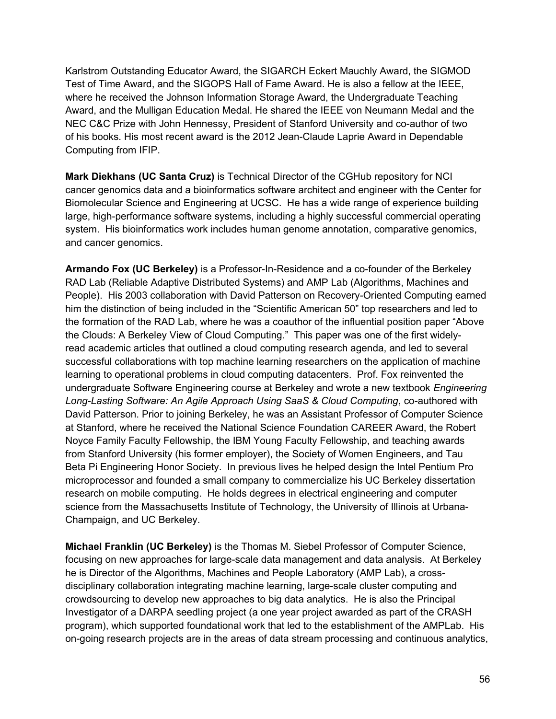Karlstrom Outstanding Educator Award, the SIGARCH Eckert Mauchly Award, the SIGMOD Test of Time Award, and the SIGOPS Hall of Fame Award. He is also a fellow at the IEEE, where he received the Johnson Information Storage Award, the Undergraduate Teaching Award, and the Mulligan Education Medal. He shared the IEEE von Neumann Medal and the NEC C&C Prize with John Hennessy, President of Stanford University and co-author of two of his books. His most recent award is the 2012 Jean-Claude Laprie Award in Dependable Computing from IFIP.

**Mark Diekhans (UC Santa Cruz)** is Technical Director of the CGHub repository for NCI cancer genomics data and a bioinformatics software architect and engineer with the Center for Biomolecular Science and Engineering at UCSC. He has a wide range of experience building large, high-performance software systems, including a highly successful commercial operating system. His bioinformatics work includes human genome annotation, comparative genomics, and cancer genomics.

**Armando Fox (UC Berkeley)** is a Professor-In-Residence and a co-founder of the Berkeley RAD Lab (Reliable Adaptive Distributed Systems) and AMP Lab (Algorithms, Machines and People). His 2003 collaboration with David Patterson on Recovery-Oriented Computing earned him the distinction of being included in the "Scientific American 50" top researchers and led to the formation of the RAD Lab, where he was a coauthor of the influential position paper "Above the Clouds: A Berkeley View of Cloud Computing." This paper was one of the first widelyread academic articles that outlined a cloud computing research agenda, and led to several successful collaborations with top machine learning researchers on the application of machine learning to operational problems in cloud computing datacenters. Prof. Fox reinvented the undergraduate Software Engineering course at Berkeley and wrote a new textbook *Engineering Long-Lasting Software: An Agile Approach Using SaaS & Cloud Computing*, co-authored with David Patterson. Prior to joining Berkeley, he was an Assistant Professor of Computer Science at Stanford, where he received the National Science Foundation CAREER Award, the Robert Noyce Family Faculty Fellowship, the IBM Young Faculty Fellowship, and teaching awards from Stanford University (his former employer), the Society of Women Engineers, and Tau Beta Pi Engineering Honor Society. In previous lives he helped design the Intel Pentium Pro microprocessor and founded a small company to commercialize his UC Berkeley dissertation research on mobile computing. He holds degrees in electrical engineering and computer science from the Massachusetts Institute of Technology, the University of Illinois at Urbana-Champaign, and UC Berkeley.

**Michael Franklin (UC Berkeley)** is the Thomas M. Siebel Professor of Computer Science, focusing on new approaches for large-scale data management and data analysis. At Berkeley he is Director of the Algorithms, Machines and People Laboratory (AMP Lab), a crossdisciplinary collaboration integrating machine learning, large-scale cluster computing and crowdsourcing to develop new approaches to big data analytics. He is also the Principal Investigator of a DARPA seedling project (a one year project awarded as part of the CRASH program), which supported foundational work that led to the establishment of the AMPLab. His on-going research projects are in the areas of data stream processing and continuous analytics,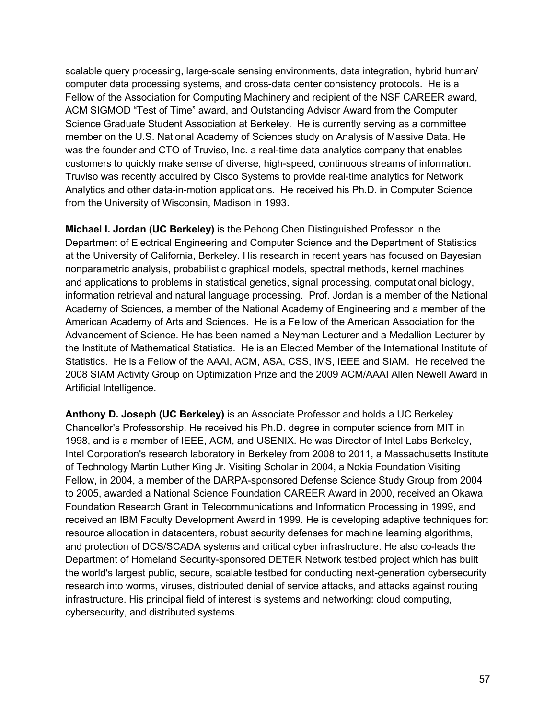scalable query processing, large-scale sensing environments, data integration, hybrid human/ computer data processing systems, and cross-data center consistency protocols. He is a Fellow of the Association for Computing Machinery and recipient of the NSF CAREER award, ACM SIGMOD "Test of Time" award, and Outstanding Advisor Award from the Computer Science Graduate Student Association at Berkeley. He is currently serving as a committee member on the U.S. National Academy of Sciences study on Analysis of Massive Data. He was the founder and CTO of Truviso, Inc. a real-time data analytics company that enables customers to quickly make sense of diverse, high-speed, continuous streams of information. Truviso was recently acquired by Cisco Systems to provide real-time analytics for Network Analytics and other data-in-motion applications. He received his Ph.D. in Computer Science from the University of Wisconsin, Madison in 1993.

**Michael I. Jordan (UC Berkeley)** is the Pehong Chen Distinguished Professor in the Department of Electrical Engineering and Computer Science and the Department of Statistics at the University of California, Berkeley. His research in recent years has focused on Bayesian nonparametric analysis, probabilistic graphical models, spectral methods, kernel machines and applications to problems in statistical genetics, signal processing, computational biology, information retrieval and natural language processing. Prof. Jordan is a member of the National Academy of Sciences, a member of the National Academy of Engineering and a member of the American Academy of Arts and Sciences. He is a Fellow of the American Association for the Advancement of Science. He has been named a Neyman Lecturer and a Medallion Lecturer by the Institute of Mathematical Statistics. He is an Elected Member of the International Institute of Statistics. He is a Fellow of the AAAI, ACM, ASA, CSS, IMS, IEEE and SIAM. He received the 2008 SIAM Activity Group on Optimization Prize and the 2009 ACM/AAAI Allen Newell Award in Artificial Intelligence.

**Anthony D. Joseph (UC Berkeley)** is an Associate Professor and holds a UC Berkeley Chancellor's Professorship. He received his Ph.D. degree in computer science from MIT in 1998, and is a member of IEEE, ACM, and USENIX. He was Director of Intel Labs Berkeley, Intel Corporation's research laboratory in Berkeley from 2008 to 2011, a Massachusetts Institute of Technology Martin Luther King Jr. Visiting Scholar in 2004, a Nokia Foundation Visiting Fellow, in 2004, a member of the DARPA-sponsored Defense Science Study Group from 2004 to 2005, awarded a National Science Foundation CAREER Award in 2000, received an Okawa Foundation Research Grant in Telecommunications and Information Processing in 1999, and received an IBM Faculty Development Award in 1999. He is developing adaptive techniques for: resource allocation in datacenters, robust security defenses for machine learning algorithms, and protection of DCS/SCADA systems and critical cyber infrastructure. He also co-leads the Department of Homeland Security-sponsored DETER Network testbed project which has built the world's largest public, secure, scalable testbed for conducting next-generation cybersecurity research into worms, viruses, distributed denial of service attacks, and attacks against routing infrastructure. His principal field of interest is systems and networking: cloud computing, cybersecurity, and distributed systems.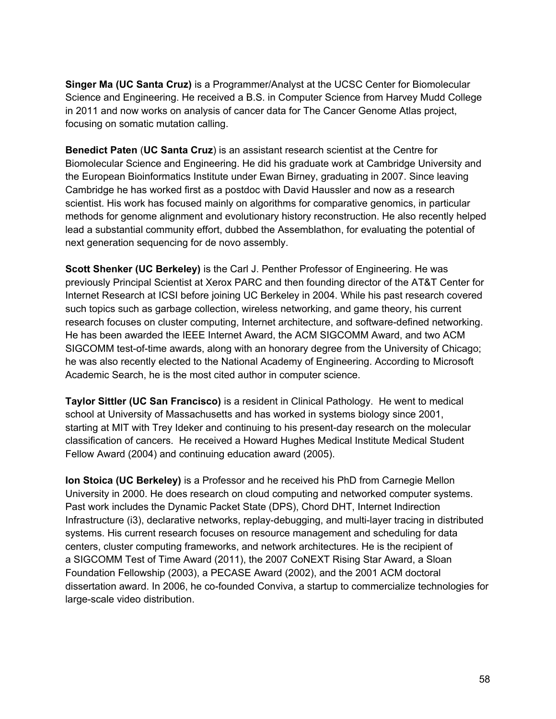**Singer Ma (UC Santa Cruz)** is a Programmer/Analyst at the UCSC Center for Biomolecular Science and Engineering. He received a B.S. in Computer Science from Harvey Mudd College in 2011 and now works on analysis of cancer data for The Cancer Genome Atlas project, focusing on somatic mutation calling.

**Benedict Paten** (**UC Santa Cruz**) is an assistant research scientist at the Centre for Biomolecular Science and Engineering. He did his graduate work at Cambridge University and the European Bioinformatics Institute under Ewan Birney, graduating in 2007. Since leaving Cambridge he has worked first as a postdoc with David Haussler and now as a research scientist. His work has focused mainly on algorithms for comparative genomics, in particular methods for genome alignment and evolutionary history reconstruction. He also recently helped lead a substantial community effort, dubbed the Assemblathon, for evaluating the potential of next generation sequencing for de novo assembly.

**Scott Shenker (UC Berkeley)** is the Carl J. Penther Professor of Engineering. He was previously Principal Scientist at Xerox PARC and then founding director of the AT&T Center for Internet Research at ICSI before joining UC Berkeley in 2004. While his past research covered such topics such as garbage collection, wireless networking, and game theory, his current research focuses on cluster computing, Internet architecture, and software-defined networking. He has been awarded the IEEE Internet Award, the ACM SIGCOMM Award, and two ACM SIGCOMM test-of-time awards, along with an honorary degree from the University of Chicago; he was also recently elected to the National Academy of Engineering. According to Microsoft Academic Search, he is the most cited author in computer science.

**Taylor Sittler (UC San Francisco)** is a resident in Clinical Pathology. He went to medical school at University of Massachusetts and has worked in systems biology since 2001, starting at MIT with Trey Ideker and continuing to his present-day research on the molecular classification of cancers. He received a Howard Hughes Medical Institute Medical Student Fellow Award (2004) and continuing education award (2005).

**Ion Stoica (UC Berkeley)** is a Professor and he received his PhD from Carnegie Mellon University in 2000. He does research on cloud computing and networked computer systems. Past work includes the Dynamic Packet State (DPS), Chord DHT, Internet Indirection Infrastructure (i3), declarative networks, replay-debugging, and multi-layer tracing in distributed systems. His current research focuses on resource management and scheduling for data centers, cluster computing frameworks, and network architectures. He is the recipient of a SIGCOMM Test of Time Award (2011), the 2007 CoNEXT Rising Star Award, a Sloan Foundation Fellowship (2003), a PECASE Award (2002), and the 2001 ACM doctoral dissertation award. In 2006, he co-founded Conviva, a startup to commercialize technologies for large-scale video distribution.